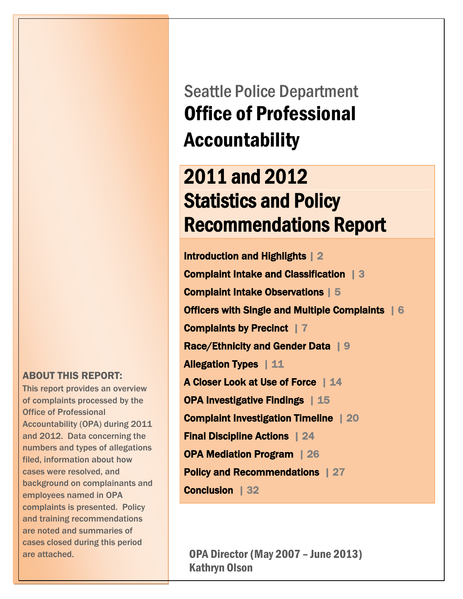ABOUT THIS REPORT:

 This report provides an overview of complaints processed by the<br>Office of Professional Accountability (OPA) during 2011 and 2012. Data concerning the filed, information about how cases were resolved, and employees named in OPA complaints is presented. Policy Office of Professional numbers and types of allegations background on complainants and and training recommendations are noted and summaries of cases closed during this period are attached.

Seattle Police Department Office of Professional Accountability

# 2011 and 2012 Statistics and Policy Recommendations Report

Introduction and Highlights | 2 Complaint Intake and Classification | 3 Complaint Intake Observations | 5 Officers with Single and Multiple Complaints | 6 Complaints by Precinct | 7 Race/Ethnicity and Gender Data | 9 Allegation Types | 11 A Closer Look at Use of Force | 14 OPA Investigative Findings | 15 Complaint Investigation Timeline | 20 Final Discipline Actions | 24 OPA Mediation Program | 26 Policy and Recommendations | 27 Conclusion | 32

OPA Director (May 2007 – June 2013) Kathryn Olson

<u>November 2012 - Andrea Ste</u>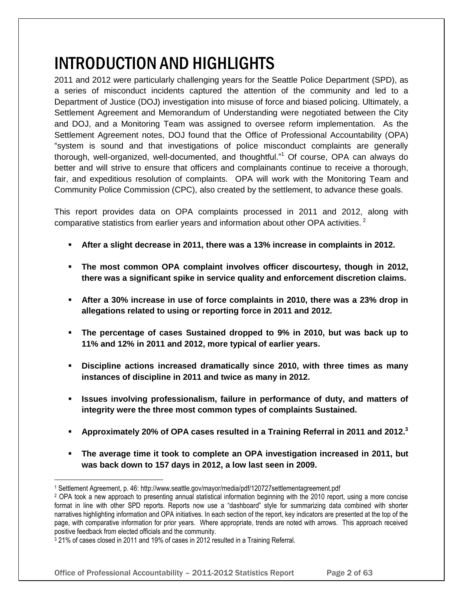# INTRODUCTION AND HIGHLIGHTS

2011 and 2012 were particularly challenging years for the Seattle Police Department (SPD), as a series of misconduct incidents captured the attention of the community and led to a Department of Justice (DOJ) investigation into misuse of force and biased policing. Ultimately, a Settlement Agreement and Memorandum of Understanding were negotiated between the City and DOJ, and a Monitoring Team was assigned to oversee reform implementation. As the Settlement Agreement notes, DOJ found that the Office of Professional Accountability (OPA) "system is sound and that investigations of police misconduct complaints are generally thorough, well-organized, well-documented, and thoughtful."<sup>1</sup> Of course, OPA can always do better and will strive to ensure that officers and complainants continue to receive a thorough, fair, and expeditious resolution of complaints. OPA will work with the Monitoring Team and Community Police Commission (CPC), also created by the settlement, to advance these goals.

This report provides data on OPA complaints processed in 2011 and 2012, along with comparative statistics from earlier years and information about other OPA activities. $2^2$ 

- **After a slight decrease in 2011, there was a 13% increase in complaints in 2012.**
- **The most common OPA complaint involves officer discourtesy, though in 2012, there was a significant spike in service quality and enforcement discretion claims.**
- **After a 30% increase in use of force complaints in 2010, there was a 23% drop in allegations related to using or reporting force in 2011 and 2012.**
- **The percentage of cases Sustained dropped to 9% in 2010, but was back up to 11% and 12% in 2011 and 2012, more typical of earlier years.**
- **Discipline actions increased dramatically since 2010, with three times as many instances of discipline in 2011 and twice as many in 2012.**
- **Issues involving professionalism, failure in performance of duty, and matters of integrity were the three most common types of complaints Sustained.**
- **Approximately 20% of OPA cases resulted in a Training Referral in 2011 and 2012. 3**
- **The average time it took to complete an OPA investigation increased in 2011, but was back down to 157 days in 2012, a low last seen in 2009.**

l

<sup>1</sup> Settlement Agreement, p. 46: http://www.seattle.gov/mayor/media/pdf/120727settlementagreement.pdf

<sup>2</sup> OPA took a new approach to presenting annual statistical information beginning with the 2010 report, using a more concise format in line with other SPD reports. Reports now use a "dashboard" style for summarizing data combined with shorter narratives highlighting information and OPA initiatives. In each section of the report, key indicators are presented at the top of the page, with comparative information for prior years. Where appropriate, trends are noted with arrows. This approach received positive feedback from elected officials and the community.

<sup>3</sup> 21% of cases closed in 2011 and 19% of cases in 2012 resulted in a Training Referral.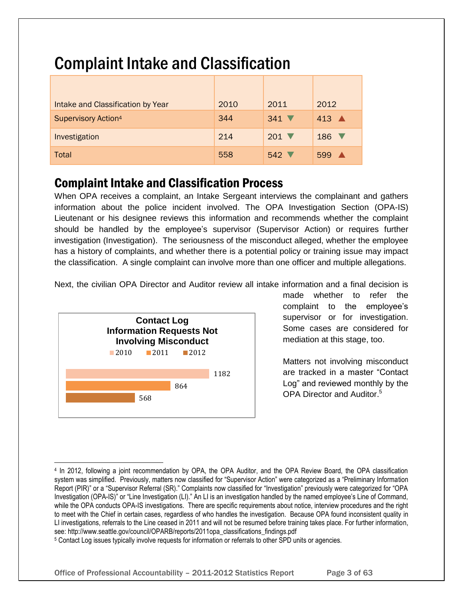| Intake and Classification by Year | 2010 | 2011                       | 2012                    |
|-----------------------------------|------|----------------------------|-------------------------|
| <b>Supervisory Action4</b>        | 344  | $341$ $\blacktriangledown$ | 413 $\triangle$         |
| Investigation                     | 214  | $201$ $\blacktriangledown$ | 186<br><b>V</b>         |
| Total                             | 558  | $542$ $\triangledown$      | $\blacktriangle$<br>599 |

# Complaint Intake and Classification

## Complaint Intake and Classification Process

When OPA receives a complaint, an Intake Sergeant interviews the complainant and gathers information about the police incident involved. The OPA Investigation Section (OPA-IS) Lieutenant or his designee reviews this information and recommends whether the complaint should be handled by the employee's supervisor (Supervisor Action) or requires further investigation (Investigation). The seriousness of the misconduct alleged, whether the employee has a history of complaints, and whether there is a potential policy or training issue may impact the classification. A single complaint can involve more than one officer and multiple allegations.

Next, the civilian OPA Director and Auditor review all intake information and a final decision is



l

made whether to refer the complaint to the employee's supervisor or for investigation. Some cases are considered for mediation at this stage, too.

Matters not involving misconduct are tracked in a master "Contact Log" and reviewed monthly by the OPA Director and Auditor.<sup>5</sup>

<sup>4</sup> In 2012, following a joint recommendation by OPA, the OPA Auditor, and the OPA Review Board, the OPA classification system was simplified. Previously, matters now classified for "Supervisor Action" were categorized as a "Preliminary Information Report (PIR)" or a "Supervisor Referral (SR)." Complaints now classified for "Investigation" previously were categorized for "OPA Investigation (OPA-IS)" or "Line Investigation (LI)." An LI is an investigation handled by the named employee's Line of Command, while the OPA conducts OPA-IS investigations. There are specific requirements about notice, interview procedures and the right to meet with the Chief in certain cases, regardless of who handles the investigation. Because OPA found inconsistent quality in LI investigations, referrals to the Line ceased in 2011 and will not be resumed before training takes place. For further information, see: http://www.seattle.gov/council/OPARB/reports/2011opa\_classifications\_findings.pdf

<sup>5</sup> Contact Log issues typically involve requests for information or referrals to other SPD units or agencies.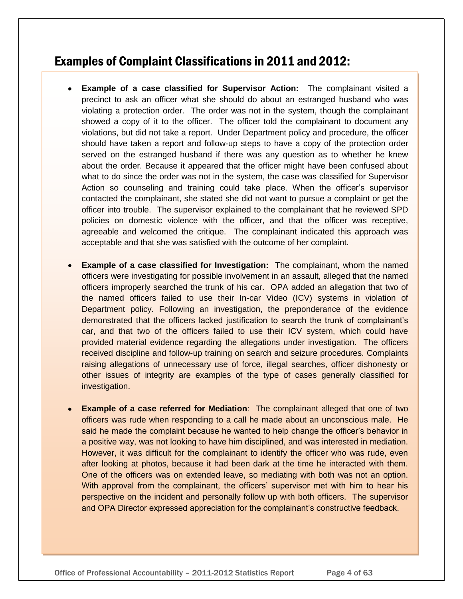### Examples of Complaint Classifications in 2011 and 2012:

- **Example of a case classified for Supervisor Action:** The complainant visited a precinct to ask an officer what she should do about an estranged husband who was violating a protection order. The order was not in the system, though the complainant showed a copy of it to the officer. The officer told the complainant to document any violations, but did not take a report. Under Department policy and procedure, the officer should have taken a report and follow-up steps to have a copy of the protection order served on the estranged husband if there was any question as to whether he knew about the order. Because it appeared that the officer might have been confused about what to do since the order was not in the system, the case was classified for Supervisor Action so counseling and training could take place. When the officer's supervisor contacted the complainant, she stated she did not want to pursue a complaint or get the officer into trouble. The supervisor explained to the complainant that he reviewed SPD policies on domestic violence with the officer, and that the officer was receptive, agreeable and welcomed the critique. The complainant indicated this approach was acceptable and that she was satisfied with the outcome of her complaint.
- **Example of a case classified for Investigation:** The complainant, whom the named officers were investigating for possible involvement in an assault, alleged that the named officers improperly searched the trunk of his car. OPA added an allegation that two of the named officers failed to use their In-car Video (ICV) systems in violation of Department policy. Following an investigation, the preponderance of the evidence demonstrated that the officers lacked justification to search the trunk of complainant's car, and that two of the officers failed to use their ICV system, which could have provided material evidence regarding the allegations under investigation. The officers received discipline and follow-up training on search and seizure procedures. Complaints raising allegations of unnecessary use of force, illegal searches, officer dishonesty or other issues of integrity are examples of the type of cases generally classified for investigation.
- **Example of a case referred for Mediation**: The complainant alleged that one of two officers was rude when responding to a call he made about an unconscious male. He said he made the complaint because he wanted to help change the officer's behavior in a positive way, was not looking to have him disciplined, and was interested in mediation. However, it was difficult for the complainant to identify the officer who was rude, even after looking at photos, because it had been dark at the time he interacted with them. One of the officers was on extended leave, so mediating with both was not an option. With approval from the complainant, the officers' supervisor met with him to hear his perspective on the incident and personally follow up with both officers. The supervisor and OPA Director expressed appreciation for the complainant's constructive feedback.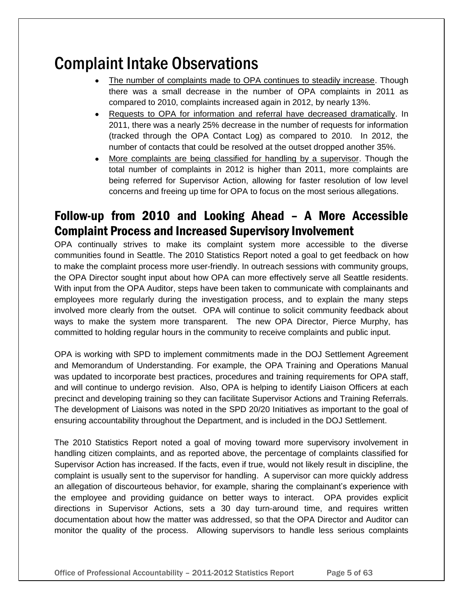# Complaint Intake Observations

- The number of complaints made to OPA continues to steadily increase. Though there was a small decrease in the number of OPA complaints in 2011 as compared to 2010, complaints increased again in 2012, by nearly 13%.
- Requests to OPA for information and referral have decreased dramatically. In  $\bullet$ 2011, there was a nearly 25% decrease in the number of requests for information (tracked through the OPA Contact Log) as compared to 2010. In 2012, the number of contacts that could be resolved at the outset dropped another 35%.
- More complaints are being classified for handling by a supervisor. Though the  $\bullet$ total number of complaints in 2012 is higher than 2011, more complaints are being referred for Supervisor Action, allowing for faster resolution of low level concerns and freeing up time for OPA to focus on the most serious allegations.

## Follow-up from 2010 and Looking Ahead – A More Accessible Complaint Process and Increased Supervisory Involvement

OPA continually strives to make its complaint system more accessible to the diverse communities found in Seattle. The 2010 Statistics Report noted a goal to get feedback on how to make the complaint process more user-friendly. In outreach sessions with community groups, the OPA Director sought input about how OPA can more effectively serve all Seattle residents. With input from the OPA Auditor, steps have been taken to communicate with complainants and employees more regularly during the investigation process, and to explain the many steps involved more clearly from the outset. OPA will continue to solicit community feedback about ways to make the system more transparent. The new OPA Director, Pierce Murphy, has committed to holding regular hours in the community to receive complaints and public input.

OPA is working with SPD to implement commitments made in the DOJ Settlement Agreement and Memorandum of Understanding. For example, the OPA Training and Operations Manual was updated to incorporate best practices, procedures and training requirements for OPA staff, and will continue to undergo revision. Also, OPA is helping to identify Liaison Officers at each precinct and developing training so they can facilitate Supervisor Actions and Training Referrals. The development of Liaisons was noted in the SPD 20/20 Initiatives as important to the goal of ensuring accountability throughout the Department, and is included in the DOJ Settlement.

The 2010 Statistics Report noted a goal of moving toward more supervisory involvement in handling citizen complaints, and as reported above, the percentage of complaints classified for Supervisor Action has increased. If the facts, even if true, would not likely result in discipline, the complaint is usually sent to the supervisor for handling. A supervisor can more quickly address an allegation of discourteous behavior, for example, sharing the complainant's experience with the employee and providing guidance on better ways to interact. OPA provides explicit directions in Supervisor Actions, sets a 30 day turn-around time, and requires written documentation about how the matter was addressed, so that the OPA Director and Auditor can monitor the quality of the process. Allowing supervisors to handle less serious complaints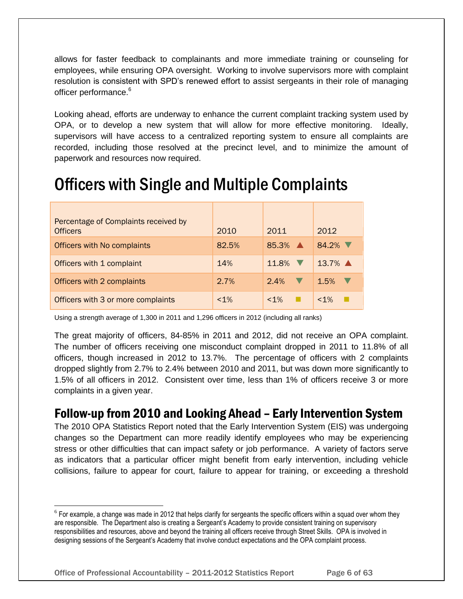allows for faster feedback to complainants and more immediate training or counseling for employees, while ensuring OPA oversight. Working to involve supervisors more with complaint resolution is consistent with SPD's renewed effort to assist sergeants in their role of managing officer performance.<sup>6</sup>

Looking ahead, efforts are underway to enhance the current complaint tracking system used by OPA, or to develop a new system that will allow for more effective monitoring. Ideally, supervisors will have access to a centralized reporting system to ensure all complaints are recorded, including those resolved at the precinct level, and to minimize the amount of paperwork and resources now required.

## Officers with Single and Multiple Complaints

| Percentage of Complaints received by<br><b>Officers</b> | 2010    | 2011                 | 2012                 |
|---------------------------------------------------------|---------|----------------------|----------------------|
| Officers with No complaints                             | 82.5%   | $85.3\%$ $\triangle$ | 84.2% $\nabla$       |
| Officers with 1 complaint                               | 14%     | 11.8% $\nabla$       | $13.7\%$ $\triangle$ |
| Officers with 2 complaints                              | 2.7%    | 2.4%                 | 1.5%                 |
| Officers with 3 or more complaints                      | $< 1\%$ | $< 1\%$              | $< 1\%$              |

Using a strength average of 1,300 in 2011 and 1,296 officers in 2012 (including all ranks)

The great majority of officers, 84-85% in 2011 and 2012, did not receive an OPA complaint. The number of officers receiving one misconduct complaint dropped in 2011 to 11.8% of all officers, though increased in 2012 to 13.7%. The percentage of officers with 2 complaints dropped slightly from 2.7% to 2.4% between 2010 and 2011, but was down more significantly to 1.5% of all officers in 2012. Consistent over time, less than 1% of officers receive 3 or more complaints in a given year.

## Follow-up from 2010 and Looking Ahead – Early Intervention System

The 2010 OPA Statistics Report noted that the Early Intervention System (EIS) was undergoing changes so the Department can more readily identify employees who may be experiencing stress or other difficulties that can impact safety or job performance. A variety of factors serve as indicators that a particular officer might benefit from early intervention, including vehicle collisions, failure to appear for court, failure to appear for training, or exceeding a threshold

l

 $^6$  For example, a change was made in 2012 that helps clarify for sergeants the specific officers within a squad over whom they are responsible. The Department also is creating a Sergeant's Academy to provide consistent training on supervisory responsibilities and resources, above and beyond the training all officers receive through Street Skills. OPA is involved in designing sessions of the Sergeant's Academy that involve conduct expectations and the OPA complaint process.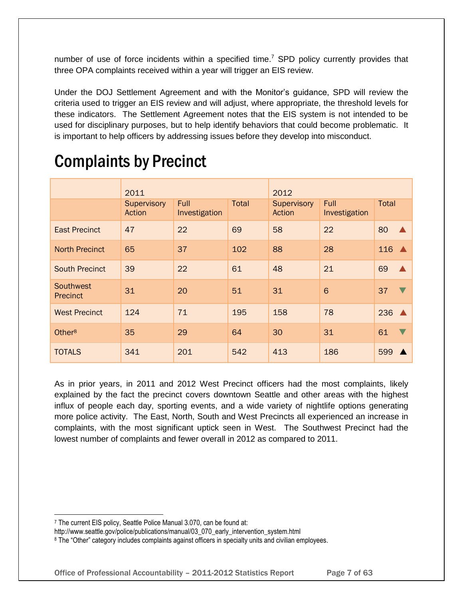number of use of force incidents within a specified time.<sup>7</sup> SPD policy currently provides that three OPA complaints received within a year will trigger an EIS review.

Under the DOJ Settlement Agreement and with the Monitor's guidance, SPD will review the criteria used to trigger an EIS review and will adjust, where appropriate, the threshold levels for these indicators. The Settlement Agreement notes that the EIS system is not intended to be used for disciplinary purposes, but to help identify behaviors that could become problematic. It is important to help officers by addressing issues before they develop into misconduct.

|                                     | 2011                  |                              |              | 2012                  |                       |                   |                  |
|-------------------------------------|-----------------------|------------------------------|--------------|-----------------------|-----------------------|-------------------|------------------|
|                                     | Supervisory<br>Action | <b>Full</b><br>Investigation | <b>Total</b> | Supervisory<br>Action | Full<br>Investigation | <b>Total</b>      |                  |
| <b>East Precinct</b>                | 47                    | 22                           | 69           | 58                    | 22                    | 80                | $\blacktriangle$ |
| <b>North Precinct</b>               | 65                    | 37                           | 102          | 88                    | 28                    | $116$ $\triangle$ |                  |
| <b>South Precinct</b>               | 39                    | 22                           | 61           | 48                    | 21                    | 69                | $\blacktriangle$ |
| <b>Southwest</b><br><b>Precinct</b> | 31                    | 20                           | 51           | 31                    | 6                     | 37                |                  |
| <b>West Precinct</b>                | 124                   | 71                           | 195          | 158                   | 78                    | 236 $\triangle$   |                  |
| Other <sup>8</sup>                  | 35                    | 29                           | 64           | 30                    | 31                    | 61                |                  |
| <b>TOTALS</b>                       | 341                   | 201                          | 542          | 413                   | 186                   | 599               |                  |

# Complaints by Precinct

As in prior years, in 2011 and 2012 West Precinct officers had the most complaints, likely explained by the fact the precinct covers downtown Seattle and other areas with the highest influx of people each day, sporting events, and a wide variety of nightlife options generating more police activity. The East, North, South and West Precincts all experienced an increase in complaints, with the most significant uptick seen in West. The Southwest Precinct had the lowest number of complaints and fewer overall in 2012 as compared to 2011.

l <sup>7</sup> The current EIS policy, Seattle Police Manual 3.070, can be found at:

http://www.seattle.gov/police/publications/manual/03\_070\_early\_intervention\_system.html

<sup>8</sup> The "Other" category includes complaints against officers in specialty units and civilian employees.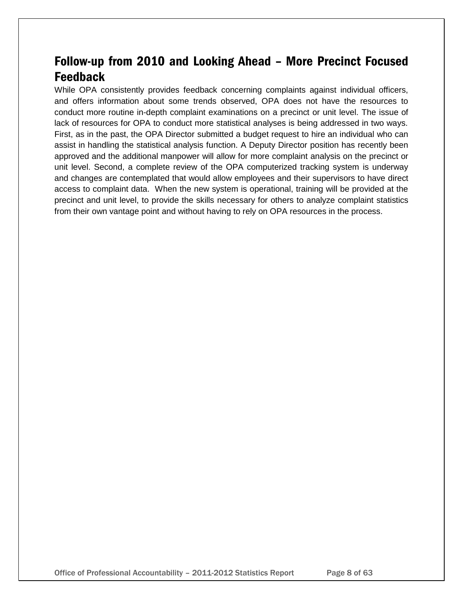## Follow-up from 2010 and Looking Ahead – More Precinct Focused Feedback

While OPA consistently provides feedback concerning complaints against individual officers, and offers information about some trends observed, OPA does not have the resources to conduct more routine in-depth complaint examinations on a precinct or unit level. The issue of lack of resources for OPA to conduct more statistical analyses is being addressed in two ways. First, as in the past, the OPA Director submitted a budget request to hire an individual who can assist in handling the statistical analysis function. A Deputy Director position has recently been approved and the additional manpower will allow for more complaint analysis on the precinct or unit level. Second, a complete review of the OPA computerized tracking system is underway and changes are contemplated that would allow employees and their supervisors to have direct access to complaint data. When the new system is operational, training will be provided at the precinct and unit level, to provide the skills necessary for others to analyze complaint statistics from their own vantage point and without having to rely on OPA resources in the process.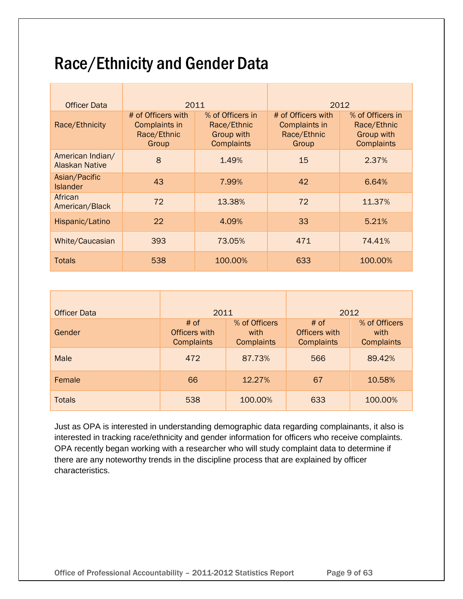# Race/Ethnicity and Gender Data

| <b>Officer Data</b>                | 2011                                                        |                                                                           | 2012                                                        |                                                                           |  |
|------------------------------------|-------------------------------------------------------------|---------------------------------------------------------------------------|-------------------------------------------------------------|---------------------------------------------------------------------------|--|
| Race/Ethnicity                     | # of Officers with<br>Complaints in<br>Race/Ethnic<br>Group | % of Officers in<br>Race/Ethnic<br><b>Group with</b><br><b>Complaints</b> | # of Officers with<br>Complaints in<br>Race/Ethnic<br>Group | % of Officers in<br>Race/Ethnic<br><b>Group with</b><br><b>Complaints</b> |  |
| American Indian/<br>Alaskan Native | 8                                                           | 1.49%                                                                     | 15                                                          | 2.37%                                                                     |  |
| Asian/Pacific<br><b>Islander</b>   | 43                                                          | 7.99%                                                                     | 42                                                          | 6.64%                                                                     |  |
| African<br>American/Black          | 72                                                          | 13.38%                                                                    | 72                                                          | 11.37%                                                                    |  |
| Hispanic/Latino                    | 22                                                          | 4.09%                                                                     | 33                                                          | 5.21%                                                                     |  |
| White/Caucasian                    | 393                                                         | 73.05%                                                                    | 471                                                         | 74.41%                                                                    |  |
| Totals                             | 538                                                         | 100.00%                                                                   | 633                                                         | 100.00%                                                                   |  |

| <b>Officer Data</b> | 2011                                              |                                            |                                            | 2012                                       |  |  |
|---------------------|---------------------------------------------------|--------------------------------------------|--------------------------------------------|--------------------------------------------|--|--|
| Gender              | # of<br><b>Officers with</b><br><b>Complaints</b> | % of Officers<br>with<br><b>Complaints</b> | # of<br>Officers with<br><b>Complaints</b> | % of Officers<br>with<br><b>Complaints</b> |  |  |
| <b>Male</b>         | 472                                               | 87.73%                                     | 566                                        | 89.42%                                     |  |  |
| Female              | 66                                                | 12.27%                                     | 67                                         | 10.58%                                     |  |  |
| <b>Totals</b>       | 538                                               | 100.00%                                    | 633                                        | 100.00%                                    |  |  |

Just as OPA is interested in understanding demographic data regarding complainants, it also is interested in tracking race/ethnicity and gender information for officers who receive complaints. OPA recently began working with a researcher who will study complaint data to determine if there are any noteworthy trends in the discipline process that are explained by officer characteristics.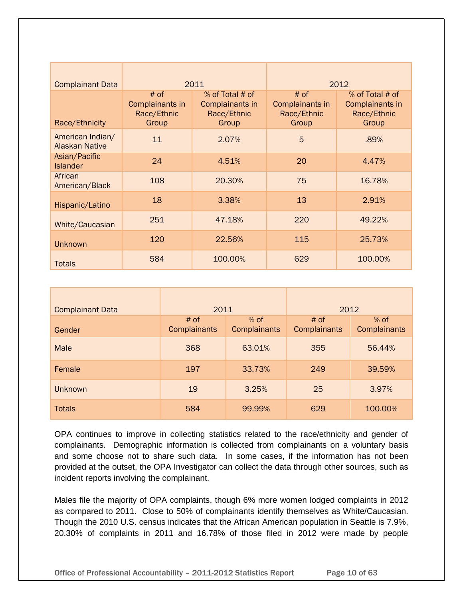| <b>Complainant Data</b>                   |                                                   | 2011                                                       |                                                   | 2012                                                       |  |
|-------------------------------------------|---------------------------------------------------|------------------------------------------------------------|---------------------------------------------------|------------------------------------------------------------|--|
| Race/Ethnicity                            | $#$ of<br>Complainants in<br>Race/Ethnic<br>Group | % of Total # of<br>Complainants in<br>Race/Ethnic<br>Group | $#$ of<br>Complainants in<br>Race/Ethnic<br>Group | % of Total # of<br>Complainants in<br>Race/Ethnic<br>Group |  |
| American Indian/<br><b>Alaskan Native</b> | 11                                                | 2.07%                                                      | 5                                                 | .89%                                                       |  |
| Asian/Pacific<br><b>Islander</b>          | 24                                                | 4.51%                                                      | 20                                                | 4.47%                                                      |  |
| African<br>American/Black                 | 108                                               | 20.30%                                                     | 75                                                | 16.78%                                                     |  |
| Hispanic/Latino                           | 18                                                | 3.38%                                                      | 13                                                | 2.91%                                                      |  |
| White/Caucasian                           | 251                                               | 47.18%                                                     | 220                                               | 49.22%                                                     |  |
| <b>Unknown</b>                            | 120                                               | 22.56%                                                     | 115                                               | 25.73%                                                     |  |
| <b>Totals</b>                             | 584                                               | 100.00%                                                    | 629                                               | 100.00%                                                    |  |

| <b>Complainant Data</b> | 2011                                           |        |                        | 2012                   |  |  |
|-------------------------|------------------------------------------------|--------|------------------------|------------------------|--|--|
| Gender                  | $%$ of<br># of<br>Complainants<br>Complainants |        | $#$ of<br>Complainants | $%$ of<br>Complainants |  |  |
| Male                    | 368                                            | 63.01% | 355                    | 56.44%                 |  |  |
| Female                  | 197                                            | 33.73% | 249                    | 39.59%                 |  |  |
| Unknown                 | 19                                             | 3.25%  | 25                     | 3.97%                  |  |  |
| <b>Totals</b>           | 584                                            | 99.99% | 629                    | 100.00%                |  |  |

OPA continues to improve in collecting statistics related to the race/ethnicity and gender of complainants. Demographic information is collected from complainants on a voluntary basis and some choose not to share such data. In some cases, if the information has not been provided at the outset, the OPA Investigator can collect the data through other sources, such as incident reports involving the complainant.

Males file the majority of OPA complaints, though 6% more women lodged complaints in 2012 as compared to 2011. Close to 50% of complainants identify themselves as White/Caucasian. Though the 2010 U.S. census indicates that the African American population in Seattle is 7.9%, 20.30% of complaints in 2011 and 16.78% of those filed in 2012 were made by people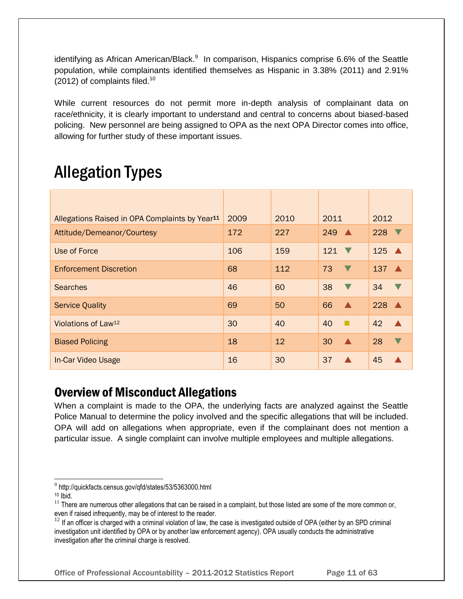identifying as African American/Black.<sup>9</sup> In comparison, Hispanics comprise 6.6% of the Seattle population, while complainants identified themselves as Hispanic in 3.38% (2011) and 2.91%  $(2012)$  of complaints filed.<sup>10</sup>

While current resources do not permit more in-depth analysis of complainant data on race/ethnicity, it is clearly important to understand and central to concerns about biased-based policing. New personnel are being assigned to OPA as the next OPA Director comes into office, allowing for further study of these important issues.

# Allegation Types

| Allegations Raised in OPA Complaints by Year <sup>11</sup> | 2009 | 2010 | 2011                   | 2012              |
|------------------------------------------------------------|------|------|------------------------|-------------------|
| Attitude/Demeanor/Courtesy                                 | 172  | 227  | $249 \triangle$        | 228               |
| Use of Force                                               | 106  | 159  | $121 \nabla$           | $125 \triangle$   |
| <b>Enforcement Discretion</b>                              | 68   | 112  | 73                     | $137 \triangle$   |
| <b>Searches</b>                                            | 46   | 60   | 38<br>$\blacksquare$   | 34                |
| <b>Service Quality</b>                                     | 69   | 50   | 66<br>$\blacktriangle$ | $228$ $\triangle$ |
| Violations of Law <sup>12</sup>                            | 30   | 40   | 40<br>п                | 42                |
| <b>Biased Policing</b>                                     | 18   | 12   | 30                     | 28                |
| In-Car Video Usage                                         | 16   | 30   | 37                     | 45                |

### Overview of Misconduct Allegations

When a complaint is made to the OPA, the underlying facts are analyzed against the Seattle Police Manual to determine the policy involved and the specific allegations that will be included. OPA will add on allegations when appropriate, even if the complainant does not mention a particular issue. A single complaint can involve multiple employees and multiple allegations.

Office of Professional Accountability – 2011-2012 Statistics Report Page 11 of 63

 $\overline{a}$ <sup>9</sup> http://quickfacts.census.gov/qfd/states/53/5363000.html

 $10$  Ibid.

 $11$  There are numerous other allegations that can be raised in a complaint, but those listed are some of the more common or, even if raised infrequently, may be of interest to the reader.

 $12$  If an officer is charged with a criminal violation of law, the case is investigated outside of OPA (either by an SPD criminal investigation unit identified by OPA or by another law enforcement agency). OPA usually conducts the administrative investigation after the criminal charge is resolved.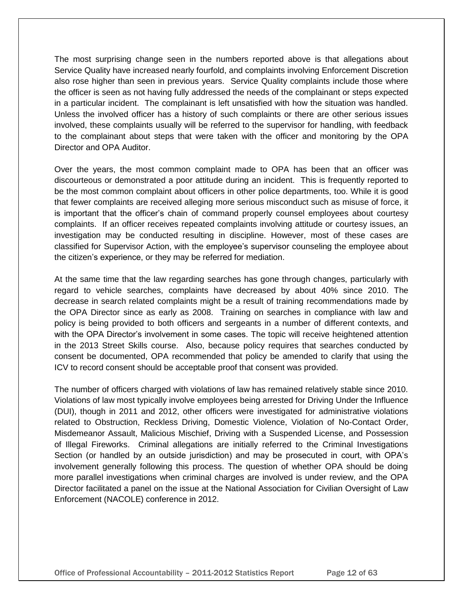The most surprising change seen in the numbers reported above is that allegations about Service Quality have increased nearly fourfold, and complaints involving Enforcement Discretion also rose higher than seen in previous years. Service Quality complaints include those where the officer is seen as not having fully addressed the needs of the complainant or steps expected in a particular incident. The complainant is left unsatisfied with how the situation was handled. Unless the involved officer has a history of such complaints or there are other serious issues involved, these complaints usually will be referred to the supervisor for handling, with feedback to the complainant about steps that were taken with the officer and monitoring by the OPA Director and OPA Auditor.

Over the years, the most common complaint made to OPA has been that an officer was discourteous or demonstrated a poor attitude during an incident. This is frequently reported to be the most common complaint about officers in other police departments, too. While it is good that fewer complaints are received alleging more serious misconduct such as misuse of force, it is important that the officer's chain of command properly counsel employees about courtesy complaints. If an officer receives repeated complaints involving attitude or courtesy issues, an investigation may be conducted resulting in discipline. However, most of these cases are classified for Supervisor Action, with the employee's supervisor counseling the employee about the citizen's experience, or they may be referred for mediation.

At the same time that the law regarding searches has gone through changes, particularly with regard to vehicle searches, complaints have decreased by about 40% since 2010. The decrease in search related complaints might be a result of training recommendations made by the OPA Director since as early as 2008. Training on searches in compliance with law and policy is being provided to both officers and sergeants in a number of different contexts, and with the OPA Director's involvement in some cases. The topic will receive heightened attention in the 2013 Street Skills course. Also, because policy requires that searches conducted by consent be documented, OPA recommended that policy be amended to clarify that using the ICV to record consent should be acceptable proof that consent was provided.

The number of officers charged with violations of law has remained relatively stable since 2010. Violations of law most typically involve employees being arrested for Driving Under the Influence (DUI), though in 2011 and 2012, other officers were investigated for administrative violations related to Obstruction, Reckless Driving, Domestic Violence, Violation of No-Contact Order, Misdemeanor Assault, Malicious Mischief, Driving with a Suspended License, and Possession of Illegal Fireworks. Criminal allegations are initially referred to the Criminal Investigations Section (or handled by an outside jurisdiction) and may be prosecuted in court, with OPA's involvement generally following this process. The question of whether OPA should be doing more parallel investigations when criminal charges are involved is under review, and the OPA Director facilitated a panel on the issue at the National Association for Civilian Oversight of Law Enforcement (NACOLE) conference in 2012.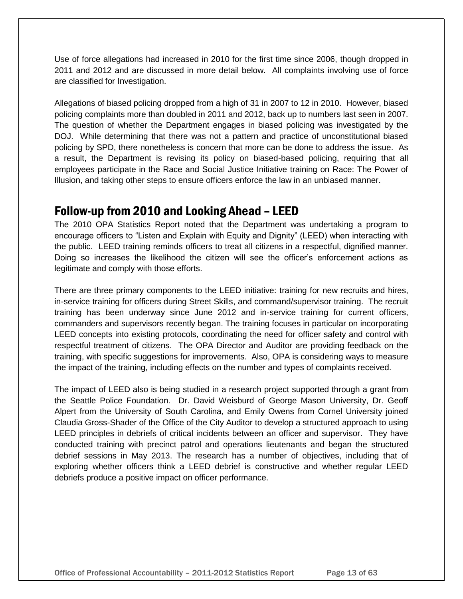Use of force allegations had increased in 2010 for the first time since 2006, though dropped in 2011 and 2012 and are discussed in more detail below. All complaints involving use of force are classified for Investigation.

Allegations of biased policing dropped from a high of 31 in 2007 to 12 in 2010. However, biased policing complaints more than doubled in 2011 and 2012, back up to numbers last seen in 2007. The question of whether the Department engages in biased policing was investigated by the DOJ. While determining that there was not a pattern and practice of unconstitutional biased policing by SPD, there nonetheless is concern that more can be done to address the issue. As a result, the Department is revising its policy on biased-based policing, requiring that all employees participate in the Race and Social Justice Initiative training on Race: The Power of Illusion, and taking other steps to ensure officers enforce the law in an unbiased manner.

## Follow-up from 2010 and Looking Ahead – LEED

The 2010 OPA Statistics Report noted that the Department was undertaking a program to encourage officers to "Listen and Explain with Equity and Dignity" (LEED) when interacting with the public. LEED training reminds officers to treat all citizens in a respectful, dignified manner. Doing so increases the likelihood the citizen will see the officer's enforcement actions as legitimate and comply with those efforts.

There are three primary components to the LEED initiative: training for new recruits and hires, in-service training for officers during Street Skills, and command/supervisor training. The recruit training has been underway since June 2012 and in-service training for current officers, commanders and supervisors recently began. The training focuses in particular on incorporating LEED concepts into existing protocols, coordinating the need for officer safety and control with respectful treatment of citizens. The OPA Director and Auditor are providing feedback on the training, with specific suggestions for improvements. Also, OPA is considering ways to measure the impact of the training, including effects on the number and types of complaints received.

The impact of LEED also is being studied in a research project supported through a grant from the Seattle Police Foundation. Dr. David Weisburd of George Mason University, Dr. Geoff Alpert from the University of South Carolina, and Emily Owens from Cornel University joined Claudia Gross-Shader of the Office of the City Auditor to develop a structured approach to using LEED principles in debriefs of critical incidents between an officer and supervisor. They have conducted training with precinct patrol and operations lieutenants and began the structured debrief sessions in May 2013. The research has a number of objectives, including that of exploring whether officers think a LEED debrief is constructive and whether regular LEED debriefs produce a positive impact on officer performance.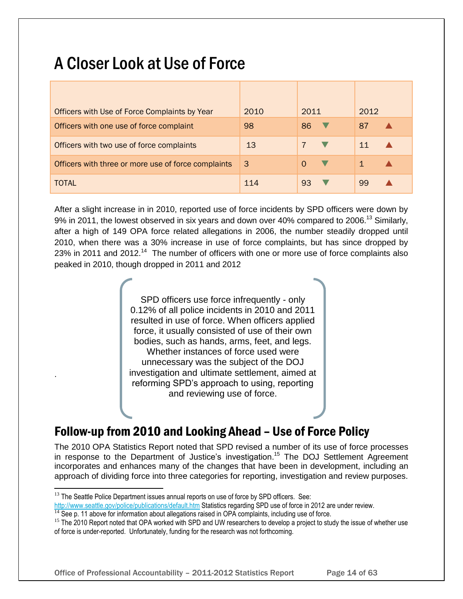# A Closer Look at Use of Force

| Officers with Use of Force Complaints by Year       | 2010 | 2011 | 2012 |
|-----------------------------------------------------|------|------|------|
| Officers with one use of force complaint            | 98   | 86   | 87   |
| Officers with two use of force complaints           | 13   |      | 11   |
| Officers with three or more use of force complaints | 3    |      |      |
| TOTAL                                               | 114  | 93   | 99   |

After a slight increase in in 2010, reported use of force incidents by SPD officers were down by 9% in 2011, the lowest observed in six years and down over 40% compared to 2006.<sup>13</sup> Similarly, after a high of 149 OPA force related allegations in 2006, the number steadily dropped until 2010, when there was a 30% increase in use of force complaints, but has since dropped by 23% in 2011 and 2012.<sup>14</sup> The number of officers with one or more use of force complaints also peaked in 2010, though dropped in 2011 and 2012

> SPD officers use force infrequently - only 0.12% of all police incidents in 2010 and 2011 resulted in use of force. When officers applied force, it usually consisted of use of their own bodies, such as hands, arms, feet, and legs. Whether instances of force used were unnecessary was the subject of the DOJ investigation and ultimate settlement, aimed at reforming SPD's approach to using, reporting and reviewing use of force.

## Follow-up from 2010 and Looking Ahead – Use of Force Policy

The 2010 OPA Statistics Report noted that SPD revised a number of its use of force processes in response to the Department of Justice's investigation.<sup>15</sup> The DOJ Settlement Agreement incorporates and enhances many of the changes that have been in development, including an approach of dividing force into three categories for reporting, investigation and review purposes.

.

l

 $13$  The Seattle Police Department issues annual reports on use of force by SPD officers. See:

<http://www.seattle.gov/police/publications/default.htm> Statistics regarding SPD use of force in 2012 are under review.

 $14$  See p. 11 above for information about allegations raised in OPA complaints, including use of force.

<sup>&</sup>lt;sup>15</sup> The 2010 Report noted that OPA worked with SPD and UW researchers to develop a project to study the issue of whether use of force is under-reported. Unfortunately, funding for the research was not forthcoming.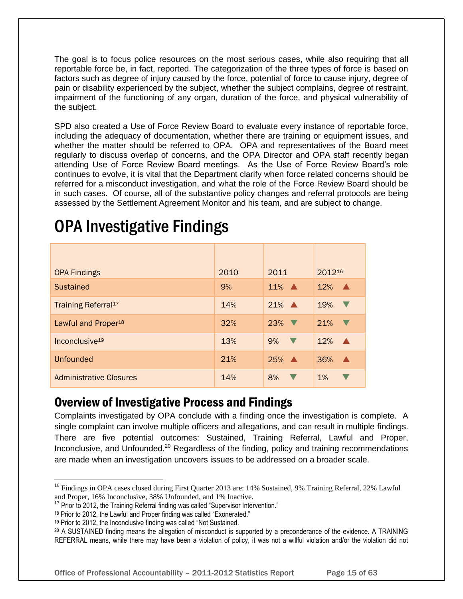The goal is to focus police resources on the most serious cases, while also requiring that all reportable force be, in fact, reported. The categorization of the three types of force is based on factors such as degree of injury caused by the force, potential of force to cause injury, degree of pain or disability experienced by the subject, whether the subject complains, degree of restraint, impairment of the functioning of any organ, duration of the force, and physical vulnerability of the subject.

SPD also created a Use of Force Review Board to evaluate every instance of reportable force, including the adequacy of documentation, whether there are training or equipment issues, and whether the matter should be referred to OPA. OPA and representatives of the Board meet regularly to discuss overlap of concerns, and the OPA Director and OPA staff recently began attending Use of Force Review Board meetings. As the Use of Force Review Board's role continues to evolve, it is vital that the Department clarify when force related concerns should be referred for a misconduct investigation, and what the role of the Force Review Board should be in such cases. Of course, all of the substantive policy changes and referral protocols are being assessed by the Settlement Agreement Monitor and his team, and are subject to change.

| <b>OPA Findings</b>             | 2010 | 2011               | 201216                  |
|---------------------------------|------|--------------------|-------------------------|
| <b>Sustained</b>                | 9%   | $11\%$ $\triangle$ | 12%<br>$\blacktriangle$ |
| Training Referral <sup>17</sup> | 14%  | $21\%$ $\triangle$ | 19%<br>V                |
| Lawful and Proper <sup>18</sup> | 32%  | $23\%$             | 21%                     |
| Inconclusive <sup>19</sup>      | 13%  | $9\%$              | 12%<br>$\blacktriangle$ |
| <b>Unfounded</b>                | 21%  | $25\%$ $\triangle$ | 36%<br>$\blacktriangle$ |
| <b>Administrative Closures</b>  | 14%  | 8%                 | $1\%$                   |

# OPA Investigative Findings

## Overview of Investigative Process and Findings

Complaints investigated by OPA conclude with a finding once the investigation is complete. A single complaint can involve multiple officers and allegations, and can result in multiple findings. There are five potential outcomes: Sustained, Training Referral, Lawful and Proper, Inconclusive, and Unfounded.<sup>20</sup> Regardless of the finding, policy and training recommendations are made when an investigation uncovers issues to be addressed on a broader scale.

l

Office of Professional Accountability – 2011-2012 Statistics Report Page 15 of 63

<sup>&</sup>lt;sup>16</sup> Findings in OPA cases closed during First Quarter 2013 are: 14% Sustained, 9% Training Referral, 22% Lawful and Proper, 16% Inconclusive, 38% Unfounded, and 1% Inactive.

 $17$  Prior to 2012, the Training Referral finding was called "Supervisor Intervention."

<sup>18</sup> Prior to 2012, the Lawful and Proper finding was called "Exonerated."

<sup>19</sup> Prior to 2012, the Inconclusive finding was called "Not Sustained.

<sup>20</sup> A SUSTAINED finding means the allegation of misconduct is supported by a preponderance of the evidence. A TRAINING REFERRAL means, while there may have been a violation of policy, it was not a willful violation and/or the violation did not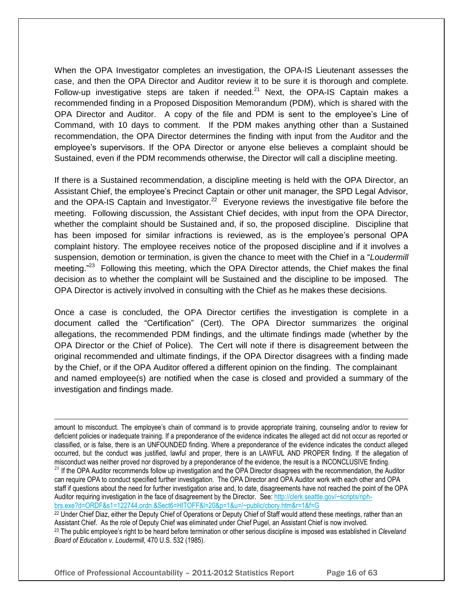When the OPA Investigator completes an investigation, the OPA-IS Lieutenant assesses the case, and then the OPA Director and Auditor review it to be sure it is thorough and complete. Follow-up investigative steps are taken if needed. $^{21}$  Next, the OPA-IS Captain makes a recommended finding in a Proposed Disposition Memorandum (PDM), which is shared with the OPA Director and Auditor. A copy of the file and PDM is sent to the employee's Line of Command, with 10 days to comment. If the PDM makes anything other than a Sustained recommendation, the OPA Director determines the finding with input from the Auditor and the employee's supervisors. If the OPA Director or anyone else believes a complaint should be Sustained, even if the PDM recommends otherwise, the Director will call a discipline meeting.

If there is a Sustained recommendation, a discipline meeting is held with the OPA Director, an Assistant Chief, the employee's Precinct Captain or other unit manager, the SPD Legal Advisor, and the OPA-IS Captain and Investigator.<sup>22</sup> Everyone reviews the investigative file before the meeting. Following discussion, the Assistant Chief decides, with input from the OPA Director, whether the complaint should be Sustained and, if so, the proposed discipline. Discipline that has been imposed for similar infractions is reviewed, as is the employee's personal OPA complaint history. The employee receives notice of the proposed discipline and if it involves a suspension, demotion or termination, is given the chance to meet with the Chief in a "*Loudermill*  meeting."<sup>23</sup> Following this meeting, which the OPA Director attends, the Chief makes the final decision as to whether the complaint will be Sustained and the discipline to be imposed. The OPA Director is actively involved in consulting with the Chief as he makes these decisions.

Once a case is concluded, the OPA Director certifies the investigation is complete in a document called the "Certification" (Cert). The OPA Director summarizes the original allegations, the recommended PDM findings, and the ultimate findings made (whether by the OPA Director or the Chief of Police). The Cert will note if there is disagreement between the original recommended and ultimate findings, if the OPA Director disagrees with a finding made by the Chief, or if the OPA Auditor offered a different opinion on the finding. The complainant and named employee(s) are notified when the case is closed and provided a summary of the investigation and findings made.

amount to misconduct. The employee's chain of command is to provide appropriate training, counseling and/or to review for deficient policies or inadequate training. If a preponderance of the evidence indicates the alleged act did not occur as reported or classified, or is false, there is an UNFOUNDED finding. Where a preponderance of the evidence indicates the conduct alleged occurred, but the conduct was justified, lawful and proper, there is an LAWFUL AND PROPER finding. If the allegation of misconduct was neither proved nor disproved by a preponderance of the evidence, the result is a INCONCLUSIVE finding. <sup>21</sup> If the OPA Auditor recommends follow up investigation and the OPA Director disagrees with the recommendation, the Auditor can require OPA to conduct specified further investigation. The OPA Director and OPA Auditor work with each other and OPA staff if questions about the need for further investigation arise and, to date, disagreements have not reached the point of the OPA Auditor requiring investigation in the face of disagreement by the Director. See: [http://clerk.seattle.gov/~scripts/nph](http://clerk.seattle.gov/~scripts/nph-brs.exe?d=ORDF&s1=122744.ordn.&Sect6=HITOFF&l=20&p=1&u=/~public/cbory.htm&r=1&f=G)[brs.exe?d=ORDF&s1=122744.ordn.&Sect6=HITOFF&l=20&p=1&u=/~public/cbory.htm&r=1&f=G](http://clerk.seattle.gov/~scripts/nph-brs.exe?d=ORDF&s1=122744.ordn.&Sect6=HITOFF&l=20&p=1&u=/~public/cbory.htm&r=1&f=G)

<sup>22</sup> Under Chief Diaz, either the Deputy Chief of Operations or Deputy Chief of Staff would attend these meetings, rather than an Assistant Chief. As the role of Deputy Chief was eliminated under Chief Pugel, an Assistant Chief is now involved. <sup>23</sup> The public employee's right to be heard before termination or other serious discipline is imposed was established in *Cleveland Board of Education v. Loudermill,* 470 U.S. 532 (1985).

Office of Professional Accountability – 2011-2012 Statistics Report Page 16 of 63

 $\overline{a}$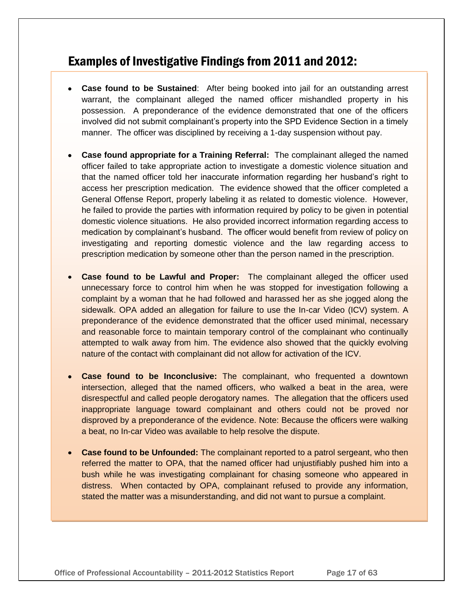## Examples of Investigative Findings from 2011 and 2012:

- **Case found to be Sustained**: After being booked into jail for an outstanding arrest warrant, the complainant alleged the named officer mishandled property in his possession. A preponderance of the evidence demonstrated that one of the officers involved did not submit complainant's property into the SPD Evidence Section in a timely manner. The officer was disciplined by receiving a 1-day suspension without pay.
- **Case found appropriate for a Training Referral:** The complainant alleged the named officer failed to take appropriate action to investigate a domestic violence situation and that the named officer told her inaccurate information regarding her husband's right to access her prescription medication. The evidence showed that the officer completed a General Offense Report, properly labeling it as related to domestic violence. However, he failed to provide the parties with information required by policy to be given in potential domestic violence situations. He also provided incorrect information regarding access to medication by complainant's husband. The officer would benefit from review of policy on investigating and reporting domestic violence and the law regarding access to prescription medication by someone other than the person named in the prescription.
- **Case found to be Lawful and Proper:** The complainant alleged the officer used unnecessary force to control him when he was stopped for investigation following a complaint by a woman that he had followed and harassed her as she jogged along the sidewalk. OPA added an allegation for failure to use the In-car Video (ICV) system. A preponderance of the evidence demonstrated that the officer used minimal, necessary and reasonable force to maintain temporary control of the complainant who continually attempted to walk away from him. The evidence also showed that the quickly evolving nature of the contact with complainant did not allow for activation of the ICV.
- **Case found to be Inconclusive:** The complainant, who frequented a downtown intersection, alleged that the named officers, who walked a beat in the area, were disrespectful and called people derogatory names. The allegation that the officers used inappropriate language toward complainant and others could not be proved nor disproved by a preponderance of the evidence. Note: Because the officers were walking a beat, no In-car Video was available to help resolve the dispute.
- **Case found to be Unfounded:** The complainant reported to a patrol sergeant, who then referred the matter to OPA, that the named officer had unjustifiably pushed him into a bush while he was investigating complainant for chasing someone who appeared in distress. When contacted by OPA, complainant refused to provide any information, stated the matter was a misunderstanding, and did not want to pursue a complaint.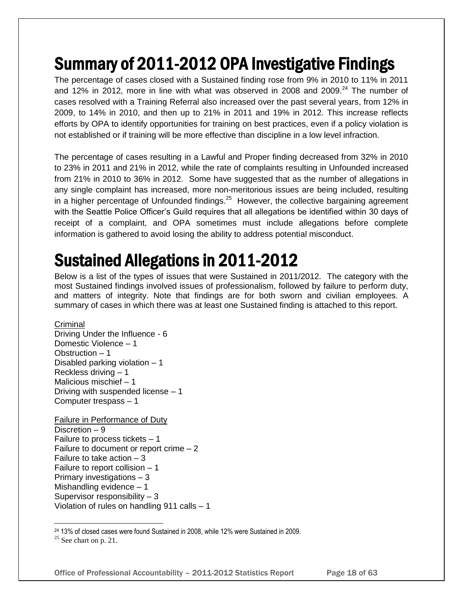# Summary of 2011-2012 OPA Investigative Findings

The percentage of cases closed with a Sustained finding rose from 9% in 2010 to 11% in 2011 and 12% in 2012, more in line with what was observed in 2008 and 2009. $^{24}$  The number of cases resolved with a Training Referral also increased over the past several years, from 12% in 2009, to 14% in 2010, and then up to 21% in 2011 and 19% in 2012. This increase reflects efforts by OPA to identify opportunities for training on best practices, even if a policy violation is not established or if training will be more effective than discipline in a low level infraction.

The percentage of cases resulting in a Lawful and Proper finding decreased from 32% in 2010 to 23% in 2011 and 21% in 2012, while the rate of complaints resulting in Unfounded increased from 21% in 2010 to 36% in 2012. Some have suggested that as the number of allegations in any single complaint has increased, more non-meritorious issues are being included, resulting in a higher percentage of Unfounded findings.<sup>25</sup> However, the collective bargaining agreement with the Seattle Police Officer's Guild requires that all allegations be identified within 30 days of receipt of a complaint, and OPA sometimes must include allegations before complete information is gathered to avoid losing the ability to address potential misconduct.

# Sustained Allegations in 2011-2012

Below is a list of the types of issues that were Sustained in 2011/2012. The category with the most Sustained findings involved issues of professionalism, followed by failure to perform duty, and matters of integrity. Note that findings are for both sworn and civilian employees. A summary of cases in which there was at least one Sustained finding is attached to this report.

### **Criminal**

Driving Under the Influence - 6 Domestic Violence – 1 Obstruction – 1 Disabled parking violation – 1 Reckless driving – 1 Malicious mischief – 1 Driving with suspended license – 1 Computer trespass – 1

Failure in Performance of Duty Discretion – 9 Failure to process tickets – 1 Failure to document or report crime – 2 Failure to take action – 3 Failure to report collision – 1 Primary investigations – 3 Mishandling evidence – 1 Supervisor responsibility – 3 Violation of rules on handling 911 calls – 1

 $25$  See chart on p. 21.

l

Office of Professional Accountability – 2011-2012 Statistics Report Page 18 of 63

<sup>24</sup> 13% of closed cases were found Sustained in 2008, while 12% were Sustained in 2009.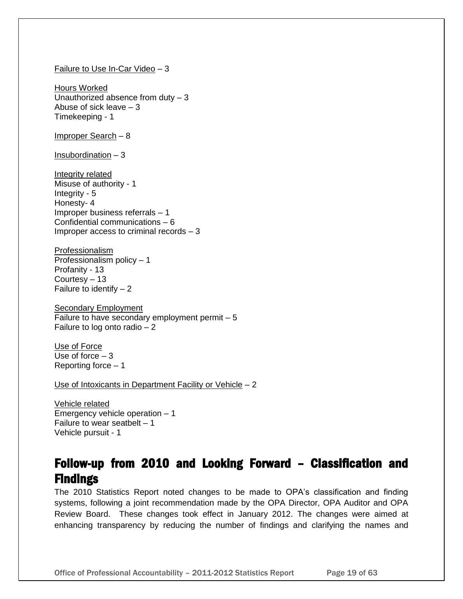#### Failure to Use In-Car Video – 3

Hours Worked Unauthorized absence from duty – 3 Abuse of sick leave – 3 Timekeeping - 1

Improper Search – 8

Insubordination – 3

Integrity related Misuse of authority - 1 Integrity - 5 Honesty- 4 Improper business referrals – 1 Confidential communications – 6 Improper access to criminal records – 3

Professionalism Professionalism policy – 1 Profanity - 13 Courtesy – 13 Failure to identify  $-2$ 

**Secondary Employment** Failure to have secondary employment permit  $-5$ Failure to log onto radio – 2

Use of Force Use of force  $-3$ Reporting force – 1

Use of Intoxicants in Department Facility or Vehicle – 2

Vehicle related Emergency vehicle operation – 1 Failure to wear seatbelt  $-1$ Vehicle pursuit - 1

## Follow-up from 2010 and Looking Forward – Classification and Findings

The 2010 Statistics Report noted changes to be made to OPA's classification and finding systems, following a joint recommendation made by the OPA Director, OPA Auditor and OPA Review Board. These changes took effect in January 2012. The changes were aimed at enhancing transparency by reducing the number of findings and clarifying the names and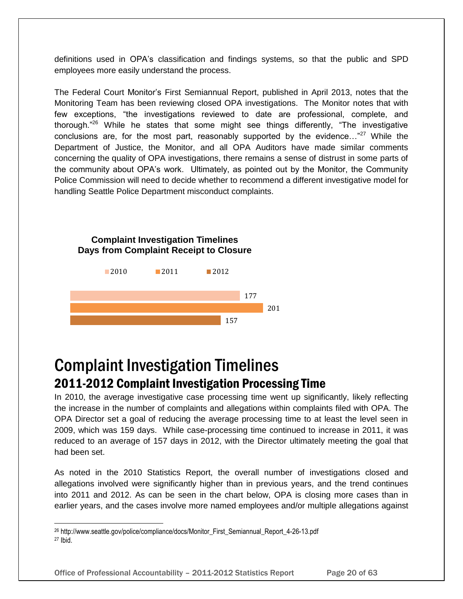definitions used in OPA's classification and findings systems, so that the public and SPD employees more easily understand the process.

The Federal Court Monitor's First Semiannual Report, published in April 2013, notes that the Monitoring Team has been reviewing closed OPA investigations. The Monitor notes that with few exceptions, "the investigations reviewed to date are professional, complete, and thorough."<sup>26</sup> While he states that some might see things differently, "The investigative conclusions are, for the most part, reasonably supported by the evidence..."<sup>27</sup> While the Department of Justice, the Monitor, and all OPA Auditors have made similar comments concerning the quality of OPA investigations, there remains a sense of distrust in some parts of the community about OPA's work. Ultimately, as pointed out by the Monitor, the Community Police Commission will need to decide whether to recommend a different investigative model for handling Seattle Police Department misconduct complaints.

#### **Complaint Investigation Timelines Days from Complaint Receipt to Closure**



## Complaint Investigation Timelines 2011-2012 Complaint Investigation Processing Time

In 2010, the average investigative case processing time went up significantly, likely reflecting the increase in the number of complaints and allegations within complaints filed with OPA. The OPA Director set a goal of reducing the average processing time to at least the level seen in 2009, which was 159 days. While case-processing time continued to increase in 2011, it was reduced to an average of 157 days in 2012, with the Director ultimately meeting the goal that had been set.

As noted in the 2010 Statistics Report, the overall number of investigations closed and allegations involved were significantly higher than in previous years, and the trend continues into 2011 and 2012. As can be seen in the chart below, OPA is closing more cases than in earlier years, and the cases involve more named employees and/or multiple allegations against

l

Office of Professional Accountability – 2011-2012 Statistics Report Page 20 of 63

<sup>26</sup> http://www.seattle.gov/police/compliance/docs/Monitor\_First\_Semiannual\_Report\_4-26-13.pdf <sup>27</sup> Ibid.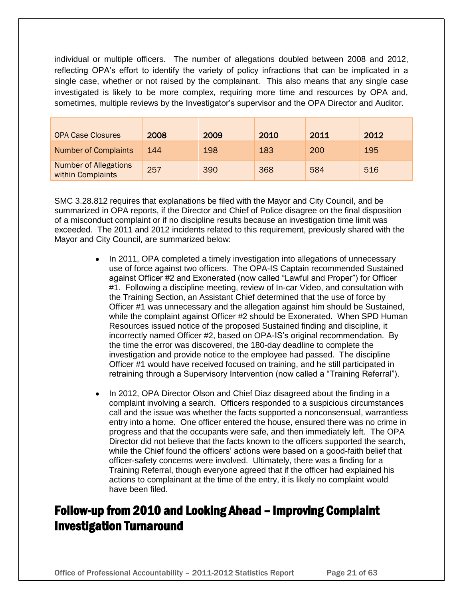individual or multiple officers. The number of allegations doubled between 2008 and 2012, reflecting OPA's effort to identify the variety of policy infractions that can be implicated in a single case, whether or not raised by the complainant. This also means that any single case investigated is likely to be more complex, requiring more time and resources by OPA and, sometimes, multiple reviews by the Investigator's supervisor and the OPA Director and Auditor.

| <b>OPA Case Closures</b>                          | 2008 | 2009 | 2010 | 2011 | 2012 |
|---------------------------------------------------|------|------|------|------|------|
| <b>Number of Complaints</b>                       | 144  | 198  | 183  | 200  | 195  |
| <b>Number of Allegations</b><br>within Complaints | 257  | 390  | 368  | 584  | 516  |

SMC 3.28.812 requires that explanations be filed with the Mayor and City Council, and be summarized in OPA reports, if the Director and Chief of Police disagree on the final disposition of a misconduct complaint or if no discipline results because an investigation time limit was exceeded. The 2011 and 2012 incidents related to this requirement, previously shared with the Mayor and City Council, are summarized below:

- In 2011, OPA completed a timely investigation into allegations of unnecessary  $\bullet$ use of force against two officers. The OPA-IS Captain recommended Sustained against Officer #2 and Exonerated (now called "Lawful and Proper") for Officer #1. Following a discipline meeting, review of In-car Video, and consultation with the Training Section, an Assistant Chief determined that the use of force by Officer #1 was unnecessary and the allegation against him should be Sustained, while the complaint against Officer #2 should be Exonerated. When SPD Human Resources issued notice of the proposed Sustained finding and discipline, it incorrectly named Officer #2, based on OPA-IS's original recommendation. By the time the error was discovered, the 180-day deadline to complete the investigation and provide notice to the employee had passed. The discipline Officer #1 would have received focused on training, and he still participated in retraining through a Supervisory Intervention (now called a "Training Referral").
- In 2012, OPA Director Olson and Chief Diaz disagreed about the finding in a complaint involving a search. Officers responded to a suspicious circumstances call and the issue was whether the facts supported a nonconsensual, warrantless entry into a home. One officer entered the house, ensured there was no crime in progress and that the occupants were safe, and then immediately left. The OPA Director did not believe that the facts known to the officers supported the search, while the Chief found the officers' actions were based on a good-faith belief that officer-safety concerns were involved. Ultimately, there was a finding for a Training Referral, though everyone agreed that if the officer had explained his actions to complainant at the time of the entry, it is likely no complaint would have been filed.

## Follow-up from 2010 and Looking Ahead – Improving Complaint Investigation Turnaround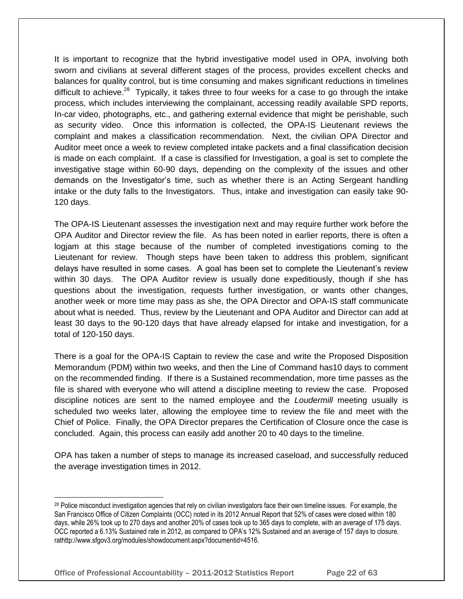It is important to recognize that the hybrid investigative model used in OPA, involving both sworn and civilians at several different stages of the process, provides excellent checks and balances for quality control, but is time consuming and makes significant reductions in timelines difficult to achieve.<sup>28</sup> Typically, it takes three to four weeks for a case to go through the intake process, which includes interviewing the complainant, accessing readily available SPD reports, In-car video, photographs, etc., and gathering external evidence that might be perishable, such as security video. Once this information is collected, the OPA-IS Lieutenant reviews the complaint and makes a classification recommendation. Next, the civilian OPA Director and Auditor meet once a week to review completed intake packets and a final classification decision is made on each complaint. If a case is classified for Investigation, a goal is set to complete the investigative stage within 60-90 days, depending on the complexity of the issues and other demands on the Investigator's time, such as whether there is an Acting Sergeant handling intake or the duty falls to the Investigators. Thus, intake and investigation can easily take 90- 120 days.

The OPA-IS Lieutenant assesses the investigation next and may require further work before the OPA Auditor and Director review the file. As has been noted in earlier reports, there is often a logjam at this stage because of the number of completed investigations coming to the Lieutenant for review. Though steps have been taken to address this problem, significant delays have resulted in some cases. A goal has been set to complete the Lieutenant's review within 30 days. The OPA Auditor review is usually done expeditiously, though if she has questions about the investigation, requests further investigation, or wants other changes, another week or more time may pass as she, the OPA Director and OPA-IS staff communicate about what is needed. Thus, review by the Lieutenant and OPA Auditor and Director can add at least 30 days to the 90-120 days that have already elapsed for intake and investigation, for a total of 120-150 days.

There is a goal for the OPA-IS Captain to review the case and write the Proposed Disposition Memorandum (PDM) within two weeks, and then the Line of Command has10 days to comment on the recommended finding. If there is a Sustained recommendation, more time passes as the file is shared with everyone who will attend a discipline meeting to review the case. Proposed discipline notices are sent to the named employee and the *Loudermill* meeting usually is scheduled two weeks later, allowing the employee time to review the file and meet with the Chief of Police. Finally, the OPA Director prepares the Certification of Closure once the case is concluded. Again, this process can easily add another 20 to 40 days to the timeline.

OPA has taken a number of steps to manage its increased caseload, and successfully reduced the average investigation times in 2012.

l

<sup>28</sup> Police misconduct investigation agencies that rely on civilian investigators face their own timeline issues. For example, the San Francisco Office of Citizen Complaints (OCC) noted in its 2012 Annual Report that 52% of cases were closed within 180 days, while 26% took up to 270 days and another 20% of cases took up to 365 days to complete, with an average of 175 days. OCC reported a 6.13% Sustained rate in 2012, as compared to OPA's 12% Sustained and an average of 157 days to closure. rathttp://www.sfgov3.org/modules/showdocument.aspx?documentid=4516.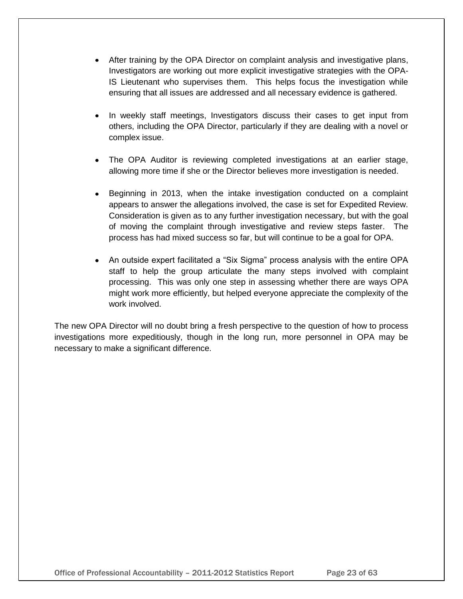- After training by the OPA Director on complaint analysis and investigative plans, Investigators are working out more explicit investigative strategies with the OPA-IS Lieutenant who supervises them. This helps focus the investigation while ensuring that all issues are addressed and all necessary evidence is gathered.
- $\bullet$ In weekly staff meetings, Investigators discuss their cases to get input from others, including the OPA Director, particularly if they are dealing with a novel or complex issue.
- The OPA Auditor is reviewing completed investigations at an earlier stage, allowing more time if she or the Director believes more investigation is needed.
- Beginning in 2013, when the intake investigation conducted on a complaint appears to answer the allegations involved, the case is set for Expedited Review. Consideration is given as to any further investigation necessary, but with the goal of moving the complaint through investigative and review steps faster. The process has had mixed success so far, but will continue to be a goal for OPA.
- An outside expert facilitated a "Six Sigma" process analysis with the entire OPA staff to help the group articulate the many steps involved with complaint processing. This was only one step in assessing whether there are ways OPA might work more efficiently, but helped everyone appreciate the complexity of the work involved.

The new OPA Director will no doubt bring a fresh perspective to the question of how to process investigations more expeditiously, though in the long run, more personnel in OPA may be necessary to make a significant difference.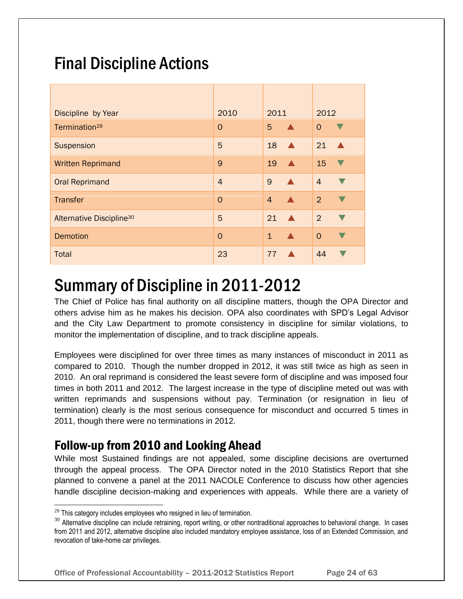# Final Discipline Actions

| Discipline by Year                   | 2010           | 2011                             | 2012           |
|--------------------------------------|----------------|----------------------------------|----------------|
| Termination <sup>29</sup>            | $\Omega$       | 5<br>$\blacktriangle$            | $\Omega$       |
| Suspension                           | 5              | 18<br>$\blacktriangle$           | 21             |
| <b>Written Reprimand</b>             | 9              | 19<br>$\blacktriangle$           | 15             |
| <b>Oral Reprimand</b>                | $\overline{4}$ | 9<br>$\blacktriangle$            | $\overline{4}$ |
| <b>Transfer</b>                      | $\Omega$       | $\overline{4}$                   | $\overline{2}$ |
| Alternative Discipline <sup>30</sup> | 5              | 21<br>$\blacktriangle$           | 2              |
| <b>Demotion</b>                      | $\Omega$       | $\mathbf{1}$<br>$\blacktriangle$ | $\Omega$       |
| <b>Total</b>                         | 23             | 77                               | 44             |

# Summary of Discipline in 2011-2012

The Chief of Police has final authority on all discipline matters, though the OPA Director and others advise him as he makes his decision. OPA also coordinates with SPD's Legal Advisor and the City Law Department to promote consistency in discipline for similar violations, to monitor the implementation of discipline, and to track discipline appeals.

Employees were disciplined for over three times as many instances of misconduct in 2011 as compared to 2010. Though the number dropped in 2012, it was still twice as high as seen in 2010. An oral reprimand is considered the least severe form of discipline and was imposed four times in both 2011 and 2012. The largest increase in the type of discipline meted out was with written reprimands and suspensions without pay. Termination (or resignation in lieu of termination) clearly is the most serious consequence for misconduct and occurred 5 times in 2011, though there were no terminations in 2012.

## Follow-up from 2010 and Looking Ahead

While most Sustained findings are not appealed, some discipline decisions are overturned through the appeal process. The OPA Director noted in the 2010 Statistics Report that she planned to convene a panel at the 2011 NACOLE Conference to discuss how other agencies handle discipline decision-making and experiences with appeals. While there are a variety of

l

 $^{29}$  This category includes employees who resigned in lieu of termination.

<sup>&</sup>lt;sup>30</sup> Alternative discipline can include retraining, report writing, or other nontraditional approaches to behavioral change. In cases from 2011 and 2012, alternative discipline also included mandatory employee assistance, loss of an Extended Commission, and revocation of take-home car privileges.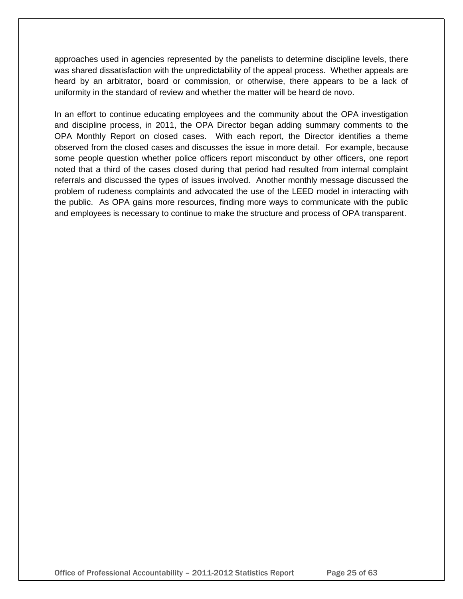approaches used in agencies represented by the panelists to determine discipline levels, there was shared dissatisfaction with the unpredictability of the appeal process. Whether appeals are heard by an arbitrator, board or commission, or otherwise, there appears to be a lack of uniformity in the standard of review and whether the matter will be heard de novo.

In an effort to continue educating employees and the community about the OPA investigation and discipline process, in 2011, the OPA Director began adding summary comments to the OPA Monthly Report on closed cases. With each report, the Director identifies a theme observed from the closed cases and discusses the issue in more detail. For example, because some people question whether police officers report misconduct by other officers, one report noted that a third of the cases closed during that period had resulted from internal complaint referrals and discussed the types of issues involved. Another monthly message discussed the problem of rudeness complaints and advocated the use of the LEED model in interacting with the public. As OPA gains more resources, finding more ways to communicate with the public and employees is necessary to continue to make the structure and process of OPA transparent.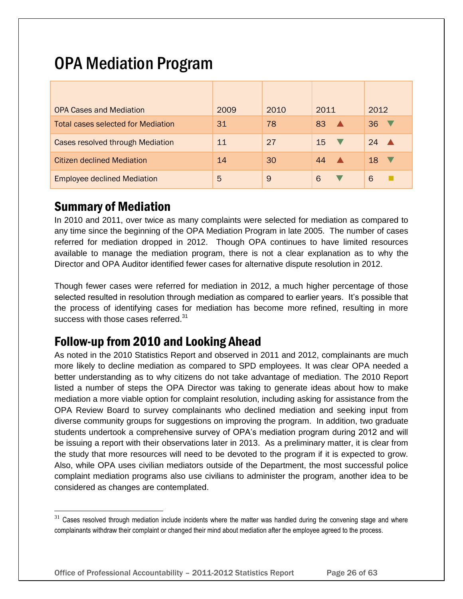# OPA Mediation Program

| <b>OPA Cases and Mediation</b>            | 2009 | 2010 | 2011           | 2012                   |
|-------------------------------------------|------|------|----------------|------------------------|
| <b>Total cases selected for Mediation</b> | 31   | 78   | 83             | 36                     |
| <b>Cases resolved through Mediation</b>   | 11   | 27   | 15<br><b>I</b> | 24<br>$\blacktriangle$ |
| Citizen declined Mediation                | 14   | 30   | 44             | 18<br><b>V</b>         |
| <b>Employee declined Mediation</b>        | 5    | 9    | 6              | 6                      |

## Summary of Mediation

l

In 2010 and 2011, over twice as many complaints were selected for mediation as compared to any time since the beginning of the OPA Mediation Program in late 2005. The number of cases referred for mediation dropped in 2012. Though OPA continues to have limited resources available to manage the mediation program, there is not a clear explanation as to why the Director and OPA Auditor identified fewer cases for alternative dispute resolution in 2012.

Though fewer cases were referred for mediation in 2012, a much higher percentage of those selected resulted in resolution through mediation as compared to earlier years. It's possible that the process of identifying cases for mediation has become more refined, resulting in more success with those cases referred.<sup>31</sup>

## Follow-up from 2010 and Looking Ahead

As noted in the 2010 Statistics Report and observed in 2011 and 2012, complainants are much more likely to decline mediation as compared to SPD employees. It was clear OPA needed a better understanding as to why citizens do not take advantage of mediation. The 2010 Report listed a number of steps the OPA Director was taking to generate ideas about how to make mediation a more viable option for complaint resolution, including asking for assistance from the OPA Review Board to survey complainants who declined mediation and seeking input from diverse community groups for suggestions on improving the program. In addition, two graduate students undertook a comprehensive survey of OPA's mediation program during 2012 and will be issuing a report with their observations later in 2013. As a preliminary matter, it is clear from the study that more resources will need to be devoted to the program if it is expected to grow. Also, while OPA uses civilian mediators outside of the Department, the most successful police complaint mediation programs also use civilians to administer the program, another idea to be considered as changes are contemplated.

 $31$  Cases resolved through mediation include incidents where the matter was handled during the convening stage and where complainants withdraw their complaint or changed their mind about mediation after the employee agreed to the process.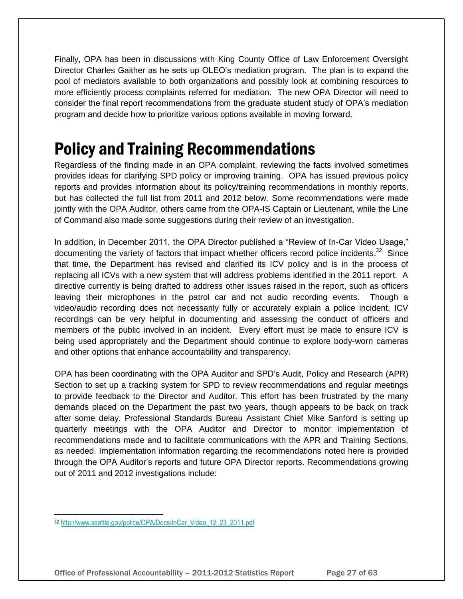Finally, OPA has been in discussions with King County Office of Law Enforcement Oversight Director Charles Gaither as he sets up OLEO's mediation program. The plan is to expand the pool of mediators available to both organizations and possibly look at combining resources to more efficiently process complaints referred for mediation. The new OPA Director will need to consider the final report recommendations from the graduate student study of OPA's mediation program and decide how to prioritize various options available in moving forward.

# Policy and Training Recommendations

Regardless of the finding made in an OPA complaint, reviewing the facts involved sometimes provides ideas for clarifying SPD policy or improving training. OPA has issued previous policy reports and provides information about its policy/training recommendations in monthly reports, but has collected the full list from 2011 and 2012 below. Some recommendations were made jointly with the OPA Auditor, others came from the OPA-IS Captain or Lieutenant, while the Line of Command also made some suggestions during their review of an investigation.

In addition, in December 2011, the OPA Director published a "Review of In-Car Video Usage," documenting the variety of factors that impact whether officers record police incidents.<sup>32</sup> Since that time, the Department has revised and clarified its ICV policy and is in the process of replacing all ICVs with a new system that will address problems identified in the 2011 report. A directive currently is being drafted to address other issues raised in the report, such as officers leaving their microphones in the patrol car and not audio recording events. Though a video/audio recording does not necessarily fully or accurately explain a police incident, ICV recordings can be very helpful in documenting and assessing the conduct of officers and members of the public involved in an incident. Every effort must be made to ensure ICV is being used appropriately and the Department should continue to explore body-worn cameras and other options that enhance accountability and transparency.

OPA has been coordinating with the OPA Auditor and SPD's Audit, Policy and Research (APR) Section to set up a tracking system for SPD to review recommendations and regular meetings to provide feedback to the Director and Auditor. This effort has been frustrated by the many demands placed on the Department the past two years, though appears to be back on track after some delay. Professional Standards Bureau Assistant Chief Mike Sanford is setting up quarterly meetings with the OPA Auditor and Director to monitor implementation of recommendations made and to facilitate communications with the APR and Training Sections, as needed. Implementation information regarding the recommendations noted here is provided through the OPA Auditor's reports and future OPA Director reports. Recommendations growing out of 2011 and 2012 investigations include:

l

<sup>32</sup> [http://www.seattle.gov/police/OPA/Docs/InCar\\_Video\\_12\\_23\\_2011.pdf](http://www.seattle.gov/police/OPA/Docs/InCar_Video_12_23_2011.pdf)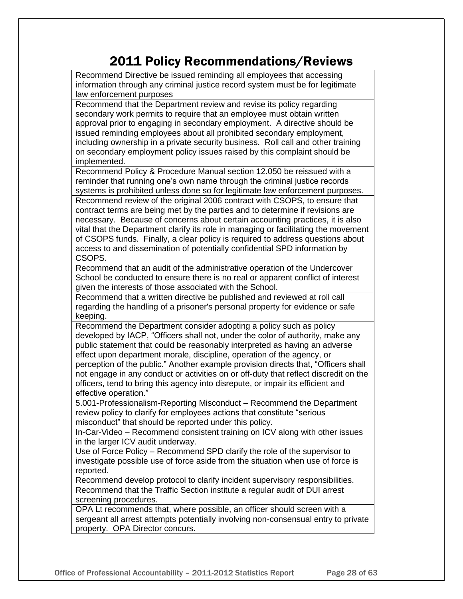## 2011 Policy Recommendations/Reviews

Recommend Directive be issued reminding all employees that accessing information through any criminal justice record system must be for legitimate law enforcement purposes Recommend that the Department review and revise its policy regarding secondary work permits to require that an employee must obtain written approval prior to engaging in secondary employment. A directive should be issued reminding employees about all prohibited secondary employment, including ownership in a private security business. Roll call and other training

on secondary employment policy issues raised by this complaint should be implemented. Recommend Policy & Procedure Manual section 12.050 be reissued with a reminder that running one's own name through the criminal justice records

systems is prohibited unless done so for legitimate law enforcement purposes. Recommend review of the original 2006 contract with CSOPS, to ensure that contract terms are being met by the parties and to determine if revisions are necessary. Because of concerns about certain accounting practices, it is also vital that the Department clarify its role in managing or facilitating the movement of CSOPS funds. Finally, a clear policy is required to address questions about access to and dissemination of potentially confidential SPD information by CSOPS.

Recommend that an audit of the administrative operation of the Undercover School be conducted to ensure there is no real or apparent conflict of interest given the interests of those associated with the School.

Recommend that a written directive be published and reviewed at roll call regarding the handling of a prisoner's personal property for evidence or safe keeping.

Recommend the Department consider adopting a policy such as policy developed by IACP, "Officers shall not, under the color of authority, make any public statement that could be reasonably interpreted as having an adverse effect upon department morale, discipline, operation of the agency, or perception of the public." Another example provision directs that, "Officers shall not engage in any conduct or activities on or off-duty that reflect discredit on the officers, tend to bring this agency into disrepute, or impair its efficient and effective operation."

5.001-Professionalism-Reporting Misconduct – Recommend the Department review policy to clarify for employees actions that constitute "serious misconduct" that should be reported under this policy.

In-Car-Video – Recommend consistent training on ICV along with other issues in the larger ICV audit underway.

Use of Force Policy – Recommend SPD clarify the role of the supervisor to investigate possible use of force aside from the situation when use of force is reported.

Recommend develop protocol to clarify incident supervisory responsibilities. Recommend that the Traffic Section institute a regular audit of DUI arrest screening procedures.

OPA Lt recommends that, where possible, an officer should screen with a sergeant all arrest attempts potentially involving non-consensual entry to private property. OPA Director concurs.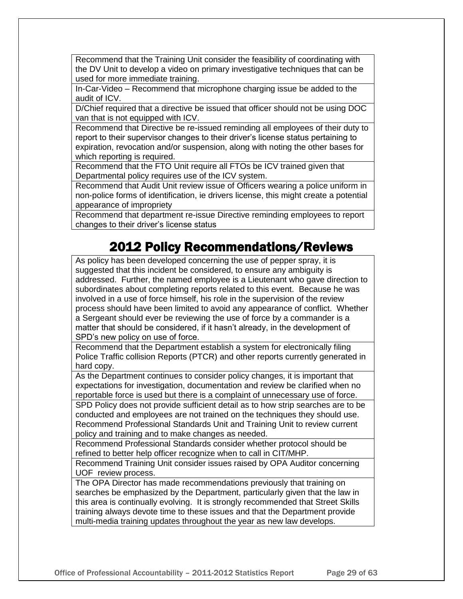Recommend that the Training Unit consider the feasibility of coordinating with the DV Unit to develop a video on primary investigative techniques that can be used for more immediate training.

In-Car-Video – Recommend that microphone charging issue be added to the audit of ICV.

D/Chief required that a directive be issued that officer should not be using DOC van that is not equipped with ICV.

Recommend that Directive be re-issued reminding all employees of their duty to report to their supervisor changes to their driver's license status pertaining to expiration, revocation and/or suspension, along with noting the other bases for which reporting is required.

Recommend that the FTO Unit require all FTOs be ICV trained given that Departmental policy requires use of the ICV system.

Recommend that Audit Unit review issue of Officers wearing a police uniform in non-police forms of identification, ie drivers license, this might create a potential appearance of impropriety

Recommend that department re-issue Directive reminding employees to report changes to their driver's license status

## 2012 Policy Recommendations/Reviews

As policy has been developed concerning the use of pepper spray, it is suggested that this incident be considered, to ensure any ambiguity is addressed. Further, the named employee is a Lieutenant who gave direction to subordinates about completing reports related to this event. Because he was involved in a use of force himself, his role in the supervision of the review process should have been limited to avoid any appearance of conflict. Whether a Sergeant should ever be reviewing the use of force by a commander is a matter that should be considered, if it hasn't already, in the development of SPD's new policy on use of force.

Recommend that the Department establish a system for electronically filing Police Traffic collision Reports (PTCR) and other reports currently generated in hard copy.

As the Department continues to consider policy changes, it is important that expectations for investigation, documentation and review be clarified when no reportable force is used but there is a complaint of unnecessary use of force.

SPD Policy does not provide sufficient detail as to how strip searches are to be conducted and employees are not trained on the techniques they should use. Recommend Professional Standards Unit and Training Unit to review current policy and training and to make changes as needed.

Recommend Professional Standards consider whether protocol should be refined to better help officer recognize when to call in CIT/MHP.

Recommend Training Unit consider issues raised by OPA Auditor concerning UOF review process.

The OPA Director has made recommendations previously that training on searches be emphasized by the Department, particularly given that the law in this area is continually evolving. It is strongly recommended that Street Skills training always devote time to these issues and that the Department provide multi-media training updates throughout the year as new law develops.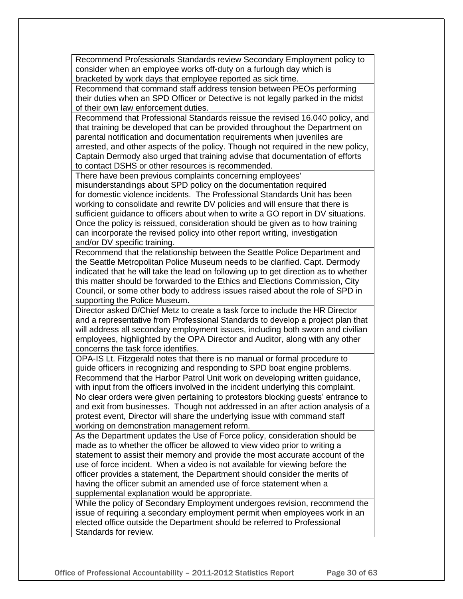Recommend Professionals Standards review Secondary Employment policy to consider when an employee works off-duty on a furlough day which is bracketed by work days that employee reported as sick time.

Recommend that command staff address tension between PEOs performing their duties when an SPD Officer or Detective is not legally parked in the midst of their own law enforcement duties.

Recommend that Professional Standards reissue the revised 16.040 policy, and that training be developed that can be provided throughout the Department on parental notification and documentation requirements when juveniles are arrested, and other aspects of the policy. Though not required in the new policy, Captain Dermody also urged that training advise that documentation of efforts to contact DSHS or other resources is recommended.

There have been previous complaints concerning employees' misunderstandings about SPD policy on the documentation required for domestic violence incidents. The Professional Standards Unit has been working to consolidate and rewrite DV policies and will ensure that there is sufficient guidance to officers about when to write a GO report in DV situations. Once the policy is reissued, consideration should be given as to how training can incorporate the revised policy into other report writing, investigation and/or DV specific training.

Recommend that the relationship between the Seattle Police Department and the Seattle Metropolitan Police Museum needs to be clarified. Capt. Dermody indicated that he will take the lead on following up to get direction as to whether this matter should be forwarded to the Ethics and Elections Commission, City Council, or some other body to address issues raised about the role of SPD in supporting the Police Museum.

Director asked D/Chief Metz to create a task force to include the HR Director and a representative from Professional Standards to develop a project plan that will address all secondary employment issues, including both sworn and civilian employees, highlighted by the OPA Director and Auditor, along with any other concerns the task force identifies.

OPA-IS Lt. Fitzgerald notes that there is no manual or formal procedure to guide officers in recognizing and responding to SPD boat engine problems. Recommend that the Harbor Patrol Unit work on developing written guidance, with input from the officers involved in the incident underlying this complaint.

No clear orders were given pertaining to protestors blocking guests' entrance to and exit from businesses. Though not addressed in an after action analysis of a protest event, Director will share the underlying issue with command staff working on demonstration management reform.

As the Department updates the Use of Force policy, consideration should be made as to whether the officer be allowed to view video prior to writing a statement to assist their memory and provide the most accurate account of the use of force incident. When a video is not available for viewing before the officer provides a statement, the Department should consider the merits of having the officer submit an amended use of force statement when a supplemental explanation would be appropriate.

While the policy of Secondary Employment undergoes revision, recommend the issue of requiring a secondary employment permit when employees work in an elected office outside the Department should be referred to Professional Standards for review.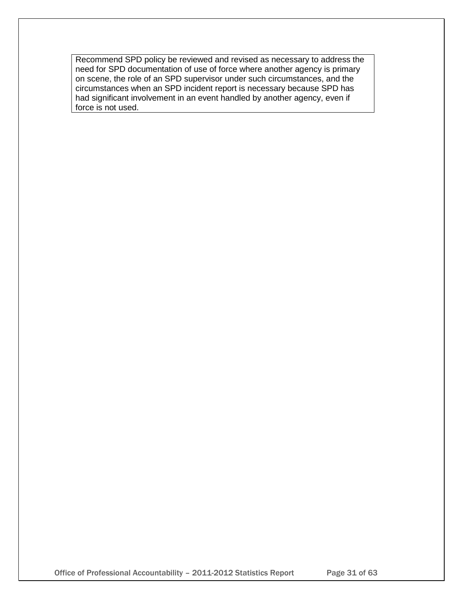Recommend SPD policy be reviewed and revised as necessary to address the need for SPD documentation of use of force where another agency is primary on scene, the role of an SPD supervisor under such circumstances, and the circumstances when an SPD incident report is necessary because SPD has had significant involvement in an event handled by another agency, even if force is not used.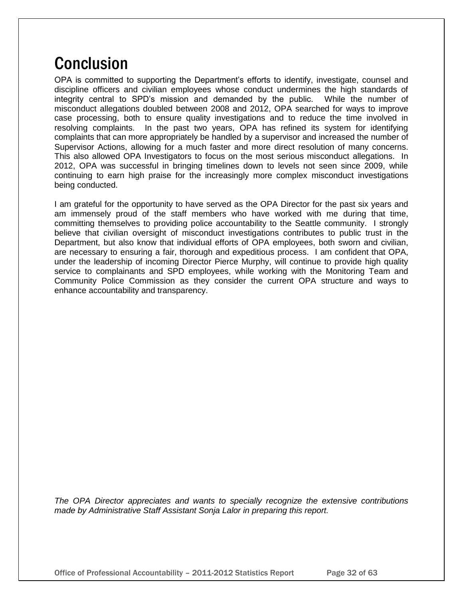# **Conclusion**

OPA is committed to supporting the Department's efforts to identify, investigate, counsel and discipline officers and civilian employees whose conduct undermines the high standards of integrity central to SPD's mission and demanded by the public. While the number of misconduct allegations doubled between 2008 and 2012, OPA searched for ways to improve case processing, both to ensure quality investigations and to reduce the time involved in resolving complaints. In the past two years, OPA has refined its system for identifying complaints that can more appropriately be handled by a supervisor and increased the number of Supervisor Actions, allowing for a much faster and more direct resolution of many concerns. This also allowed OPA Investigators to focus on the most serious misconduct allegations. In 2012, OPA was successful in bringing timelines down to levels not seen since 2009, while continuing to earn high praise for the increasingly more complex misconduct investigations being conducted.

I am grateful for the opportunity to have served as the OPA Director for the past six years and am immensely proud of the staff members who have worked with me during that time, committing themselves to providing police accountability to the Seattle community. I strongly believe that civilian oversight of misconduct investigations contributes to public trust in the Department, but also know that individual efforts of OPA employees, both sworn and civilian, are necessary to ensuring a fair, thorough and expeditious process. I am confident that OPA, under the leadership of incoming Director Pierce Murphy, will continue to provide high quality service to complainants and SPD employees, while working with the Monitoring Team and Community Police Commission as they consider the current OPA structure and ways to enhance accountability and transparency.

*The OPA Director appreciates and wants to specially recognize the extensive contributions made by Administrative Staff Assistant Sonja Lalor in preparing this report.*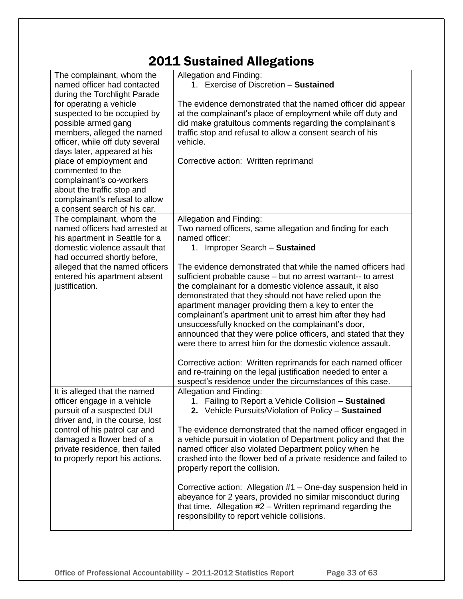## 2011 Sustained Allegations

| The complainant, whom the<br>named officer had contacted                                                                                                                                                                                 | Allegation and Finding:<br>1. Exercise of Discretion - Sustained                                                                                                                                                                                                                                                                                                                                                                                                                                                                                                                                                                                                                                                                                                                            |
|------------------------------------------------------------------------------------------------------------------------------------------------------------------------------------------------------------------------------------------|---------------------------------------------------------------------------------------------------------------------------------------------------------------------------------------------------------------------------------------------------------------------------------------------------------------------------------------------------------------------------------------------------------------------------------------------------------------------------------------------------------------------------------------------------------------------------------------------------------------------------------------------------------------------------------------------------------------------------------------------------------------------------------------------|
| during the Torchlight Parade<br>for operating a vehicle<br>suspected to be occupied by<br>possible armed gang<br>members, alleged the named<br>officer, while off duty several<br>days later, appeared at his<br>place of employment and | The evidence demonstrated that the named officer did appear<br>at the complainant's place of employment while off duty and<br>did make gratuitous comments regarding the complainant's<br>traffic stop and refusal to allow a consent search of his<br>vehicle.<br>Corrective action: Written reprimand                                                                                                                                                                                                                                                                                                                                                                                                                                                                                     |
| commented to the<br>complainant's co-workers<br>about the traffic stop and<br>complainant's refusal to allow<br>a consent search of his car.                                                                                             |                                                                                                                                                                                                                                                                                                                                                                                                                                                                                                                                                                                                                                                                                                                                                                                             |
| The complainant, whom the<br>named officers had arrested at<br>his apartment in Seattle for a                                                                                                                                            | Allegation and Finding:<br>Two named officers, same allegation and finding for each<br>named officer:                                                                                                                                                                                                                                                                                                                                                                                                                                                                                                                                                                                                                                                                                       |
| domestic violence assault that<br>had occurred shortly before,<br>alleged that the named officers<br>entered his apartment absent<br>justification.                                                                                      | 1. Improper Search - Sustained<br>The evidence demonstrated that while the named officers had<br>sufficient probable cause – but no arrest warrant-- to arrest<br>the complainant for a domestic violence assault, it also<br>demonstrated that they should not have relied upon the<br>apartment manager providing them a key to enter the<br>complainant's apartment unit to arrest him after they had<br>unsuccessfully knocked on the complainant's door,<br>announced that they were police officers, and stated that they<br>were there to arrest him for the domestic violence assault.<br>Corrective action: Written reprimands for each named officer<br>and re-training on the legal justification needed to enter a<br>suspect's residence under the circumstances of this case. |
| It is alleged that the named<br>officer engage in a vehicle<br>pursuit of a suspected DUI<br>driver and, in the course, lost                                                                                                             | Allegation and Finding:<br>1. Failing to Report a Vehicle Collision - Sustained<br>2. Vehicle Pursuits/Violation of Policy - Sustained                                                                                                                                                                                                                                                                                                                                                                                                                                                                                                                                                                                                                                                      |
| control of his patrol car and<br>damaged a flower bed of a<br>private residence, then failed<br>to properly report his actions.                                                                                                          | The evidence demonstrated that the named officer engaged in<br>a vehicle pursuit in violation of Department policy and that the<br>named officer also violated Department policy when he<br>crashed into the flower bed of a private residence and failed to<br>properly report the collision.                                                                                                                                                                                                                                                                                                                                                                                                                                                                                              |
|                                                                                                                                                                                                                                          | Corrective action: Allegation #1 – One-day suspension held in<br>abeyance for 2 years, provided no similar misconduct during<br>that time. Allegation $#2 - W$ ritten reprimand regarding the<br>responsibility to report vehicle collisions.                                                                                                                                                                                                                                                                                                                                                                                                                                                                                                                                               |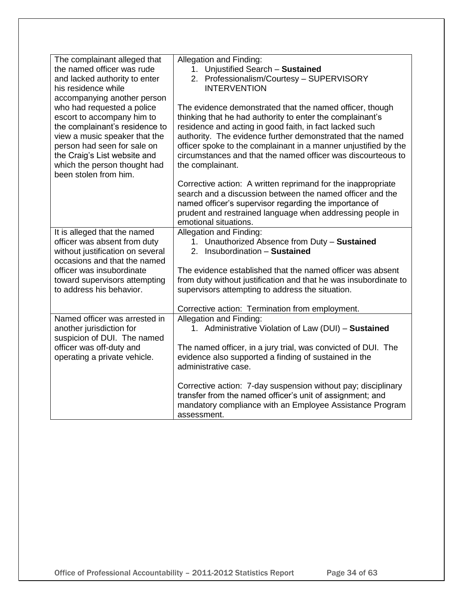| The complainant alleged that<br>the named officer was rude<br>and lacked authority to enter<br>his residence while<br>accompanying another person<br>who had requested a police<br>escort to accompany him to<br>the complainant's residence to<br>view a music speaker that the<br>person had seen for sale on<br>the Craig's List website and<br>which the person thought had<br>been stolen from him. | Allegation and Finding:<br>1. Unjustified Search - Sustained<br>2. Professionalism/Courtesy - SUPERVISORY<br><b>INTERVENTION</b><br>The evidence demonstrated that the named officer, though<br>thinking that he had authority to enter the complainant's<br>residence and acting in good faith, in fact lacked such<br>authority. The evidence further demonstrated that the named<br>officer spoke to the complainant in a manner unjustified by the<br>circumstances and that the named officer was discourteous to<br>the complainant.<br>Corrective action: A written reprimand for the inappropriate<br>search and a discussion between the named officer and the<br>named officer's supervisor regarding the importance of<br>prudent and restrained language when addressing people in |
|----------------------------------------------------------------------------------------------------------------------------------------------------------------------------------------------------------------------------------------------------------------------------------------------------------------------------------------------------------------------------------------------------------|------------------------------------------------------------------------------------------------------------------------------------------------------------------------------------------------------------------------------------------------------------------------------------------------------------------------------------------------------------------------------------------------------------------------------------------------------------------------------------------------------------------------------------------------------------------------------------------------------------------------------------------------------------------------------------------------------------------------------------------------------------------------------------------------|
| It is alleged that the named                                                                                                                                                                                                                                                                                                                                                                             | emotional situations.<br>Allegation and Finding:                                                                                                                                                                                                                                                                                                                                                                                                                                                                                                                                                                                                                                                                                                                                               |
| officer was absent from duty<br>without justification on several<br>occasions and that the named                                                                                                                                                                                                                                                                                                         | 1. Unauthorized Absence from Duty - Sustained<br>2. Insubordination - Sustained                                                                                                                                                                                                                                                                                                                                                                                                                                                                                                                                                                                                                                                                                                                |
| officer was insubordinate<br>toward supervisors attempting<br>to address his behavior.                                                                                                                                                                                                                                                                                                                   | The evidence established that the named officer was absent<br>from duty without justification and that he was insubordinate to<br>supervisors attempting to address the situation.                                                                                                                                                                                                                                                                                                                                                                                                                                                                                                                                                                                                             |
|                                                                                                                                                                                                                                                                                                                                                                                                          | Corrective action: Termination from employment.                                                                                                                                                                                                                                                                                                                                                                                                                                                                                                                                                                                                                                                                                                                                                |
| Named officer was arrested in<br>another jurisdiction for<br>suspicion of DUI. The named                                                                                                                                                                                                                                                                                                                 | Allegation and Finding:<br>1. Administrative Violation of Law (DUI) - Sustained                                                                                                                                                                                                                                                                                                                                                                                                                                                                                                                                                                                                                                                                                                                |
| officer was off-duty and<br>operating a private vehicle.                                                                                                                                                                                                                                                                                                                                                 | The named officer, in a jury trial, was convicted of DUI. The<br>evidence also supported a finding of sustained in the<br>administrative case.                                                                                                                                                                                                                                                                                                                                                                                                                                                                                                                                                                                                                                                 |
|                                                                                                                                                                                                                                                                                                                                                                                                          | Corrective action: 7-day suspension without pay; disciplinary<br>transfer from the named officer's unit of assignment; and<br>mandatory compliance with an Employee Assistance Program<br>assessment.                                                                                                                                                                                                                                                                                                                                                                                                                                                                                                                                                                                          |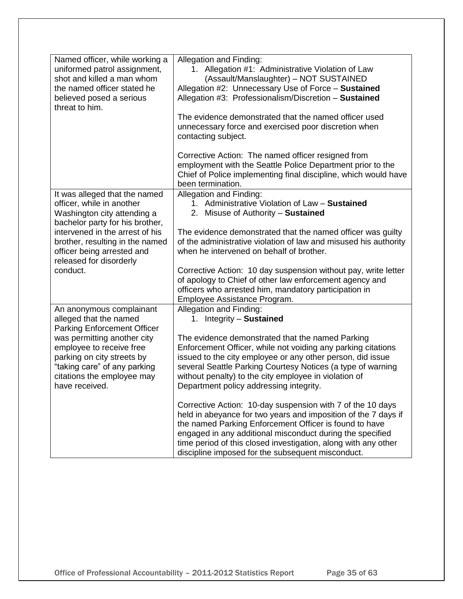| Named officer, while working a<br>uniformed patrol assignment,<br>shot and killed a man whom                                                                          | Allegation and Finding:<br>1. Allegation #1: Administrative Violation of Law<br>(Assault/Manslaughter) - NOT SUSTAINED                                                                                                                                                                                                                                                     |
|-----------------------------------------------------------------------------------------------------------------------------------------------------------------------|----------------------------------------------------------------------------------------------------------------------------------------------------------------------------------------------------------------------------------------------------------------------------------------------------------------------------------------------------------------------------|
| the named officer stated he<br>believed posed a serious<br>threat to him.                                                                                             | Allegation #2: Unnecessary Use of Force - Sustained<br>Allegation #3: Professionalism/Discretion - Sustained                                                                                                                                                                                                                                                               |
|                                                                                                                                                                       | The evidence demonstrated that the named officer used<br>unnecessary force and exercised poor discretion when<br>contacting subject.                                                                                                                                                                                                                                       |
|                                                                                                                                                                       | Corrective Action: The named officer resigned from<br>employment with the Seattle Police Department prior to the<br>Chief of Police implementing final discipline, which would have<br>been termination.                                                                                                                                                                   |
| It was alleged that the named<br>officer, while in another<br>Washington city attending a<br>bachelor party for his brother,                                          | Allegation and Finding:<br>1. Administrative Violation of Law - Sustained<br>2. Misuse of Authority - Sustained                                                                                                                                                                                                                                                            |
| intervened in the arrest of his<br>brother, resulting in the named<br>officer being arrested and<br>released for disorderly                                           | The evidence demonstrated that the named officer was guilty<br>of the administrative violation of law and misused his authority<br>when he intervened on behalf of brother.                                                                                                                                                                                                |
| conduct.                                                                                                                                                              | Corrective Action: 10 day suspension without pay, write letter<br>of apology to Chief of other law enforcement agency and<br>officers who arrested him, mandatory participation in<br>Employee Assistance Program.                                                                                                                                                         |
| An anonymous complainant<br>alleged that the named<br><b>Parking Enforcement Officer</b>                                                                              | Allegation and Finding:<br>1. Integrity - Sustained                                                                                                                                                                                                                                                                                                                        |
| was permitting another city<br>employee to receive free<br>parking on city streets by<br>"taking care" of any parking<br>citations the employee may<br>have received. | The evidence demonstrated that the named Parking<br>Enforcement Officer, while not voiding any parking citations<br>issued to the city employee or any other person, did issue<br>several Seattle Parking Courtesy Notices (a type of warning<br>without penalty) to the city employee in violation of<br>Department policy addressing integrity.                          |
|                                                                                                                                                                       | Corrective Action: 10-day suspension with 7 of the 10 days<br>held in abeyance for two years and imposition of the 7 days if<br>the named Parking Enforcement Officer is found to have<br>engaged in any additional misconduct during the specified<br>time period of this closed investigation, along with any other<br>discipline imposed for the subsequent misconduct. |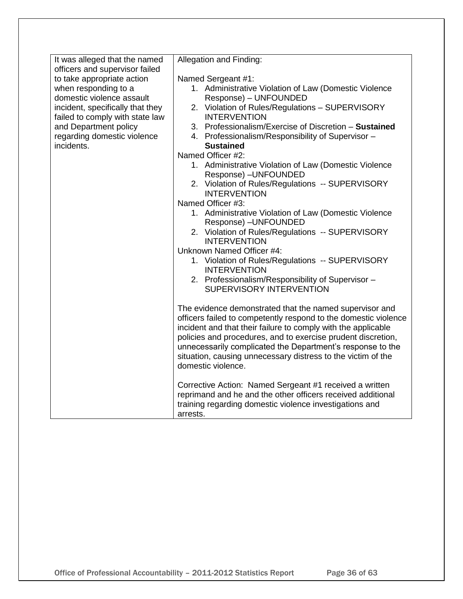| It was alleged that the named                                 | Allegation and Finding:                                                                                                |
|---------------------------------------------------------------|------------------------------------------------------------------------------------------------------------------------|
| officers and supervisor failed                                |                                                                                                                        |
| to take appropriate action                                    | Named Sergeant #1:                                                                                                     |
| when responding to a                                          | 1. Administrative Violation of Law (Domestic Violence                                                                  |
| domestic violence assault<br>incident, specifically that they | Response) - UNFOUNDED<br>2. Violation of Rules/Regulations - SUPERVISORY                                               |
| failed to comply with state law                               | <b>INTERVENTION</b>                                                                                                    |
| and Department policy                                         | 3. Professionalism/Exercise of Discretion - Sustained                                                                  |
| regarding domestic violence                                   | 4. Professionalism/Responsibility of Supervisor -                                                                      |
| incidents.                                                    | <b>Sustained</b>                                                                                                       |
|                                                               | Named Officer #2:                                                                                                      |
|                                                               | 1. Administrative Violation of Law (Domestic Violence                                                                  |
|                                                               | Response) - UNFOUNDED                                                                                                  |
|                                                               | 2. Violation of Rules/Regulations -- SUPERVISORY                                                                       |
|                                                               | <b>INTERVENTION</b>                                                                                                    |
|                                                               | Named Officer #3:                                                                                                      |
|                                                               | 1. Administrative Violation of Law (Domestic Violence                                                                  |
|                                                               | Response) - UNFOUNDED                                                                                                  |
|                                                               | 2. Violation of Rules/Regulations -- SUPERVISORY                                                                       |
|                                                               | <b>INTERVENTION</b>                                                                                                    |
|                                                               | Unknown Named Officer #4:                                                                                              |
|                                                               | 1. Violation of Rules/Regulations -- SUPERVISORY<br><b>INTERVENTION</b>                                                |
|                                                               | 2. Professionalism/Responsibility of Supervisor -                                                                      |
|                                                               | SUPERVISORY INTERVENTION                                                                                               |
|                                                               |                                                                                                                        |
|                                                               | The evidence demonstrated that the named supervisor and                                                                |
|                                                               | officers failed to competently respond to the domestic violence                                                        |
|                                                               | incident and that their failure to comply with the applicable                                                          |
|                                                               | policies and procedures, and to exercise prudent discretion,                                                           |
|                                                               | unnecessarily complicated the Department's response to the                                                             |
|                                                               | situation, causing unnecessary distress to the victim of the                                                           |
|                                                               | domestic violence.                                                                                                     |
|                                                               |                                                                                                                        |
|                                                               | Corrective Action: Named Sergeant #1 received a written<br>reprimand and he and the other officers received additional |
|                                                               | training regarding domestic violence investigations and                                                                |
|                                                               | arrests.                                                                                                               |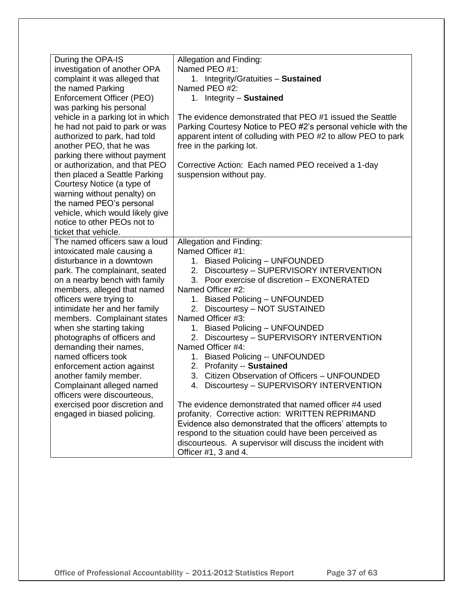| During the OPA-IS<br>investigation of another OPA<br>complaint it was alleged that<br>the named Parking<br>Enforcement Officer (PEO)<br>was parking his personal<br>vehicle in a parking lot in which<br>he had not paid to park or was<br>authorized to park, had told<br>another PEO, that he was<br>parking there without payment<br>or authorization, and that PEO                                                                                                                                               | Allegation and Finding:<br>Named PEO #1:<br>1. Integrity/Gratuities - Sustained<br>Named PEO #2:<br>1. Integrity - Sustained<br>The evidence demonstrated that PEO #1 issued the Seattle<br>Parking Courtesy Notice to PEO #2's personal vehicle with the<br>apparent intent of colluding with PEO #2 to allow PEO to park<br>free in the parking lot.<br>Corrective Action: Each named PEO received a 1-day                                                                                                                                                      |
|----------------------------------------------------------------------------------------------------------------------------------------------------------------------------------------------------------------------------------------------------------------------------------------------------------------------------------------------------------------------------------------------------------------------------------------------------------------------------------------------------------------------|-------------------------------------------------------------------------------------------------------------------------------------------------------------------------------------------------------------------------------------------------------------------------------------------------------------------------------------------------------------------------------------------------------------------------------------------------------------------------------------------------------------------------------------------------------------------|
| then placed a Seattle Parking<br>Courtesy Notice (a type of<br>warning without penalty) on<br>the named PEO's personal<br>vehicle, which would likely give<br>notice to other PEOs not to<br>ticket that vehicle.                                                                                                                                                                                                                                                                                                    | suspension without pay.                                                                                                                                                                                                                                                                                                                                                                                                                                                                                                                                           |
| The named officers saw a loud<br>intoxicated male causing a<br>disturbance in a downtown<br>park. The complainant, seated<br>on a nearby bench with family<br>members, alleged that named<br>officers were trying to<br>intimidate her and her family<br>members. Complainant states<br>when she starting taking<br>photographs of officers and<br>demanding their names,<br>named officers took<br>enforcement action against<br>another family member.<br>Complainant alleged named<br>officers were discourteous, | Allegation and Finding:<br>Named Officer #1:<br>1. Biased Policing - UNFOUNDED<br>Discourtesy - SUPERVISORY INTERVENTION<br>2.<br>3. Poor exercise of discretion - EXONERATED<br>Named Officer #2:<br>1. Biased Policing - UNFOUNDED<br>2. Discourtesy - NOT SUSTAINED<br>Named Officer #3:<br>1. Biased Policing - UNFOUNDED<br>2. Discourtesy - SUPERVISORY INTERVENTION<br>Named Officer #4:<br>1. Biased Policing -- UNFOUNDED<br>2. Profanity -- Sustained<br>Citizen Observation of Officers - UNFOUNDED<br>3.<br>4. Discourtesy - SUPERVISORY INTERVENTION |
| exercised poor discretion and<br>engaged in biased policing.                                                                                                                                                                                                                                                                                                                                                                                                                                                         | The evidence demonstrated that named officer #4 used<br>profanity. Corrective action: WRITTEN REPRIMAND<br>Evidence also demonstrated that the officers' attempts to<br>respond to the situation could have been perceived as<br>discourteous. A supervisor will discuss the incident with<br>Officer #1, 3 and 4.                                                                                                                                                                                                                                                |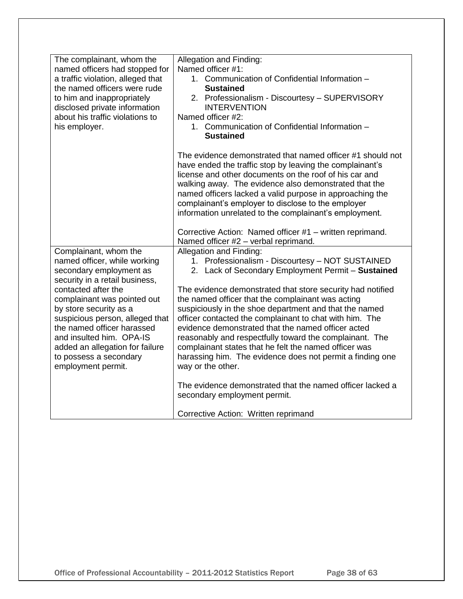| The complainant, whom the<br>named officers had stopped for<br>a traffic violation, alleged that<br>the named officers were rude<br>to him and inappropriately<br>disclosed private information<br>about his traffic violations to<br>his employer.                                                                                                                                | Allegation and Finding:<br>Named officer #1:<br>1. Communication of Confidential Information -<br><b>Sustained</b><br>2. Professionalism - Discourtesy - SUPERVISORY<br><b>INTERVENTION</b><br>Named officer #2:<br>1. Communication of Confidential Information -<br><b>Sustained</b>                                                                                                                                                                                                                                                                                                                                                |
|------------------------------------------------------------------------------------------------------------------------------------------------------------------------------------------------------------------------------------------------------------------------------------------------------------------------------------------------------------------------------------|---------------------------------------------------------------------------------------------------------------------------------------------------------------------------------------------------------------------------------------------------------------------------------------------------------------------------------------------------------------------------------------------------------------------------------------------------------------------------------------------------------------------------------------------------------------------------------------------------------------------------------------|
|                                                                                                                                                                                                                                                                                                                                                                                    | The evidence demonstrated that named officer #1 should not<br>have ended the traffic stop by leaving the complainant's<br>license and other documents on the roof of his car and<br>walking away. The evidence also demonstrated that the<br>named officers lacked a valid purpose in approaching the<br>complainant's employer to disclose to the employer<br>information unrelated to the complainant's employment.<br>Corrective Action: Named officer #1 - written reprimand.                                                                                                                                                     |
|                                                                                                                                                                                                                                                                                                                                                                                    | Named officer #2 - verbal reprimand.                                                                                                                                                                                                                                                                                                                                                                                                                                                                                                                                                                                                  |
| Complainant, whom the<br>named officer, while working<br>secondary employment as<br>security in a retail business,<br>contacted after the<br>complainant was pointed out<br>by store security as a<br>suspicious person, alleged that<br>the named officer harassed<br>and insulted him. OPA-IS<br>added an allegation for failure<br>to possess a secondary<br>employment permit. | Allegation and Finding:<br>1. Professionalism - Discourtesy - NOT SUSTAINED<br>2. Lack of Secondary Employment Permit - Sustained<br>The evidence demonstrated that store security had notified<br>the named officer that the complainant was acting<br>suspiciously in the shoe department and that the named<br>officer contacted the complainant to chat with him. The<br>evidence demonstrated that the named officer acted<br>reasonably and respectfully toward the complainant. The<br>complainant states that he felt the named officer was<br>harassing him. The evidence does not permit a finding one<br>way or the other. |
|                                                                                                                                                                                                                                                                                                                                                                                    | The evidence demonstrated that the named officer lacked a<br>secondary employment permit.                                                                                                                                                                                                                                                                                                                                                                                                                                                                                                                                             |
|                                                                                                                                                                                                                                                                                                                                                                                    | Corrective Action: Written reprimand                                                                                                                                                                                                                                                                                                                                                                                                                                                                                                                                                                                                  |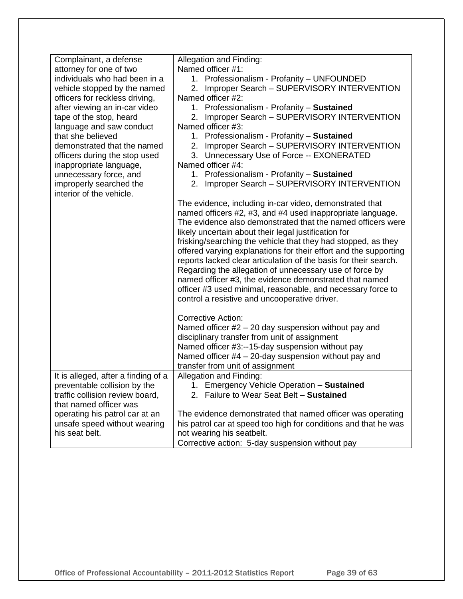| Complainant, a defense<br>attorney for one of two              | Allegation and Finding:<br>Named officer #1:                                                                                  |
|----------------------------------------------------------------|-------------------------------------------------------------------------------------------------------------------------------|
| individuals who had been in a                                  | 1. Professionalism - Profanity - UNFOUNDED                                                                                    |
| vehicle stopped by the named                                   | 2. Improper Search - SUPERVISORY INTERVENTION                                                                                 |
| officers for reckless driving,                                 | Named officer #2:                                                                                                             |
| after viewing an in-car video                                  | 1. Professionalism - Profanity - Sustained                                                                                    |
| tape of the stop, heard                                        | Improper Search - SUPERVISORY INTERVENTION<br>2.                                                                              |
| language and saw conduct                                       | Named officer #3:                                                                                                             |
| that she believed                                              | 1. Professionalism - Profanity - Sustained                                                                                    |
| demonstrated that the named                                    | 2. Improper Search - SUPERVISORY INTERVENTION                                                                                 |
| officers during the stop used                                  | 3. Unnecessary Use of Force -- EXONERATED                                                                                     |
| inappropriate language,                                        | Named officer #4:                                                                                                             |
| unnecessary force, and                                         | 1. Professionalism - Profanity - Sustained                                                                                    |
| improperly searched the                                        | 2. Improper Search - SUPERVISORY INTERVENTION                                                                                 |
| interior of the vehicle.                                       |                                                                                                                               |
|                                                                | The evidence, including in-car video, demonstrated that                                                                       |
|                                                                | named officers #2, #3, and #4 used inappropriate language.                                                                    |
|                                                                | The evidence also demonstrated that the named officers were                                                                   |
|                                                                | likely uncertain about their legal justification for                                                                          |
|                                                                | frisking/searching the vehicle that they had stopped, as they                                                                 |
|                                                                | offered varying explanations for their effort and the supporting                                                              |
|                                                                | reports lacked clear articulation of the basis for their search.<br>Regarding the allegation of unnecessary use of force by   |
|                                                                | named officer #3, the evidence demonstrated that named                                                                        |
|                                                                | officer #3 used minimal, reasonable, and necessary force to                                                                   |
|                                                                | control a resistive and uncooperative driver.                                                                                 |
|                                                                |                                                                                                                               |
|                                                                | <b>Corrective Action:</b>                                                                                                     |
|                                                                | Named officer $#2 - 20$ day suspension without pay and                                                                        |
|                                                                | disciplinary transfer from unit of assignment                                                                                 |
|                                                                | Named officer #3:--15-day suspension without pay                                                                              |
|                                                                | Named officer #4 - 20-day suspension without pay and                                                                          |
|                                                                | transfer from unit of assignment                                                                                              |
| It is alleged, after a finding of a                            | Allegation and Finding:                                                                                                       |
| preventable collision by the                                   | 1. Emergency Vehicle Operation - Sustained<br>2. Failure to Wear Seat Belt - Sustained                                        |
| traffic collision review board,                                |                                                                                                                               |
| that named officer was                                         |                                                                                                                               |
| operating his patrol car at an<br>unsafe speed without wearing | The evidence demonstrated that named officer was operating<br>his patrol car at speed too high for conditions and that he was |
| his seat belt.                                                 | not wearing his seatbelt.                                                                                                     |
|                                                                | Corrective action: 5-day suspension without pay                                                                               |
|                                                                |                                                                                                                               |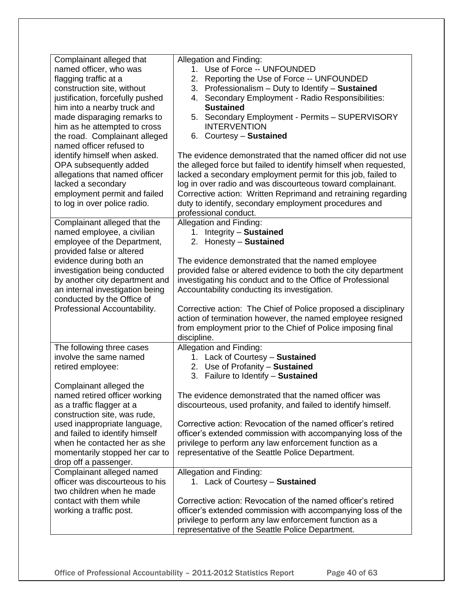| Complainant alleged that                                          | Allegation and Finding:                                                                                     |
|-------------------------------------------------------------------|-------------------------------------------------------------------------------------------------------------|
| named officer, who was                                            | 1. Use of Force -- UNFOUNDED                                                                                |
| flagging traffic at a                                             | 2. Reporting the Use of Force -- UNFOUNDED                                                                  |
| construction site, without                                        | 3. Professionalism - Duty to Identify - Sustained                                                           |
| justification, forcefully pushed                                  | 4. Secondary Employment - Radio Responsibilities:                                                           |
| him into a nearby truck and                                       | <b>Sustained</b>                                                                                            |
| made disparaging remarks to                                       | 5. Secondary Employment - Permits - SUPERVISORY                                                             |
| him as he attempted to cross                                      | <b>INTERVENTION</b>                                                                                         |
| the road. Complainant alleged                                     | 6. Courtesy - Sustained                                                                                     |
| named officer refused to                                          |                                                                                                             |
| identify himself when asked.                                      | The evidence demonstrated that the named officer did not use                                                |
| OPA subsequently added                                            | the alleged force but failed to identify himself when requested,                                            |
| allegations that named officer                                    | lacked a secondary employment permit for this job, failed to                                                |
| lacked a secondary                                                | log in over radio and was discourteous toward complainant.                                                  |
| employment permit and failed                                      | Corrective action: Written Reprimand and retraining regarding                                               |
| to log in over police radio.                                      | duty to identify, secondary employment procedures and                                                       |
|                                                                   | professional conduct.                                                                                       |
| Complainant alleged that the                                      | Allegation and Finding:                                                                                     |
| named employee, a civilian                                        | 1. Integrity - Sustained                                                                                    |
| employee of the Department,                                       | 2. Honesty - Sustained                                                                                      |
| provided false or altered                                         |                                                                                                             |
| evidence during both an                                           | The evidence demonstrated that the named employee                                                           |
| investigation being conducted                                     | provided false or altered evidence to both the city department                                              |
| by another city department and<br>an internal investigation being | investigating his conduct and to the Office of Professional<br>Accountability conducting its investigation. |
| conducted by the Office of                                        |                                                                                                             |
| Professional Accountability.                                      | Corrective action: The Chief of Police proposed a disciplinary                                              |
|                                                                   | action of termination however, the named employee resigned                                                  |
|                                                                   | from employment prior to the Chief of Police imposing final                                                 |
|                                                                   | discipline.                                                                                                 |
| The following three cases                                         | Allegation and Finding:                                                                                     |
| involve the same named                                            | 1. Lack of Courtesy - Sustained                                                                             |
| retired employee:                                                 | 2. Use of Profanity - Sustained                                                                             |
|                                                                   | 3. Failure to Identify - Sustained                                                                          |
| Complainant alleged the                                           |                                                                                                             |
| named retired officer working                                     | The evidence demonstrated that the named officer was                                                        |
| as a traffic flagger at a                                         | discourteous, used profanity, and failed to identify himself.                                               |
| construction site, was rude,                                      |                                                                                                             |
| used inappropriate language,                                      | Corrective action: Revocation of the named officer's retired                                                |
| and failed to identify himself                                    | officer's extended commission with accompanying loss of the                                                 |
| when he contacted her as she                                      | privilege to perform any law enforcement function as a                                                      |
| momentarily stopped her car to                                    | representative of the Seattle Police Department.                                                            |
| drop off a passenger.                                             |                                                                                                             |
| Complainant alleged named                                         | Allegation and Finding:                                                                                     |
| officer was discourteous to his                                   | 1. Lack of Courtesy - Sustained                                                                             |
| two children when he made                                         |                                                                                                             |
| contact with them while                                           | Corrective action: Revocation of the named officer's retired                                                |
| working a traffic post.                                           | officer's extended commission with accompanying loss of the                                                 |
|                                                                   | privilege to perform any law enforcement function as a                                                      |
|                                                                   | representative of the Seattle Police Department.                                                            |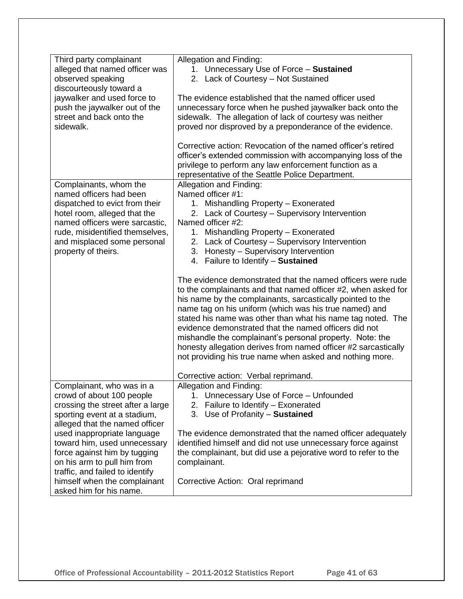| Third party complainant           | Allegation and Finding:                                                                                                                                                                                                                                                                                                                                                                                                                                                                                                                                                                                                                   |
|-----------------------------------|-------------------------------------------------------------------------------------------------------------------------------------------------------------------------------------------------------------------------------------------------------------------------------------------------------------------------------------------------------------------------------------------------------------------------------------------------------------------------------------------------------------------------------------------------------------------------------------------------------------------------------------------|
| alleged that named officer was    | 1. Unnecessary Use of Force - Sustained                                                                                                                                                                                                                                                                                                                                                                                                                                                                                                                                                                                                   |
| observed speaking                 | 2. Lack of Courtesy - Not Sustained                                                                                                                                                                                                                                                                                                                                                                                                                                                                                                                                                                                                       |
| discourteously toward a           |                                                                                                                                                                                                                                                                                                                                                                                                                                                                                                                                                                                                                                           |
| jaywalker and used force to       | The evidence established that the named officer used                                                                                                                                                                                                                                                                                                                                                                                                                                                                                                                                                                                      |
| push the jaywalker out of the     | unnecessary force when he pushed jaywalker back onto the                                                                                                                                                                                                                                                                                                                                                                                                                                                                                                                                                                                  |
| street and back onto the          | sidewalk. The allegation of lack of courtesy was neither                                                                                                                                                                                                                                                                                                                                                                                                                                                                                                                                                                                  |
| sidewalk.                         | proved nor disproved by a preponderance of the evidence.                                                                                                                                                                                                                                                                                                                                                                                                                                                                                                                                                                                  |
|                                   | Corrective action: Revocation of the named officer's retired                                                                                                                                                                                                                                                                                                                                                                                                                                                                                                                                                                              |
|                                   | officer's extended commission with accompanying loss of the                                                                                                                                                                                                                                                                                                                                                                                                                                                                                                                                                                               |
|                                   | privilege to perform any law enforcement function as a                                                                                                                                                                                                                                                                                                                                                                                                                                                                                                                                                                                    |
|                                   | representative of the Seattle Police Department.                                                                                                                                                                                                                                                                                                                                                                                                                                                                                                                                                                                          |
| Complainants, whom the            | Allegation and Finding:                                                                                                                                                                                                                                                                                                                                                                                                                                                                                                                                                                                                                   |
| named officers had been           | Named officer #1:                                                                                                                                                                                                                                                                                                                                                                                                                                                                                                                                                                                                                         |
| dispatched to evict from their    | 1. Mishandling Property - Exonerated                                                                                                                                                                                                                                                                                                                                                                                                                                                                                                                                                                                                      |
| hotel room, alleged that the      | 2. Lack of Courtesy - Supervisory Intervention                                                                                                                                                                                                                                                                                                                                                                                                                                                                                                                                                                                            |
| named officers were sarcastic,    | Named officer #2:                                                                                                                                                                                                                                                                                                                                                                                                                                                                                                                                                                                                                         |
| rude, misidentified themselves,   | 1. Mishandling Property - Exonerated                                                                                                                                                                                                                                                                                                                                                                                                                                                                                                                                                                                                      |
| and misplaced some personal       | 2. Lack of Courtesy - Supervisory Intervention                                                                                                                                                                                                                                                                                                                                                                                                                                                                                                                                                                                            |
| property of theirs.               | 3. Honesty - Supervisory Intervention                                                                                                                                                                                                                                                                                                                                                                                                                                                                                                                                                                                                     |
|                                   | 4. Failure to Identify - Sustained                                                                                                                                                                                                                                                                                                                                                                                                                                                                                                                                                                                                        |
| Complainant, who was in a         | The evidence demonstrated that the named officers were rude<br>to the complainants and that named officer #2, when asked for<br>his name by the complainants, sarcastically pointed to the<br>name tag on his uniform (which was his true named) and<br>stated his name was other than what his name tag noted. The<br>evidence demonstrated that the named officers did not<br>mishandle the complainant's personal property. Note: the<br>honesty allegation derives from named officer #2 sarcastically<br>not providing his true name when asked and nothing more.<br>Corrective action: Verbal reprimand.<br>Allegation and Finding: |
| crowd of about 100 people         | 1. Unnecessary Use of Force - Unfounded                                                                                                                                                                                                                                                                                                                                                                                                                                                                                                                                                                                                   |
| crossing the street after a large | 2. Failure to Identify - Exonerated                                                                                                                                                                                                                                                                                                                                                                                                                                                                                                                                                                                                       |
| sporting event at a stadium,      | 3. Use of Profanity - Sustained                                                                                                                                                                                                                                                                                                                                                                                                                                                                                                                                                                                                           |
| alleged that the named officer    |                                                                                                                                                                                                                                                                                                                                                                                                                                                                                                                                                                                                                                           |
| used inappropriate language       | The evidence demonstrated that the named officer adequately                                                                                                                                                                                                                                                                                                                                                                                                                                                                                                                                                                               |
| toward him, used unnecessary      | identified himself and did not use unnecessary force against                                                                                                                                                                                                                                                                                                                                                                                                                                                                                                                                                                              |
| force against him by tugging      | the complainant, but did use a pejorative word to refer to the                                                                                                                                                                                                                                                                                                                                                                                                                                                                                                                                                                            |
| on his arm to pull him from       | complainant.                                                                                                                                                                                                                                                                                                                                                                                                                                                                                                                                                                                                                              |
| traffic, and failed to identify   |                                                                                                                                                                                                                                                                                                                                                                                                                                                                                                                                                                                                                                           |
| himself when the complainant      | Corrective Action: Oral reprimand                                                                                                                                                                                                                                                                                                                                                                                                                                                                                                                                                                                                         |
| asked him for his name.           |                                                                                                                                                                                                                                                                                                                                                                                                                                                                                                                                                                                                                                           |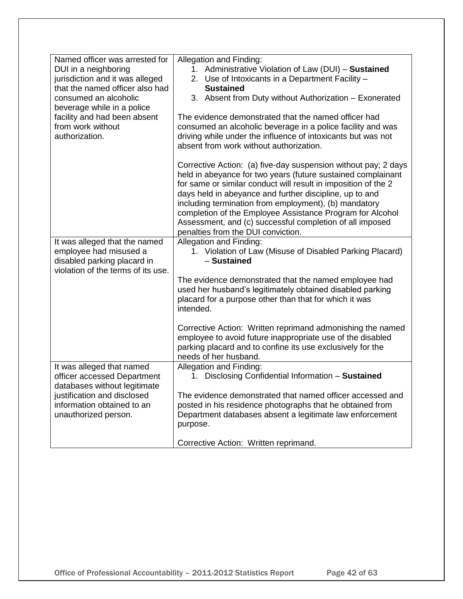| Named officer was arrested for                        | Allegation and Finding:                                                                                                  |
|-------------------------------------------------------|--------------------------------------------------------------------------------------------------------------------------|
| DUI in a neighboring                                  | 1. Administrative Violation of Law (DUI) - Sustained                                                                     |
| jurisdiction and it was alleged                       | 2. Use of Intoxicants in a Department Facility -                                                                         |
| that the named officer also had                       | <b>Sustained</b>                                                                                                         |
| consumed an alcoholic                                 | 3. Absent from Duty without Authorization - Exonerated                                                                   |
| beverage while in a police                            |                                                                                                                          |
| facility and had been absent                          | The evidence demonstrated that the named officer had                                                                     |
| from work without                                     | consumed an alcoholic beverage in a police facility and was                                                              |
| authorization.                                        | driving while under the influence of intoxicants but was not                                                             |
|                                                       | absent from work without authorization.                                                                                  |
|                                                       | Corrective Action: (a) five-day suspension without pay; 2 days                                                           |
|                                                       | held in abeyance for two years (future sustained complainant                                                             |
|                                                       | for same or similar conduct will result in imposition of the 2                                                           |
|                                                       | days held in abeyance and further discipline, up to and                                                                  |
|                                                       | including termination from employment), (b) mandatory                                                                    |
|                                                       | completion of the Employee Assistance Program for Alcohol                                                                |
|                                                       | Assessment, and (c) successful completion of all imposed                                                                 |
|                                                       | penalties from the DUI conviction.                                                                                       |
| It was alleged that the named                         | Allegation and Finding:<br>1. Violation of Law (Misuse of Disabled Parking Placard)                                      |
| employee had misused a<br>disabled parking placard in | - Sustained                                                                                                              |
| violation of the terms of its use.                    |                                                                                                                          |
|                                                       | The evidence demonstrated that the named employee had                                                                    |
|                                                       | used her husband's legitimately obtained disabled parking                                                                |
|                                                       | placard for a purpose other than that for which it was                                                                   |
|                                                       | intended.                                                                                                                |
|                                                       |                                                                                                                          |
|                                                       | Corrective Action: Written reprimand admonishing the named                                                               |
|                                                       | employee to avoid future inappropriate use of the disabled<br>parking placard and to confine its use exclusively for the |
|                                                       | needs of her husband.                                                                                                    |
| It was alleged that named                             | Allegation and Finding:                                                                                                  |
| officer accessed Department                           | 1. Disclosing Confidential Information - Sustained                                                                       |
| databases without legitimate                          |                                                                                                                          |
| justification and disclosed                           | The evidence demonstrated that named officer accessed and                                                                |
| information obtained to an                            | posted in his residence photographs that he obtained from                                                                |
| unauthorized person.                                  | Department databases absent a legitimate law enforcement                                                                 |
|                                                       | purpose.                                                                                                                 |
|                                                       | Corrective Action: Written reprimand.                                                                                    |
|                                                       |                                                                                                                          |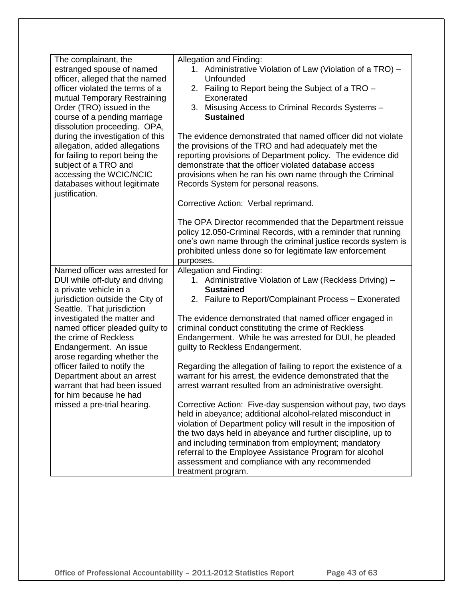| The complainant, the             |                                                                  |
|----------------------------------|------------------------------------------------------------------|
|                                  | Allegation and Finding:                                          |
| estranged spouse of named        | 1. Administrative Violation of Law (Violation of a TRO) -        |
| officer, alleged that the named  | Unfounded                                                        |
| officer violated the terms of a  | 2. Failing to Report being the Subject of a TRO -                |
| mutual Temporary Restraining     | Exonerated                                                       |
| Order (TRO) issued in the        | Misusing Access to Criminal Records Systems -<br>3.              |
| course of a pending marriage     | <b>Sustained</b>                                                 |
| dissolution proceeding. OPA,     |                                                                  |
| during the investigation of this | The evidence demonstrated that named officer did not violate     |
| allegation, added allegations    | the provisions of the TRO and had adequately met the             |
| for failing to report being the  | reporting provisions of Department policy. The evidence did      |
| subject of a TRO and             | demonstrate that the officer violated database access            |
| accessing the WCIC/NCIC          | provisions when he ran his own name through the Criminal         |
| databases without legitimate     | Records System for personal reasons.                             |
| justification.                   |                                                                  |
|                                  | Corrective Action: Verbal reprimand.                             |
|                                  |                                                                  |
|                                  | The OPA Director recommended that the Department reissue         |
|                                  | policy 12.050-Criminal Records, with a reminder that running     |
|                                  | one's own name through the criminal justice records system is    |
|                                  | prohibited unless done so for legitimate law enforcement         |
|                                  |                                                                  |
|                                  | purposes.                                                        |
| Named officer was arrested for   | Allegation and Finding:                                          |
| DUI while off-duty and driving   | 1. Administrative Violation of Law (Reckless Driving) -          |
| a private vehicle in a           | <b>Sustained</b>                                                 |
| jurisdiction outside the City of | 2. Failure to Report/Complainant Process - Exonerated            |
| Seattle. That jurisdiction       |                                                                  |
| investigated the matter and      | The evidence demonstrated that named officer engaged in          |
| named officer pleaded guilty to  | criminal conduct constituting the crime of Reckless              |
| the crime of Reckless            | Endangerment. While he was arrested for DUI, he pleaded          |
| Endangerment. An issue           | guilty to Reckless Endangerment.                                 |
| arose regarding whether the      |                                                                  |
| officer failed to notify the     | Regarding the allegation of failing to report the existence of a |
| Department about an arrest       | warrant for his arrest, the evidence demonstrated that the       |
| warrant that had been issued     | arrest warrant resulted from an administrative oversight.        |
| for him because he had           |                                                                  |
| missed a pre-trial hearing.      | Corrective Action: Five-day suspension without pay, two days     |
|                                  | held in abeyance; additional alcohol-related misconduct in       |
|                                  | violation of Department policy will result in the imposition of  |
|                                  | the two days held in abeyance and further discipline, up to      |
|                                  | and including termination from employment; mandatory             |
|                                  | referral to the Employee Assistance Program for alcohol          |
|                                  |                                                                  |
|                                  | assessment and compliance with any recommended                   |
|                                  | treatment program.                                               |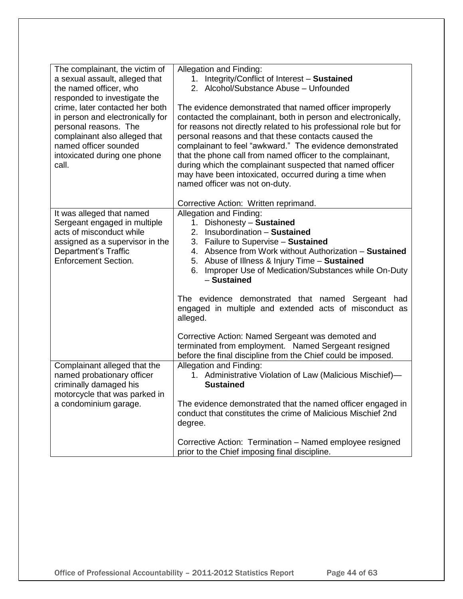| The complainant, the victim of<br>a sexual assault, alleged that<br>the named officer, who<br>responded to investigate the<br>crime, later contacted her both<br>in person and electronically for<br>personal reasons. The<br>complainant also alleged that<br>named officer sounded<br>intoxicated during one phone<br>call. | Allegation and Finding:<br>1. Integrity/Conflict of Interest - Sustained<br>2. Alcohol/Substance Abuse - Unfounded<br>The evidence demonstrated that named officer improperly<br>contacted the complainant, both in person and electronically,<br>for reasons not directly related to his professional role but for<br>personal reasons and that these contacts caused the<br>complainant to feel "awkward." The evidence demonstrated<br>that the phone call from named officer to the complainant,<br>during which the complainant suspected that named officer<br>may have been intoxicated, occurred during a time when<br>named officer was not on-duty. |
|-------------------------------------------------------------------------------------------------------------------------------------------------------------------------------------------------------------------------------------------------------------------------------------------------------------------------------|---------------------------------------------------------------------------------------------------------------------------------------------------------------------------------------------------------------------------------------------------------------------------------------------------------------------------------------------------------------------------------------------------------------------------------------------------------------------------------------------------------------------------------------------------------------------------------------------------------------------------------------------------------------|
| It was alleged that named<br>Sergeant engaged in multiple<br>acts of misconduct while<br>assigned as a supervisor in the<br>Department's Traffic<br><b>Enforcement Section.</b>                                                                                                                                               | Corrective Action: Written reprimand.<br>Allegation and Finding:<br>Dishonesty - Sustained<br>1.<br>Insubordination - Sustained<br>2.<br>3. Failure to Supervise - Sustained<br>4. Absence from Work without Authorization - Sustained<br>5. Abuse of Illness & Injury Time - Sustained<br>Improper Use of Medication/Substances while On-Duty<br>6.<br>- Sustained                                                                                                                                                                                                                                                                                           |
|                                                                                                                                                                                                                                                                                                                               | The evidence demonstrated that named Sergeant had<br>engaged in multiple and extended acts of misconduct as<br>alleged.<br>Corrective Action: Named Sergeant was demoted and<br>terminated from employment. Named Sergeant resigned<br>before the final discipline from the Chief could be imposed.                                                                                                                                                                                                                                                                                                                                                           |
| Complainant alleged that the<br>named probationary officer<br>criminally damaged his<br>motorcycle that was parked in                                                                                                                                                                                                         | Allegation and Finding:<br>1. Administrative Violation of Law (Malicious Mischief)-<br><b>Sustained</b>                                                                                                                                                                                                                                                                                                                                                                                                                                                                                                                                                       |
| a condominium garage.                                                                                                                                                                                                                                                                                                         | The evidence demonstrated that the named officer engaged in<br>conduct that constitutes the crime of Malicious Mischief 2nd<br>degree.                                                                                                                                                                                                                                                                                                                                                                                                                                                                                                                        |
|                                                                                                                                                                                                                                                                                                                               | Corrective Action: Termination - Named employee resigned<br>prior to the Chief imposing final discipline.                                                                                                                                                                                                                                                                                                                                                                                                                                                                                                                                                     |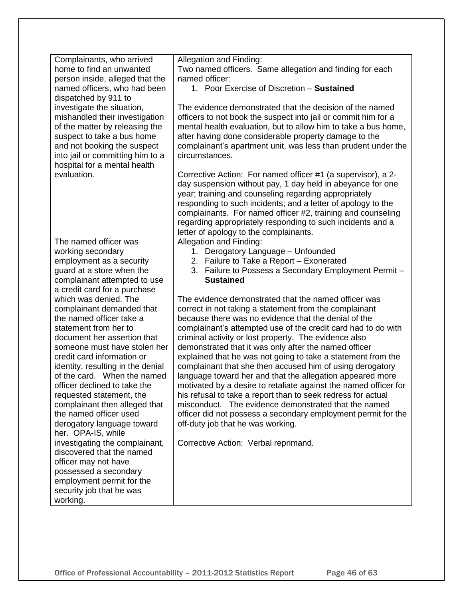| Complainants, who arrived            | Allegation and Finding:                                                    |
|--------------------------------------|----------------------------------------------------------------------------|
| home to find an unwanted             |                                                                            |
|                                      | Two named officers. Same allegation and finding for each<br>named officer: |
| person inside, alleged that the      | 1. Poor Exercise of Discretion - Sustained                                 |
| named officers, who had been         |                                                                            |
| dispatched by 911 to                 |                                                                            |
| investigate the situation,           | The evidence demonstrated that the decision of the named                   |
| mishandled their investigation       | officers to not book the suspect into jail or commit him for a             |
| of the matter by releasing the       | mental health evaluation, but to allow him to take a bus home,             |
| suspect to take a bus home           | after having done considerable property damage to the                      |
| and not booking the suspect          | complainant's apartment unit, was less than prudent under the              |
| into jail or committing him to a     | circumstances.                                                             |
| hospital for a mental health         |                                                                            |
| evaluation.                          | Corrective Action: For named officer #1 (a supervisor), a 2-               |
|                                      | day suspension without pay, 1 day held in abeyance for one                 |
|                                      | year; training and counseling regarding appropriately                      |
|                                      | responding to such incidents; and a letter of apology to the               |
|                                      | complainants. For named officer #2, training and counseling                |
|                                      | regarding appropriately responding to such incidents and a                 |
|                                      | letter of apology to the complainants.                                     |
| The named officer was                | Allegation and Finding:                                                    |
| working secondary                    | 1. Derogatory Language - Unfounded                                         |
| employment as a security             | 2. Failure to Take a Report - Exonerated                                   |
| guard at a store when the            | 3. Failure to Possess a Secondary Employment Permit -                      |
| complainant attempted to use         | <b>Sustained</b>                                                           |
| a credit card for a purchase         |                                                                            |
| which was denied. The                | The evidence demonstrated that the named officer was                       |
| complainant demanded that            | correct in not taking a statement from the complainant                     |
| the named officer take a             | because there was no evidence that the denial of the                       |
| statement from her to                | complainant's attempted use of the credit card had to do with              |
| document her assertion that          | criminal activity or lost property. The evidence also                      |
| someone must have stolen her         | demonstrated that it was only after the named officer                      |
| credit card information or           | explained that he was not going to take a statement from the               |
| identity, resulting in the denial    | complainant that she then accused him of using derogatory                  |
| of the card. When the named          | language toward her and that the allegation appeared more                  |
| officer declined to take the         | motivated by a desire to retaliate against the named officer for           |
| requested statement, the             | his refusal to take a report than to seek redress for actual               |
| complainant then alleged that        | misconduct. The evidence demonstrated that the named                       |
| the named officer used               | officer did not possess a secondary employment permit for the              |
| derogatory language toward           | off-duty job that he was working.                                          |
| her. OPA-IS, while                   |                                                                            |
| investigating the complainant,       | Corrective Action: Verbal reprimand.                                       |
| discovered that the named            |                                                                            |
| officer may not have                 |                                                                            |
| possessed a secondary                |                                                                            |
| employment permit for the            |                                                                            |
|                                      |                                                                            |
|                                      |                                                                            |
| security job that he was<br>working. |                                                                            |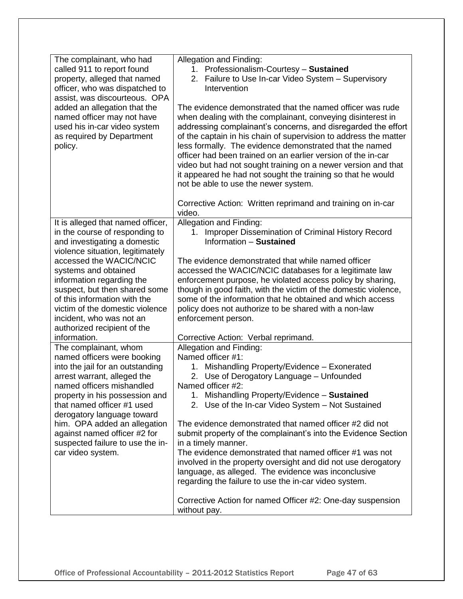| The complainant, who had<br>called 911 to report found<br>property, alleged that named<br>officer, who was dispatched to<br>assist, was discourteous. OPA<br>added an allegation that the<br>named officer may not have<br>used his in-car video system<br>as required by Department<br>policy. | Allegation and Finding:<br>1. Professionalism-Courtesy - Sustained<br>2. Failure to Use In-car Video System - Supervisory<br>Intervention<br>The evidence demonstrated that the named officer was rude<br>when dealing with the complainant, conveying disinterest in<br>addressing complainant's concerns, and disregarded the effort<br>of the captain in his chain of supervision to address the matter<br>less formally. The evidence demonstrated that the named |
|-------------------------------------------------------------------------------------------------------------------------------------------------------------------------------------------------------------------------------------------------------------------------------------------------|-----------------------------------------------------------------------------------------------------------------------------------------------------------------------------------------------------------------------------------------------------------------------------------------------------------------------------------------------------------------------------------------------------------------------------------------------------------------------|
|                                                                                                                                                                                                                                                                                                 | officer had been trained on an earlier version of the in-car<br>video but had not sought training on a newer version and that<br>it appeared he had not sought the training so that he would<br>not be able to use the newer system.<br>Corrective Action: Written reprimand and training on in-car                                                                                                                                                                   |
|                                                                                                                                                                                                                                                                                                 | video.                                                                                                                                                                                                                                                                                                                                                                                                                                                                |
| It is alleged that named officer,<br>in the course of responding to<br>and investigating a domestic<br>violence situation, legitimately                                                                                                                                                         | Allegation and Finding:<br>1. Improper Dissemination of Criminal History Record<br>Information - Sustained                                                                                                                                                                                                                                                                                                                                                            |
| accessed the WACIC/NCIC                                                                                                                                                                                                                                                                         | The evidence demonstrated that while named officer                                                                                                                                                                                                                                                                                                                                                                                                                    |
| systems and obtained                                                                                                                                                                                                                                                                            | accessed the WACIC/NCIC databases for a legitimate law                                                                                                                                                                                                                                                                                                                                                                                                                |
| information regarding the                                                                                                                                                                                                                                                                       | enforcement purpose, he violated access policy by sharing,                                                                                                                                                                                                                                                                                                                                                                                                            |
| suspect, but then shared some                                                                                                                                                                                                                                                                   | though in good faith, with the victim of the domestic violence,                                                                                                                                                                                                                                                                                                                                                                                                       |
| of this information with the                                                                                                                                                                                                                                                                    | some of the information that he obtained and which access                                                                                                                                                                                                                                                                                                                                                                                                             |
| victim of the domestic violence                                                                                                                                                                                                                                                                 | policy does not authorize to be shared with a non-law                                                                                                                                                                                                                                                                                                                                                                                                                 |
| incident, who was not an                                                                                                                                                                                                                                                                        | enforcement person.                                                                                                                                                                                                                                                                                                                                                                                                                                                   |
| authorized recipient of the                                                                                                                                                                                                                                                                     |                                                                                                                                                                                                                                                                                                                                                                                                                                                                       |
| information.                                                                                                                                                                                                                                                                                    | Corrective Action: Verbal reprimand.                                                                                                                                                                                                                                                                                                                                                                                                                                  |
| The complainant, whom                                                                                                                                                                                                                                                                           | Allegation and Finding:                                                                                                                                                                                                                                                                                                                                                                                                                                               |
| named officers were booking                                                                                                                                                                                                                                                                     | Named officer #1:                                                                                                                                                                                                                                                                                                                                                                                                                                                     |
| into the jail for an outstanding                                                                                                                                                                                                                                                                | 1. Mishandling Property/Evidence - Exonerated                                                                                                                                                                                                                                                                                                                                                                                                                         |
| arrest warrant, alleged the                                                                                                                                                                                                                                                                     | Use of Derogatory Language - Unfounded<br>2.                                                                                                                                                                                                                                                                                                                                                                                                                          |
| named officers mishandled                                                                                                                                                                                                                                                                       | Named officer #2:                                                                                                                                                                                                                                                                                                                                                                                                                                                     |
| property in his possession and                                                                                                                                                                                                                                                                  | 1. Mishandling Property/Evidence - Sustained                                                                                                                                                                                                                                                                                                                                                                                                                          |
| that named officer #1 used                                                                                                                                                                                                                                                                      | 2. Use of the In-car Video System - Not Sustained                                                                                                                                                                                                                                                                                                                                                                                                                     |
| derogatory language toward                                                                                                                                                                                                                                                                      |                                                                                                                                                                                                                                                                                                                                                                                                                                                                       |
| him. OPA added an allegation                                                                                                                                                                                                                                                                    | The evidence demonstrated that named officer #2 did not                                                                                                                                                                                                                                                                                                                                                                                                               |
| against named officer #2 for<br>suspected failure to use the in-                                                                                                                                                                                                                                | submit property of the complainant's into the Evidence Section<br>in a timely manner.                                                                                                                                                                                                                                                                                                                                                                                 |
| car video system.                                                                                                                                                                                                                                                                               | The evidence demonstrated that named officer #1 was not                                                                                                                                                                                                                                                                                                                                                                                                               |
|                                                                                                                                                                                                                                                                                                 | involved in the property oversight and did not use derogatory                                                                                                                                                                                                                                                                                                                                                                                                         |
|                                                                                                                                                                                                                                                                                                 | language, as alleged. The evidence was inconclusive                                                                                                                                                                                                                                                                                                                                                                                                                   |
|                                                                                                                                                                                                                                                                                                 | regarding the failure to use the in-car video system.                                                                                                                                                                                                                                                                                                                                                                                                                 |
|                                                                                                                                                                                                                                                                                                 |                                                                                                                                                                                                                                                                                                                                                                                                                                                                       |
|                                                                                                                                                                                                                                                                                                 | Corrective Action for named Officer #2: One-day suspension<br>without pay.                                                                                                                                                                                                                                                                                                                                                                                            |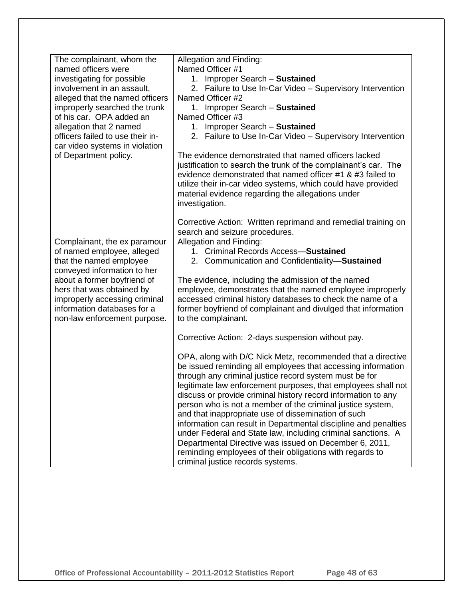| The complainant, whom the<br>named officers were<br>investigating for possible<br>involvement in an assault,<br>alleged that the named officers<br>improperly searched the trunk<br>of his car. OPA added an<br>allegation that 2 named<br>officers failed to use their in-<br>car video systems in violation<br>of Department policy. | Allegation and Finding:<br>Named Officer #1<br>1. Improper Search - Sustained<br>2. Failure to Use In-Car Video - Supervisory Intervention<br>Named Officer #2<br>1. Improper Search - Sustained<br>Named Officer #3<br>1. Improper Search - Sustained<br>2. Failure to Use In-Car Video - Supervisory Intervention<br>The evidence demonstrated that named officers lacked<br>justification to search the trunk of the complainant's car. The<br>evidence demonstrated that named officer #1 & #3 failed to<br>utilize their in-car video systems, which could have provided<br>material evidence regarding the allegations under<br>investigation.                                                                                       |
|----------------------------------------------------------------------------------------------------------------------------------------------------------------------------------------------------------------------------------------------------------------------------------------------------------------------------------------|--------------------------------------------------------------------------------------------------------------------------------------------------------------------------------------------------------------------------------------------------------------------------------------------------------------------------------------------------------------------------------------------------------------------------------------------------------------------------------------------------------------------------------------------------------------------------------------------------------------------------------------------------------------------------------------------------------------------------------------------|
|                                                                                                                                                                                                                                                                                                                                        | Corrective Action: Written reprimand and remedial training on<br>search and seizure procedures.                                                                                                                                                                                                                                                                                                                                                                                                                                                                                                                                                                                                                                            |
| Complainant, the ex paramour<br>of named employee, alleged<br>that the named employee<br>conveyed information to her<br>about a former boyfriend of<br>hers that was obtained by<br>improperly accessing criminal<br>information databases for a<br>non-law enforcement purpose.                                                       | Allegation and Finding:<br>1. Criminal Records Access-Sustained<br>2. Communication and Confidentiality-Sustained<br>The evidence, including the admission of the named<br>employee, demonstrates that the named employee improperly<br>accessed criminal history databases to check the name of a<br>former boyfriend of complainant and divulged that information<br>to the complainant.<br>Corrective Action: 2-days suspension without pay.                                                                                                                                                                                                                                                                                            |
|                                                                                                                                                                                                                                                                                                                                        | OPA, along with D/C Nick Metz, recommended that a directive<br>be issued reminding all employees that accessing information<br>through any criminal justice record system must be for<br>legitimate law enforcement purposes, that employees shall not<br>discuss or provide criminal history record information to any<br>person who is not a member of the criminal justice system,<br>and that inappropriate use of dissemination of such<br>information can result in Departmental discipline and penalties<br>under Federal and State law, including criminal sanctions. A<br>Departmental Directive was issued on December 6, 2011,<br>reminding employees of their obligations with regards to<br>criminal justice records systems. |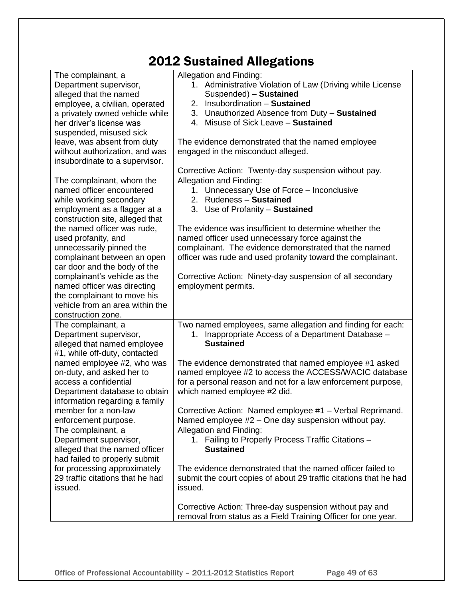## 2012 Sustained Allegations

| The complainant, a               | Allegation and Finding:                                           |
|----------------------------------|-------------------------------------------------------------------|
| Department supervisor,           | 1. Administrative Violation of Law (Driving while License         |
| alleged that the named           | Suspended) - Sustained                                            |
| employee, a civilian, operated   | 2. Insubordination - Sustained                                    |
| a privately owned vehicle while  | 3. Unauthorized Absence from Duty - Sustained                     |
| her driver's license was         | 4. Misuse of Sick Leave - Sustained                               |
| suspended, misused sick          |                                                                   |
| leave, was absent from duty      | The evidence demonstrated that the named employee                 |
| without authorization, and was   | engaged in the misconduct alleged.                                |
| insubordinate to a supervisor.   |                                                                   |
|                                  | Corrective Action: Twenty-day suspension without pay.             |
| The complainant, whom the        | Allegation and Finding:                                           |
| named officer encountered        | 1. Unnecessary Use of Force - Inconclusive                        |
| while working secondary          | 2. Rudeness - Sustained                                           |
| employment as a flagger at a     | 3. Use of Profanity - Sustained                                   |
| construction site, alleged that  |                                                                   |
| the named officer was rude,      | The evidence was insufficient to determine whether the            |
| used profanity, and              | named officer used unnecessary force against the                  |
| unnecessarily pinned the         | complainant. The evidence demonstrated that the named             |
| complainant between an open      | officer was rude and used profanity toward the complainant.       |
| car door and the body of the     |                                                                   |
| complainant's vehicle as the     | Corrective Action: Ninety-day suspension of all secondary         |
| named officer was directing      | employment permits.                                               |
| the complainant to move his      |                                                                   |
| vehicle from an area within the  |                                                                   |
| construction zone.               |                                                                   |
| The complainant, a               | Two named employees, same allegation and finding for each:        |
| Department supervisor,           | 1. Inappropriate Access of a Department Database -                |
| alleged that named employee      | <b>Sustained</b>                                                  |
| #1, while off-duty, contacted    |                                                                   |
| named employee #2, who was       | The evidence demonstrated that named employee #1 asked            |
| on-duty, and asked her to        | named employee #2 to access the ACCESS/WACIC database             |
| access a confidential            | for a personal reason and not for a law enforcement purpose,      |
| Department database to obtain    | which named employee #2 did.                                      |
| information regarding a family   |                                                                   |
| member for a non-law             | Corrective Action: Named employee #1 - Verbal Reprimand.          |
| enforcement purpose.             | Named employee #2 - One day suspension without pay.               |
| The complainant, a               | Allegation and Finding:                                           |
| Department supervisor,           | 1. Failing to Properly Process Traffic Citations -                |
| alleged that the named officer   | <b>Sustained</b>                                                  |
| had failed to properly submit    |                                                                   |
| for processing approximately     | The evidence demonstrated that the named officer failed to        |
| 29 traffic citations that he had | submit the court copies of about 29 traffic citations that he had |
| issued.                          | issued.                                                           |
|                                  |                                                                   |
|                                  | Corrective Action: Three-day suspension without pay and           |
|                                  | removal from status as a Field Training Officer for one year.     |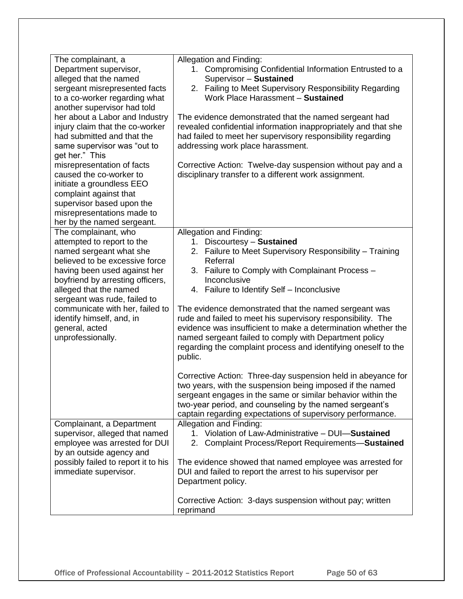| The complainant, a                                 | Allegation and Finding:                                        |
|----------------------------------------------------|----------------------------------------------------------------|
| Department supervisor,                             | 1. Compromising Confidential Information Entrusted to a        |
| alleged that the named                             | Supervisor - Sustained                                         |
| sergeant misrepresented facts                      | 2. Failing to Meet Supervisory Responsibility Regarding        |
| to a co-worker regarding what                      | Work Place Harassment - Sustained                              |
| another supervisor had told                        |                                                                |
| her about a Labor and Industry                     | The evidence demonstrated that the named sergeant had          |
| injury claim that the co-worker                    | revealed confidential information inappropriately and that she |
| had submitted and that the                         | had failed to meet her supervisory responsibility regarding    |
| same supervisor was "out to                        | addressing work place harassment.                              |
| get her." This                                     |                                                                |
| misrepresentation of facts                         | Corrective Action: Twelve-day suspension without pay and a     |
| caused the co-worker to                            | disciplinary transfer to a different work assignment.          |
| initiate a groundless EEO                          |                                                                |
| complaint against that                             |                                                                |
| supervisor based upon the                          |                                                                |
| misrepresentations made to                         |                                                                |
|                                                    |                                                                |
| her by the named sergeant.<br>The complainant, who | Allegation and Finding:                                        |
| attempted to report to the                         | Discourtesy - Sustained<br>1.                                  |
| named sergeant what she                            | 2. Failure to Meet Supervisory Responsibility - Training       |
| believed to be excessive force                     | Referral                                                       |
| having been used against her                       | 3. Failure to Comply with Complainant Process -                |
| boyfriend by arresting officers,                   | Inconclusive                                                   |
| alleged that the named                             | 4. Failure to Identify Self - Inconclusive                     |
| sergeant was rude, failed to                       |                                                                |
| communicate with her, failed to                    | The evidence demonstrated that the named sergeant was          |
| identify himself, and, in                          | rude and failed to meet his supervisory responsibility. The    |
| general, acted                                     | evidence was insufficient to make a determination whether the  |
| unprofessionally.                                  | named sergeant failed to comply with Department policy         |
|                                                    | regarding the complaint process and identifying oneself to the |
|                                                    | public.                                                        |
|                                                    |                                                                |
|                                                    | Corrective Action: Three-day suspension held in abeyance for   |
|                                                    | two years, with the suspension being imposed if the named      |
|                                                    | sergeant engages in the same or similar behavior within the    |
|                                                    | two-year period, and counseling by the named sergeant's        |
|                                                    | captain regarding expectations of supervisory performance.     |
| Complainant, a Department                          | Allegation and Finding:                                        |
| supervisor, alleged that named                     | 1. Violation of Law-Administrative - DUI-Sustained             |
| employee was arrested for DUI                      | 2. Complaint Process/Report Requirements-Sustained             |
| by an outside agency and                           |                                                                |
| possibly failed to report it to his                | The evidence showed that named employee was arrested for       |
| immediate supervisor.                              | DUI and failed to report the arrest to his supervisor per      |
|                                                    | Department policy.                                             |
|                                                    |                                                                |
|                                                    | Corrective Action: 3-days suspension without pay; written      |
|                                                    | reprimand                                                      |
|                                                    |                                                                |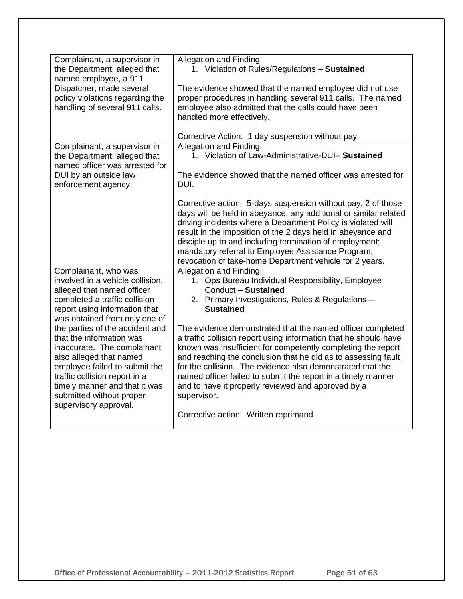| Complainant, a supervisor in<br>the Department, alleged that<br>named employee, a 911<br>Dispatcher, made several<br>policy violations regarding the<br>handling of several 911 calls.                                                                                                                                                                                                                                                                                     | Allegation and Finding:<br>1. Violation of Rules/Regulations - Sustained<br>The evidence showed that the named employee did not use<br>proper procedures in handling several 911 calls. The named<br>employee also admitted that the calls could have been<br>handled more effectively.<br>Corrective Action: 1 day suspension without pay                                                                                                                                                                                                                                                                                                                                               |
|----------------------------------------------------------------------------------------------------------------------------------------------------------------------------------------------------------------------------------------------------------------------------------------------------------------------------------------------------------------------------------------------------------------------------------------------------------------------------|------------------------------------------------------------------------------------------------------------------------------------------------------------------------------------------------------------------------------------------------------------------------------------------------------------------------------------------------------------------------------------------------------------------------------------------------------------------------------------------------------------------------------------------------------------------------------------------------------------------------------------------------------------------------------------------|
| Complainant, a supervisor in<br>the Department, alleged that<br>named officer was arrested for<br>DUI by an outside law<br>enforcement agency.                                                                                                                                                                                                                                                                                                                             | Allegation and Finding:<br>1. Violation of Law-Administrative-DUI- Sustained<br>The evidence showed that the named officer was arrested for<br>DUI.<br>Corrective action: 5-days suspension without pay, 2 of those<br>days will be held in abeyance; any additional or similar related<br>driving incidents where a Department Policy is violated will<br>result in the imposition of the 2 days held in abeyance and<br>disciple up to and including termination of employment;<br>mandatory referral to Employee Assistance Program;<br>revocation of take-home Department vehicle for 2 years.                                                                                       |
| Complainant, who was<br>involved in a vehicle collision,<br>alleged that named officer<br>completed a traffic collision<br>report using information that<br>was obtained from only one of<br>the parties of the accident and<br>that the information was<br>inaccurate. The complainant<br>also alleged that named<br>employee failed to submit the<br>traffic collision report in a<br>timely manner and that it was<br>submitted without proper<br>supervisory approval. | Allegation and Finding:<br>1. Ops Bureau Individual Responsibility, Employee<br>Conduct - Sustained<br>2. Primary Investigations, Rules & Regulations-<br><b>Sustained</b><br>The evidence demonstrated that the named officer completed<br>a traffic collision report using information that he should have<br>known was insufficient for competently completing the report<br>and reaching the conclusion that he did as to assessing fault<br>for the collision. The evidence also demonstrated that the<br>named officer failed to submit the report in a timely manner<br>and to have it properly reviewed and approved by a<br>supervisor.<br>Corrective action: Written reprimand |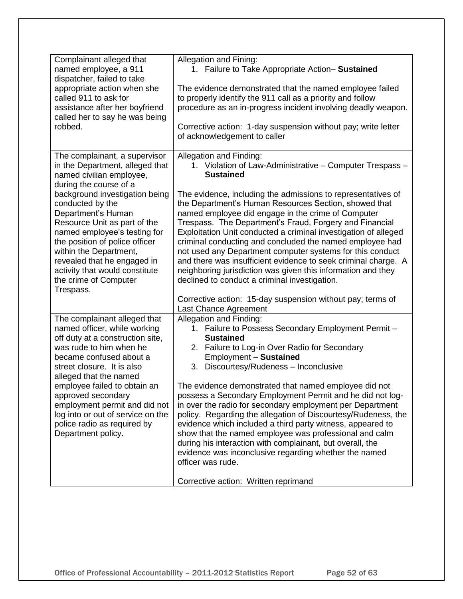| Complainant alleged that<br>named employee, a 911<br>dispatcher, failed to take                                                                                                                                                                                                                             | Allegation and Fining:<br>1. Failure to Take Appropriate Action- Sustained                                                                                                                                                                                                                                                                                                                                                                                                                                                                                                                                            |
|-------------------------------------------------------------------------------------------------------------------------------------------------------------------------------------------------------------------------------------------------------------------------------------------------------------|-----------------------------------------------------------------------------------------------------------------------------------------------------------------------------------------------------------------------------------------------------------------------------------------------------------------------------------------------------------------------------------------------------------------------------------------------------------------------------------------------------------------------------------------------------------------------------------------------------------------------|
| appropriate action when she<br>called 911 to ask for<br>assistance after her boyfriend<br>called her to say he was being<br>robbed.                                                                                                                                                                         | The evidence demonstrated that the named employee failed<br>to properly identify the 911 call as a priority and follow<br>procedure as an in-progress incident involving deadly weapon.<br>Corrective action: 1-day suspension without pay; write letter                                                                                                                                                                                                                                                                                                                                                              |
|                                                                                                                                                                                                                                                                                                             | of acknowledgement to caller                                                                                                                                                                                                                                                                                                                                                                                                                                                                                                                                                                                          |
| The complainant, a supervisor<br>in the Department, alleged that<br>named civilian employee,<br>during the course of a                                                                                                                                                                                      | Allegation and Finding:<br>1. Violation of Law-Administrative - Computer Trespass -<br><b>Sustained</b>                                                                                                                                                                                                                                                                                                                                                                                                                                                                                                               |
| background investigation being<br>conducted by the<br>Department's Human<br>Resource Unit as part of the<br>named employee's testing for<br>the position of police officer<br>within the Department,<br>revealed that he engaged in<br>activity that would constitute<br>the crime of Computer<br>Trespass. | The evidence, including the admissions to representatives of<br>the Department's Human Resources Section, showed that<br>named employee did engage in the crime of Computer<br>Trespass. The Department's Fraud, Forgery and Financial<br>Exploitation Unit conducted a criminal investigation of alleged<br>criminal conducting and concluded the named employee had<br>not used any Department computer systems for this conduct<br>and there was insufficient evidence to seek criminal charge. A<br>neighboring jurisdiction was given this information and they<br>declined to conduct a criminal investigation. |
|                                                                                                                                                                                                                                                                                                             | Corrective action: 15-day suspension without pay; terms of<br>Last Chance Agreement                                                                                                                                                                                                                                                                                                                                                                                                                                                                                                                                   |
| The complainant alleged that                                                                                                                                                                                                                                                                                | Allegation and Finding:                                                                                                                                                                                                                                                                                                                                                                                                                                                                                                                                                                                               |
| named officer, while working<br>off duty at a construction site,                                                                                                                                                                                                                                            | 1. Failure to Possess Secondary Employment Permit -<br><b>Sustained</b>                                                                                                                                                                                                                                                                                                                                                                                                                                                                                                                                               |
| was rude to him when he<br>became confused about a                                                                                                                                                                                                                                                          | 2. Failure to Log-in Over Radio for Secondary<br>Employment - Sustained                                                                                                                                                                                                                                                                                                                                                                                                                                                                                                                                               |
| street closure. It is also                                                                                                                                                                                                                                                                                  | 3. Discourtesy/Rudeness - Inconclusive                                                                                                                                                                                                                                                                                                                                                                                                                                                                                                                                                                                |
| alleged that the named                                                                                                                                                                                                                                                                                      |                                                                                                                                                                                                                                                                                                                                                                                                                                                                                                                                                                                                                       |
| employee failed to obtain an<br>approved secondary                                                                                                                                                                                                                                                          | The evidence demonstrated that named employee did not<br>possess a Secondary Employment Permit and he did not log-                                                                                                                                                                                                                                                                                                                                                                                                                                                                                                    |
| employment permit and did not                                                                                                                                                                                                                                                                               | in over the radio for secondary employment per Department                                                                                                                                                                                                                                                                                                                                                                                                                                                                                                                                                             |
| log into or out of service on the                                                                                                                                                                                                                                                                           | policy. Regarding the allegation of Discourtesy/Rudeness, the                                                                                                                                                                                                                                                                                                                                                                                                                                                                                                                                                         |
| police radio as required by                                                                                                                                                                                                                                                                                 | evidence which included a third party witness, appeared to                                                                                                                                                                                                                                                                                                                                                                                                                                                                                                                                                            |
| Department policy.                                                                                                                                                                                                                                                                                          | show that the named employee was professional and calm                                                                                                                                                                                                                                                                                                                                                                                                                                                                                                                                                                |
|                                                                                                                                                                                                                                                                                                             | during his interaction with complainant, but overall, the                                                                                                                                                                                                                                                                                                                                                                                                                                                                                                                                                             |
|                                                                                                                                                                                                                                                                                                             | evidence was inconclusive regarding whether the named<br>officer was rude.                                                                                                                                                                                                                                                                                                                                                                                                                                                                                                                                            |
|                                                                                                                                                                                                                                                                                                             | Corrective action: Written reprimand                                                                                                                                                                                                                                                                                                                                                                                                                                                                                                                                                                                  |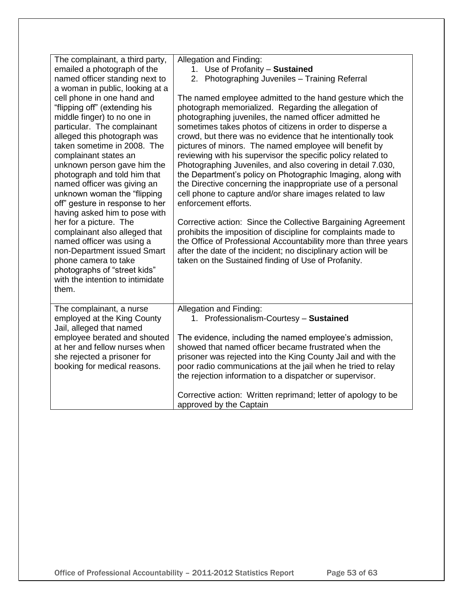| The complainant, a third party,<br>emailed a photograph of the<br>named officer standing next to<br>a woman in public, looking at a<br>cell phone in one hand and<br>"flipping off" (extending his<br>middle finger) to no one in<br>particular. The complainant<br>alleged this photograph was<br>taken sometime in 2008. The<br>complainant states an<br>unknown person gave him the<br>photograph and told him that<br>named officer was giving an<br>unknown woman the "flipping<br>off" gesture in response to her<br>having asked him to pose with<br>her for a picture. The<br>complainant also alleged that<br>named officer was using a<br>non-Department issued Smart<br>phone camera to take<br>photographs of "street kids"<br>with the intention to intimidate | Allegation and Finding:<br>1. Use of Profanity - Sustained<br>2. Photographing Juveniles - Training Referral<br>The named employee admitted to the hand gesture which the<br>photograph memorialized. Regarding the allegation of<br>photographing juveniles, the named officer admitted he<br>sometimes takes photos of citizens in order to disperse a<br>crowd, but there was no evidence that he intentionally took<br>pictures of minors. The named employee will benefit by<br>reviewing with his supervisor the specific policy related to<br>Photographing Juveniles, and also covering in detail 7.030,<br>the Department's policy on Photographic Imaging, along with<br>the Directive concerning the inappropriate use of a personal<br>cell phone to capture and/or share images related to law<br>enforcement efforts.<br>Corrective action: Since the Collective Bargaining Agreement<br>prohibits the imposition of discipline for complaints made to<br>the Office of Professional Accountability more than three years<br>after the date of the incident; no disciplinary action will be<br>taken on the Sustained finding of Use of Profanity. |
|-----------------------------------------------------------------------------------------------------------------------------------------------------------------------------------------------------------------------------------------------------------------------------------------------------------------------------------------------------------------------------------------------------------------------------------------------------------------------------------------------------------------------------------------------------------------------------------------------------------------------------------------------------------------------------------------------------------------------------------------------------------------------------|------------------------------------------------------------------------------------------------------------------------------------------------------------------------------------------------------------------------------------------------------------------------------------------------------------------------------------------------------------------------------------------------------------------------------------------------------------------------------------------------------------------------------------------------------------------------------------------------------------------------------------------------------------------------------------------------------------------------------------------------------------------------------------------------------------------------------------------------------------------------------------------------------------------------------------------------------------------------------------------------------------------------------------------------------------------------------------------------------------------------------------------------------------------|
| them.                                                                                                                                                                                                                                                                                                                                                                                                                                                                                                                                                                                                                                                                                                                                                                       |                                                                                                                                                                                                                                                                                                                                                                                                                                                                                                                                                                                                                                                                                                                                                                                                                                                                                                                                                                                                                                                                                                                                                                  |
| The complainant, a nurse<br>employed at the King County<br>Jail, alleged that named<br>employee berated and shouted<br>at her and fellow nurses when<br>she rejected a prisoner for<br>booking for medical reasons.                                                                                                                                                                                                                                                                                                                                                                                                                                                                                                                                                         | Allegation and Finding:<br>1. Professionalism-Courtesy - Sustained<br>The evidence, including the named employee's admission,<br>showed that named officer became frustrated when the<br>prisoner was rejected into the King County Jail and with the<br>poor radio communications at the jail when he tried to relay<br>the rejection information to a dispatcher or supervisor.<br>Corrective action: Written reprimand; letter of apology to be                                                                                                                                                                                                                                                                                                                                                                                                                                                                                                                                                                                                                                                                                                               |
|                                                                                                                                                                                                                                                                                                                                                                                                                                                                                                                                                                                                                                                                                                                                                                             | approved by the Captain                                                                                                                                                                                                                                                                                                                                                                                                                                                                                                                                                                                                                                                                                                                                                                                                                                                                                                                                                                                                                                                                                                                                          |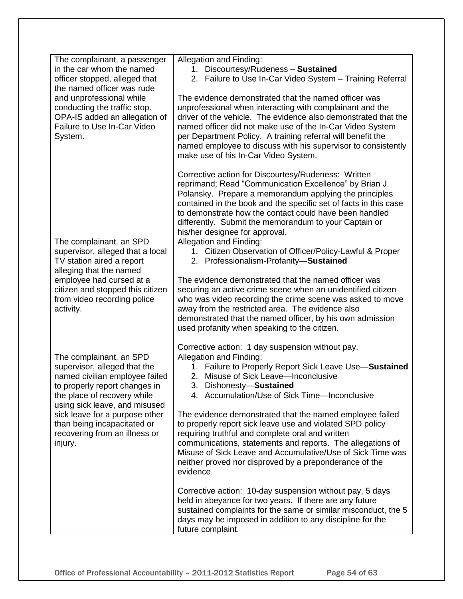| The complainant, a passenger<br>in the car whom the named<br>officer stopped, alleged that<br>the named officer was rude<br>and unprofessional while<br>conducting the traffic stop.<br>OPA-IS added an allegation of<br>Failure to Use In-Car Video<br>System. | Allegation and Finding:<br>1. Discourtesy/Rudeness - Sustained<br>2. Failure to Use In-Car Video System - Training Referral<br>The evidence demonstrated that the named officer was<br>unprofessional when interacting with complainant and the<br>driver of the vehicle. The evidence also demonstrated that the<br>named officer did not make use of the In-Car Video System<br>per Department Policy. A training referral will benefit the<br>named employee to discuss with his supervisor to consistently<br>make use of his In-Car Video System. |
|-----------------------------------------------------------------------------------------------------------------------------------------------------------------------------------------------------------------------------------------------------------------|--------------------------------------------------------------------------------------------------------------------------------------------------------------------------------------------------------------------------------------------------------------------------------------------------------------------------------------------------------------------------------------------------------------------------------------------------------------------------------------------------------------------------------------------------------|
|                                                                                                                                                                                                                                                                 | Corrective action for Discourtesy/Rudeness: Written<br>reprimand; Read "Communication Excellence" by Brian J.<br>Polansky. Prepare a memorandum applying the principles<br>contained in the book and the specific set of facts in this case<br>to demonstrate how the contact could have been handled<br>differently. Submit the memorandum to your Captain or<br>his/her designee for approval.                                                                                                                                                       |
| The complainant, an SPD<br>supervisor, alleged that a local<br>TV station aired a report<br>alleging that the named                                                                                                                                             | Allegation and Finding:<br>1. Citizen Observation of Officer/Policy-Lawful & Proper<br>2. Professionalism-Profanity-Sustained                                                                                                                                                                                                                                                                                                                                                                                                                          |
| employee had cursed at a<br>citizen and stopped this citizen<br>from video recording police<br>activity.                                                                                                                                                        | The evidence demonstrated that the named officer was<br>securing an active crime scene when an unidentified citizen<br>who was video recording the crime scene was asked to move<br>away from the restricted area. The evidence also<br>demonstrated that the named officer, by his own admission<br>used profanity when speaking to the citizen.                                                                                                                                                                                                      |
|                                                                                                                                                                                                                                                                 | Corrective action: 1 day suspension without pay.                                                                                                                                                                                                                                                                                                                                                                                                                                                                                                       |
| The complainant, an SPD<br>supervisor, alleged that the<br>named civilian employee failed<br>to properly report changes in<br>the place of recovery while                                                                                                       | Allegation and Finding:<br>1. Failure to Properly Report Sick Leave Use-Sustained<br>Misuse of Sick Leave-Inconclusive<br>2.<br>3.<br>Dishonesty-Sustained<br>4. Accumulation/Use of Sick Time-Inconclusive                                                                                                                                                                                                                                                                                                                                            |
| using sick leave, and misused<br>sick leave for a purpose other<br>than being incapacitated or<br>recovering from an illness or<br>injury.                                                                                                                      | The evidence demonstrated that the named employee failed<br>to properly report sick leave use and violated SPD policy<br>requiring truthful and complete oral and written<br>communications, statements and reports. The allegations of<br>Misuse of Sick Leave and Accumulative/Use of Sick Time was<br>neither proved nor disproved by a preponderance of the<br>evidence.                                                                                                                                                                           |
|                                                                                                                                                                                                                                                                 | Corrective action: 10-day suspension without pay, 5 days<br>held in abeyance for two years. If there are any future<br>sustained complaints for the same or similar misconduct, the 5<br>days may be imposed in addition to any discipline for the<br>future complaint.                                                                                                                                                                                                                                                                                |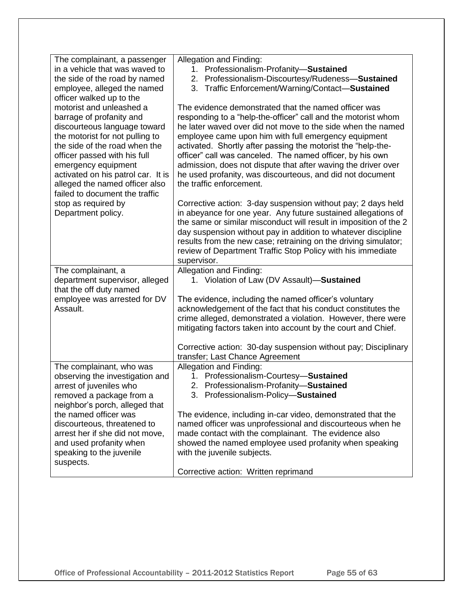| The complainant, a passenger<br>in a vehicle that was waved to   | Allegation and Finding:<br>1. Professionalism-Profanity-Sustained                                                              |
|------------------------------------------------------------------|--------------------------------------------------------------------------------------------------------------------------------|
| the side of the road by named                                    | 2. Professionalism-Discourtesy/Rudeness-Sustained                                                                              |
| employee, alleged the named                                      | Traffic Enforcement/Warning/Contact-Sustained<br>3.                                                                            |
| officer walked up to the<br>motorist and unleashed a             | The evidence demonstrated that the named officer was                                                                           |
| barrage of profanity and                                         | responding to a "help-the-officer" call and the motorist whom                                                                  |
| discourteous language toward                                     | he later waved over did not move to the side when the named                                                                    |
| the motorist for not pulling to<br>the side of the road when the | employee came upon him with full emergency equipment<br>activated. Shortly after passing the motorist the "help-the-           |
| officer passed with his full                                     | officer" call was canceled. The named officer, by his own                                                                      |
| emergency equipment                                              | admission, does not dispute that after waving the driver over                                                                  |
| activated on his patrol car. It is                               | he used profanity, was discourteous, and did not document                                                                      |
| alleged the named officer also                                   | the traffic enforcement.                                                                                                       |
| failed to document the traffic<br>stop as required by            | Corrective action: 3-day suspension without pay; 2 days held                                                                   |
| Department policy.                                               | in abeyance for one year. Any future sustained allegations of                                                                  |
|                                                                  | the same or similar misconduct will result in imposition of the 2                                                              |
|                                                                  | day suspension without pay in addition to whatever discipline                                                                  |
|                                                                  | results from the new case; retraining on the driving simulator;<br>review of Department Traffic Stop Policy with his immediate |
|                                                                  | supervisor.                                                                                                                    |
| The complainant, a                                               | Allegation and Finding:                                                                                                        |
| department supervisor, alleged                                   | 1. Violation of Law (DV Assault)-Sustained                                                                                     |
| that the off duty named<br>employee was arrested for DV          | The evidence, including the named officer's voluntary                                                                          |
| Assault.                                                         | acknowledgement of the fact that his conduct constitutes the                                                                   |
|                                                                  | crime alleged, demonstrated a violation. However, there were                                                                   |
|                                                                  | mitigating factors taken into account by the court and Chief.                                                                  |
|                                                                  | Corrective action: 30-day suspension without pay; Disciplinary                                                                 |
|                                                                  | transfer; Last Chance Agreement                                                                                                |
| The complainant, who was                                         | Allegation and Finding:                                                                                                        |
| observing the investigation and                                  | 1. Professionalism-Courtesy-Sustained                                                                                          |
| arrest of juveniles who<br>removed a package from a              | 2. Professionalism-Profanity-Sustained<br>3. Professionalism-Policy-Sustained                                                  |
| neighbor's porch, alleged that                                   |                                                                                                                                |
| the named officer was                                            | The evidence, including in-car video, demonstrated that the                                                                    |
| discourteous, threatened to                                      | named officer was unprofessional and discourteous when he                                                                      |
| arrest her if she did not move,                                  | made contact with the complainant. The evidence also                                                                           |
| and used profanity when<br>speaking to the juvenile              | showed the named employee used profanity when speaking<br>with the juvenile subjects.                                          |
| suspects.                                                        |                                                                                                                                |
|                                                                  | Corrective action: Written reprimand                                                                                           |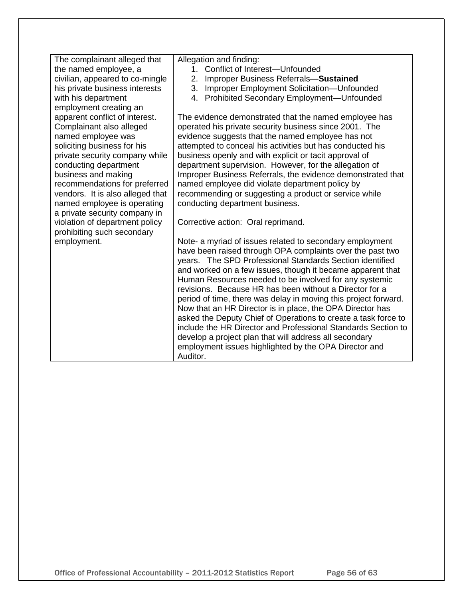| The complainant alleged that                                 | Allegation and finding:                                         |
|--------------------------------------------------------------|-----------------------------------------------------------------|
| the named employee, a                                        | Conflict of Interest-Unfounded<br>$1_{-}$                       |
| civilian, appeared to co-mingle                              | Improper Business Referrals-Sustained<br>2.                     |
| his private business interests                               | Improper Employment Solicitation-Unfounded<br>3.                |
| with his department                                          | 4. Prohibited Secondary Employment-Unfounded                    |
| employment creating an                                       |                                                                 |
| apparent conflict of interest.                               | The evidence demonstrated that the named employee has           |
| Complainant also alleged                                     | operated his private security business since 2001. The          |
| named employee was                                           | evidence suggests that the named employee has not               |
| soliciting business for his                                  | attempted to conceal his activities but has conducted his       |
| private security company while                               | business openly and with explicit or tacit approval of          |
| conducting department                                        | department supervision. However, for the allegation of          |
| business and making                                          | Improper Business Referrals, the evidence demonstrated that     |
| recommendations for preferred                                | named employee did violate department policy by                 |
| vendors. It is also alleged that                             | recommending or suggesting a product or service while           |
| named employee is operating<br>a private security company in | conducting department business.                                 |
| violation of department policy                               | Corrective action: Oral reprimand.                              |
| prohibiting such secondary                                   |                                                                 |
| employment.                                                  | Note- a myriad of issues related to secondary employment        |
|                                                              | have been raised through OPA complaints over the past two       |
|                                                              | years. The SPD Professional Standards Section identified        |
|                                                              | and worked on a few issues, though it became apparent that      |
|                                                              | Human Resources needed to be involved for any systemic          |
|                                                              | revisions. Because HR has been without a Director for a         |
|                                                              | period of time, there was delay in moving this project forward. |
|                                                              | Now that an HR Director is in place, the OPA Director has       |
|                                                              | asked the Deputy Chief of Operations to create a task force to  |
|                                                              | include the HR Director and Professional Standards Section to   |
|                                                              | develop a project plan that will address all secondary          |
|                                                              | employment issues highlighted by the OPA Director and           |
|                                                              | Auditor.                                                        |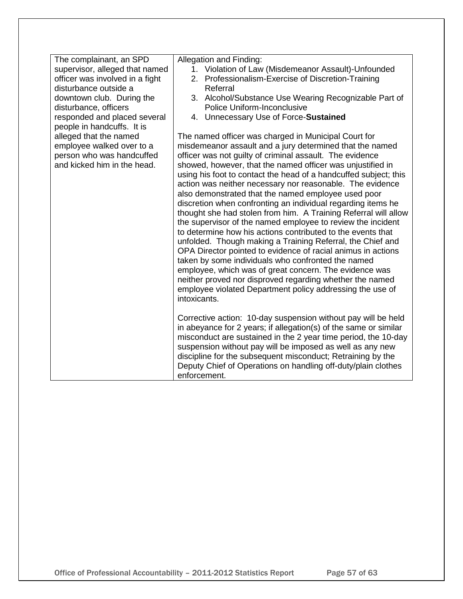| The complainant, an SPD<br>supervisor, alleged that named<br>officer was involved in a fight<br>disturbance outside a<br>downtown club. During the<br>disturbance, officers<br>responded and placed several<br>people in handcuffs. It is<br>alleged that the named<br>employee walked over to a<br>person who was handcuffed<br>and kicked him in the head. | Allegation and Finding:<br>1. Violation of Law (Misdemeanor Assault)-Unfounded<br>2. Professionalism-Exercise of Discretion-Training<br>Referral<br>3. Alcohol/Substance Use Wearing Recognizable Part of<br>Police Uniform-Inconclusive<br>4. Unnecessary Use of Force-Sustained<br>The named officer was charged in Municipal Court for<br>misdemeanor assault and a jury determined that the named<br>officer was not guilty of criminal assault. The evidence<br>showed, however, that the named officer was unjustified in<br>using his foot to contact the head of a handcuffed subject; this<br>action was neither necessary nor reasonable. The evidence<br>also demonstrated that the named employee used poor<br>discretion when confronting an individual regarding items he<br>thought she had stolen from him. A Training Referral will allow<br>the supervisor of the named employee to review the incident<br>to determine how his actions contributed to the events that<br>unfolded. Though making a Training Referral, the Chief and<br>OPA Director pointed to evidence of racial animus in actions<br>taken by some individuals who confronted the named<br>employee, which was of great concern. The evidence was<br>neither proved nor disproved regarding whether the named<br>employee violated Department policy addressing the use of<br>intoxicants.<br>Corrective action: 10-day suspension without pay will be held<br>in abeyance for 2 years; if allegation(s) of the same or similar<br>misconduct are sustained in the 2 year time period, the 10-day |
|--------------------------------------------------------------------------------------------------------------------------------------------------------------------------------------------------------------------------------------------------------------------------------------------------------------------------------------------------------------|----------------------------------------------------------------------------------------------------------------------------------------------------------------------------------------------------------------------------------------------------------------------------------------------------------------------------------------------------------------------------------------------------------------------------------------------------------------------------------------------------------------------------------------------------------------------------------------------------------------------------------------------------------------------------------------------------------------------------------------------------------------------------------------------------------------------------------------------------------------------------------------------------------------------------------------------------------------------------------------------------------------------------------------------------------------------------------------------------------------------------------------------------------------------------------------------------------------------------------------------------------------------------------------------------------------------------------------------------------------------------------------------------------------------------------------------------------------------------------------------------------------------------------------------------------------------------------------|
|                                                                                                                                                                                                                                                                                                                                                              | suspension without pay will be imposed as well as any new<br>discipline for the subsequent misconduct; Retraining by the<br>Deputy Chief of Operations on handling off-duty/plain clothes<br>enforcement.                                                                                                                                                                                                                                                                                                                                                                                                                                                                                                                                                                                                                                                                                                                                                                                                                                                                                                                                                                                                                                                                                                                                                                                                                                                                                                                                                                              |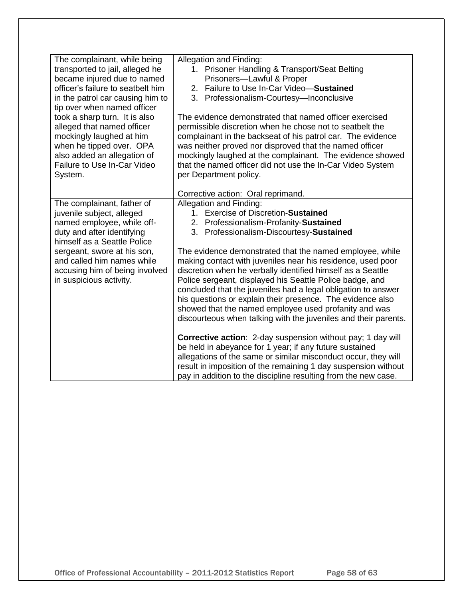| The complainant, while being<br>transported to jail, alleged he<br>became injured due to named<br>officer's failure to seatbelt him<br>in the patrol car causing him to<br>tip over when named officer                                                                       | Allegation and Finding:<br>1. Prisoner Handling & Transport/Seat Belting<br>Prisoners-Lawful & Proper<br>2. Failure to Use In-Car Video-Sustained<br>3. Professionalism-Courtesy-Inconclusive                                                                                                                                                                                                                                                                                                                                                                                                                                                                         |
|------------------------------------------------------------------------------------------------------------------------------------------------------------------------------------------------------------------------------------------------------------------------------|-----------------------------------------------------------------------------------------------------------------------------------------------------------------------------------------------------------------------------------------------------------------------------------------------------------------------------------------------------------------------------------------------------------------------------------------------------------------------------------------------------------------------------------------------------------------------------------------------------------------------------------------------------------------------|
| took a sharp turn. It is also<br>alleged that named officer<br>mockingly laughed at him<br>when he tipped over. OPA<br>also added an allegation of<br><b>Failure to Use In-Car Video</b><br>System.                                                                          | The evidence demonstrated that named officer exercised<br>permissible discretion when he chose not to seatbelt the<br>complainant in the backseat of his patrol car. The evidence<br>was neither proved nor disproved that the named officer<br>mockingly laughed at the complainant. The evidence showed<br>that the named officer did not use the In-Car Video System<br>per Department policy.                                                                                                                                                                                                                                                                     |
|                                                                                                                                                                                                                                                                              | Corrective action: Oral reprimand.                                                                                                                                                                                                                                                                                                                                                                                                                                                                                                                                                                                                                                    |
| The complainant, father of<br>juvenile subject, alleged<br>named employee, while off-<br>duty and after identifying<br>himself as a Seattle Police<br>sergeant, swore at his son,<br>and called him names while<br>accusing him of being involved<br>in suspicious activity. | Allegation and Finding:<br>1. Exercise of Discretion-Sustained<br>2. Professionalism-Profanity-Sustained<br>3. Professionalism-Discourtesy-Sustained<br>The evidence demonstrated that the named employee, while<br>making contact with juveniles near his residence, used poor<br>discretion when he verbally identified himself as a Seattle<br>Police sergeant, displayed his Seattle Police badge, and<br>concluded that the juveniles had a legal obligation to answer<br>his questions or explain their presence. The evidence also<br>showed that the named employee used profanity and was<br>discourteous when talking with the juveniles and their parents. |
|                                                                                                                                                                                                                                                                              | Corrective action: 2-day suspension without pay; 1 day will<br>be held in abeyance for 1 year; if any future sustained<br>allegations of the same or similar misconduct occur, they will<br>result in imposition of the remaining 1 day suspension without<br>pay in addition to the discipline resulting from the new case.                                                                                                                                                                                                                                                                                                                                          |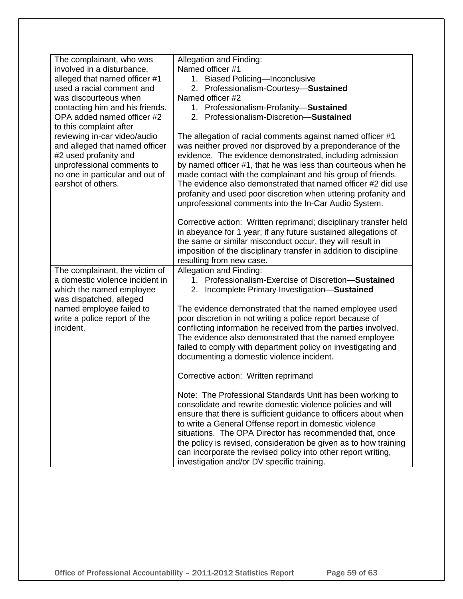| The complainant, who was<br>involved in a disturbance,<br>alleged that named officer #1<br>used a racial comment and<br>was discourteous when<br>contacting him and his friends.<br>OPA added named officer #2<br>to this complaint after<br>reviewing in-car video/audio | Allegation and Finding:<br>Named officer #1<br>1. Biased Policing-Inconclusive<br>2. Professionalism-Courtesy-Sustained<br>Named officer #2<br>1. Professionalism-Profanity-Sustained<br>2. Professionalism-Discretion-Sustained<br>The allegation of racial comments against named officer #1                                                                                                                                                                                                                                                                                         |
|---------------------------------------------------------------------------------------------------------------------------------------------------------------------------------------------------------------------------------------------------------------------------|----------------------------------------------------------------------------------------------------------------------------------------------------------------------------------------------------------------------------------------------------------------------------------------------------------------------------------------------------------------------------------------------------------------------------------------------------------------------------------------------------------------------------------------------------------------------------------------|
| and alleged that named officer<br>#2 used profanity and<br>unprofessional comments to<br>no one in particular and out of<br>earshot of others.                                                                                                                            | was neither proved nor disproved by a preponderance of the<br>evidence. The evidence demonstrated, including admission<br>by named officer #1, that he was less than courteous when he<br>made contact with the complainant and his group of friends.<br>The evidence also demonstrated that named officer #2 did use<br>profanity and used poor discretion when uttering profanity and<br>unprofessional comments into the In-Car Audio System.<br>Corrective action: Written reprimand; disciplinary transfer held<br>in abeyance for 1 year; if any future sustained allegations of |
|                                                                                                                                                                                                                                                                           | the same or similar misconduct occur, they will result in<br>imposition of the disciplinary transfer in addition to discipline<br>resulting from new case.                                                                                                                                                                                                                                                                                                                                                                                                                             |
| The complainant, the victim of<br>a domestic violence incident in<br>which the named employee<br>was dispatched, alleged                                                                                                                                                  | Allegation and Finding:<br>1. Professionalism-Exercise of Discretion-Sustained<br>2. Incomplete Primary Investigation-Sustained                                                                                                                                                                                                                                                                                                                                                                                                                                                        |
| named employee failed to<br>write a police report of the<br>incident.                                                                                                                                                                                                     | The evidence demonstrated that the named employee used<br>poor discretion in not writing a police report because of<br>conflicting information he received from the parties involved.<br>The evidence also demonstrated that the named employee<br>failed to comply with department policy on investigating and<br>documenting a domestic violence incident.                                                                                                                                                                                                                           |
|                                                                                                                                                                                                                                                                           | Corrective action: Written reprimand                                                                                                                                                                                                                                                                                                                                                                                                                                                                                                                                                   |
|                                                                                                                                                                                                                                                                           | Note: The Professional Standards Unit has been working to<br>consolidate and rewrite domestic violence policies and will<br>ensure that there is sufficient guidance to officers about when<br>to write a General Offense report in domestic violence<br>situations. The OPA Director has recommended that, once<br>the policy is revised, consideration be given as to how training<br>can incorporate the revised policy into other report writing,<br>investigation and/or DV specific training.                                                                                    |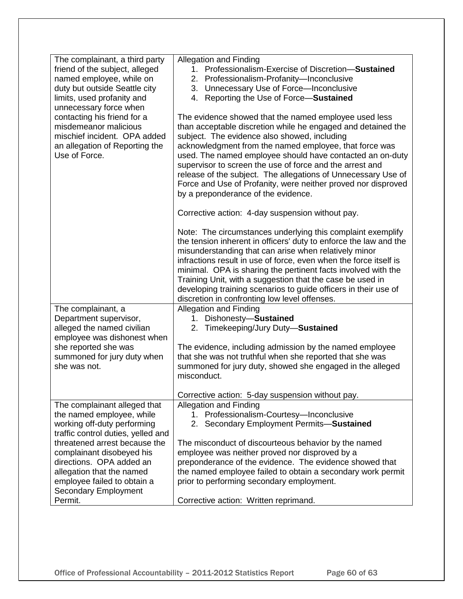| The complainant, a third party     | <b>Allegation and Finding</b>                                     |
|------------------------------------|-------------------------------------------------------------------|
|                                    | 1. Professionalism-Exercise of Discretion-Sustained               |
| friend of the subject, alleged     |                                                                   |
| named employee, while on           | 2. Professionalism-Profanity-Inconclusive                         |
| duty but outside Seattle city      | 3. Unnecessary Use of Force-Inconclusive                          |
| limits, used profanity and         | 4. Reporting the Use of Force-Sustained                           |
| unnecessary force when             |                                                                   |
| contacting his friend for a        | The evidence showed that the named employee used less             |
| misdemeanor malicious              | than acceptable discretion while he engaged and detained the      |
| mischief incident. OPA added       | subject. The evidence also showed, including                      |
| an allegation of Reporting the     | acknowledgment from the named employee, that force was            |
| Use of Force.                      | used. The named employee should have contacted an on-duty         |
|                                    | supervisor to screen the use of force and the arrest and          |
|                                    | release of the subject. The allegations of Unnecessary Use of     |
|                                    | Force and Use of Profanity, were neither proved nor disproved     |
|                                    | by a preponderance of the evidence.                               |
|                                    |                                                                   |
|                                    | Corrective action: 4-day suspension without pay.                  |
|                                    |                                                                   |
|                                    | Note: The circumstances underlying this complaint exemplify       |
|                                    | the tension inherent in officers' duty to enforce the law and the |
|                                    | misunderstanding that can arise when relatively minor             |
|                                    | infractions result in use of force, even when the force itself is |
|                                    | minimal. OPA is sharing the pertinent facts involved with the     |
|                                    | Training Unit, with a suggestion that the case be used in         |
|                                    | developing training scenarios to guide officers in their use of   |
|                                    | discretion in confronting low level offenses.                     |
| The complainant, a                 | <b>Allegation and Finding</b>                                     |
| Department supervisor,             | 1. Dishonesty-Sustained                                           |
| alleged the named civilian         | 2. Timekeeping/Jury Duty-Sustained                                |
| employee was dishonest when        |                                                                   |
| she reported she was               | The evidence, including admission by the named employee           |
| summoned for jury duty when        | that she was not truthful when she reported that she was          |
| she was not.                       | summoned for jury duty, showed she engaged in the alleged         |
|                                    | misconduct.                                                       |
|                                    |                                                                   |
|                                    | Corrective action: 5-day suspension without pay.                  |
| The complainant alleged that       | <b>Allegation and Finding</b>                                     |
| the named employee, while          | 1. Professionalism-Courtesy-Inconclusive                          |
| working off-duty performing        | 2. Secondary Employment Permits-Sustained                         |
| traffic control duties, yelled and |                                                                   |
| threatened arrest because the      | The misconduct of discourteous behavior by the named              |
| complainant disobeyed his          | employee was neither proved nor disproved by a                    |
| directions. OPA added an           | preponderance of the evidence. The evidence showed that           |
| allegation that the named          | the named employee failed to obtain a secondary work permit       |
| employee failed to obtain a        | prior to performing secondary employment.                         |
| <b>Secondary Employment</b>        |                                                                   |
| Permit.                            | Corrective action: Written reprimand.                             |
|                                    |                                                                   |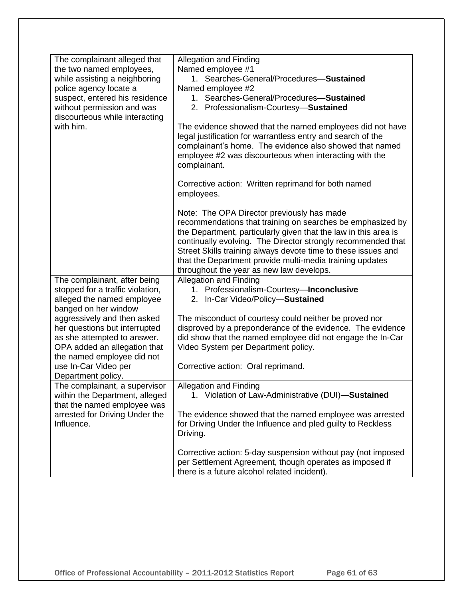| The complainant alleged that                                  | <b>Allegation and Finding</b>                                                                                                                                                                                                                                                                                                                                                                                        |
|---------------------------------------------------------------|----------------------------------------------------------------------------------------------------------------------------------------------------------------------------------------------------------------------------------------------------------------------------------------------------------------------------------------------------------------------------------------------------------------------|
| the two named employees,                                      | Named employee #1                                                                                                                                                                                                                                                                                                                                                                                                    |
| while assisting a neighboring                                 | 1. Searches-General/Procedures-Sustained                                                                                                                                                                                                                                                                                                                                                                             |
| police agency locate a<br>suspect, entered his residence      | Named employee #2<br>1. Searches-General/Procedures-Sustained                                                                                                                                                                                                                                                                                                                                                        |
| without permission and was                                    | 2. Professionalism-Courtesy-Sustained                                                                                                                                                                                                                                                                                                                                                                                |
| discourteous while interacting                                |                                                                                                                                                                                                                                                                                                                                                                                                                      |
| with him.                                                     | The evidence showed that the named employees did not have<br>legal justification for warrantless entry and search of the<br>complainant's home. The evidence also showed that named<br>employee #2 was discourteous when interacting with the<br>complainant.                                                                                                                                                        |
|                                                               | Corrective action: Written reprimand for both named<br>employees.                                                                                                                                                                                                                                                                                                                                                    |
|                                                               | Note: The OPA Director previously has made<br>recommendations that training on searches be emphasized by<br>the Department, particularly given that the law in this area is<br>continually evolving. The Director strongly recommended that<br>Street Skills training always devote time to these issues and<br>that the Department provide multi-media training updates<br>throughout the year as new law develops. |
| The complainant, after being                                  | <b>Allegation and Finding</b>                                                                                                                                                                                                                                                                                                                                                                                        |
| stopped for a traffic violation,                              | 1. Professionalism-Courtesy-Inconclusive                                                                                                                                                                                                                                                                                                                                                                             |
| alleged the named employee                                    | 2. In-Car Video/Policy-Sustained                                                                                                                                                                                                                                                                                                                                                                                     |
| banged on her window                                          |                                                                                                                                                                                                                                                                                                                                                                                                                      |
| aggressively and then asked<br>her questions but interrupted  | The misconduct of courtesy could neither be proved nor<br>disproved by a preponderance of the evidence. The evidence                                                                                                                                                                                                                                                                                                 |
| as she attempted to answer.                                   | did show that the named employee did not engage the In-Car                                                                                                                                                                                                                                                                                                                                                           |
| OPA added an allegation that                                  | Video System per Department policy.                                                                                                                                                                                                                                                                                                                                                                                  |
| the named employee did not                                    |                                                                                                                                                                                                                                                                                                                                                                                                                      |
| use In-Car Video per<br>Department policy.                    | Corrective action: Oral reprimand.                                                                                                                                                                                                                                                                                                                                                                                   |
| The complainant, a supervisor                                 | <b>Allegation and Finding</b>                                                                                                                                                                                                                                                                                                                                                                                        |
| within the Department, alleged<br>that the named employee was | 1. Violation of Law-Administrative (DUI)-Sustained                                                                                                                                                                                                                                                                                                                                                                   |
| arrested for Driving Under the<br>Influence.                  | The evidence showed that the named employee was arrested<br>for Driving Under the Influence and pled guilty to Reckless<br>Driving.                                                                                                                                                                                                                                                                                  |
|                                                               | Corrective action: 5-day suspension without pay (not imposed<br>per Settlement Agreement, though operates as imposed if<br>there is a future alcohol related incident).                                                                                                                                                                                                                                              |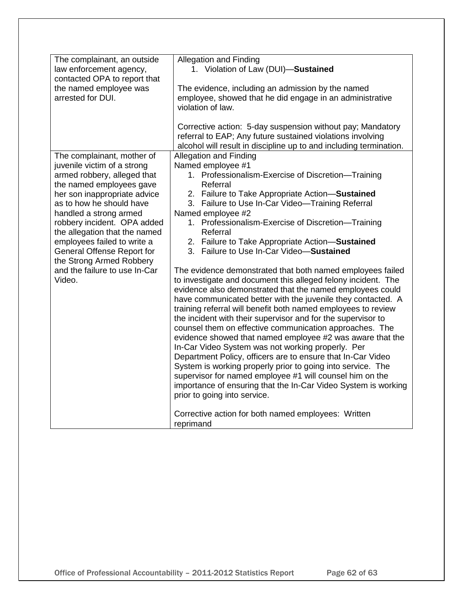| The complainant, an outside<br>law enforcement agency,<br>contacted OPA to report that<br>the named employee was<br>arrested for DUI.                                                                                                                                                                                                                                                                          | <b>Allegation and Finding</b><br>1. Violation of Law (DUI)-Sustained<br>The evidence, including an admission by the named<br>employee, showed that he did engage in an administrative<br>violation of law.<br>Corrective action: 5-day suspension without pay; Mandatory                                                                                                                                                                                                                                                                                                                                                                                                                                                                                                                                                                                                                                                                                                                                                                                                                                                                                                                                                                                                                                                                       |
|----------------------------------------------------------------------------------------------------------------------------------------------------------------------------------------------------------------------------------------------------------------------------------------------------------------------------------------------------------------------------------------------------------------|------------------------------------------------------------------------------------------------------------------------------------------------------------------------------------------------------------------------------------------------------------------------------------------------------------------------------------------------------------------------------------------------------------------------------------------------------------------------------------------------------------------------------------------------------------------------------------------------------------------------------------------------------------------------------------------------------------------------------------------------------------------------------------------------------------------------------------------------------------------------------------------------------------------------------------------------------------------------------------------------------------------------------------------------------------------------------------------------------------------------------------------------------------------------------------------------------------------------------------------------------------------------------------------------------------------------------------------------|
|                                                                                                                                                                                                                                                                                                                                                                                                                | referral to EAP; Any future sustained violations involving<br>alcohol will result in discipline up to and including termination.                                                                                                                                                                                                                                                                                                                                                                                                                                                                                                                                                                                                                                                                                                                                                                                                                                                                                                                                                                                                                                                                                                                                                                                                               |
| The complainant, mother of<br>juvenile victim of a strong<br>armed robbery, alleged that<br>the named employees gave<br>her son inappropriate advice<br>as to how he should have<br>handled a strong armed<br>robbery incident. OPA added<br>the allegation that the named<br>employees failed to write a<br>General Offense Report for<br>the Strong Armed Robbery<br>and the failure to use In-Car<br>Video. | <b>Allegation and Finding</b><br>Named employee #1<br>1. Professionalism-Exercise of Discretion-Training<br>Referral<br>2. Failure to Take Appropriate Action-Sustained<br>3. Failure to Use In-Car Video-Training Referral<br>Named employee #2<br>1. Professionalism-Exercise of Discretion-Training<br>Referral<br>2. Failure to Take Appropriate Action-Sustained<br>3. Failure to Use In-Car Video-Sustained<br>The evidence demonstrated that both named employees failed<br>to investigate and document this alleged felony incident. The<br>evidence also demonstrated that the named employees could<br>have communicated better with the juvenile they contacted. A<br>training referral will benefit both named employees to review<br>the incident with their supervisor and for the supervisor to<br>counsel them on effective communication approaches. The<br>evidence showed that named employee #2 was aware that the<br>In-Car Video System was not working properly. Per<br>Department Policy, officers are to ensure that In-Car Video<br>System is working properly prior to going into service. The<br>supervisor for named employee #1 will counsel him on the<br>importance of ensuring that the In-Car Video System is working<br>prior to going into service.<br>Corrective action for both named employees: Written |
|                                                                                                                                                                                                                                                                                                                                                                                                                | reprimand                                                                                                                                                                                                                                                                                                                                                                                                                                                                                                                                                                                                                                                                                                                                                                                                                                                                                                                                                                                                                                                                                                                                                                                                                                                                                                                                      |